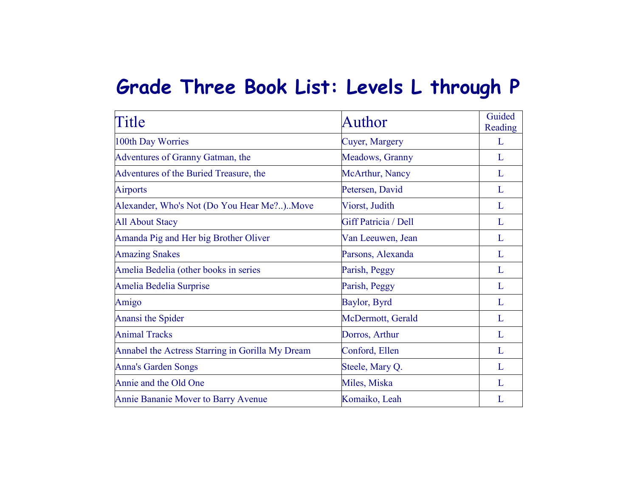## **Grade Three Book List: Levels L through P**

| Title                                            | Author               | Guided<br>Reading |
|--------------------------------------------------|----------------------|-------------------|
| 100th Day Worries                                | Cuyer, Margery       | L                 |
| Adventures of Granny Gatman, the                 | Meadows, Granny      | L                 |
| Adventures of the Buried Treasure, the           | McArthur, Nancy      | L                 |
| <b>Airports</b>                                  | Petersen, David      | L                 |
| Alexander, Who's Not (Do You Hear Me?)Move       | Viorst, Judith       | L                 |
| <b>All About Stacy</b>                           | Giff Patricia / Dell | L                 |
| Amanda Pig and Her big Brother Oliver            | Van Leeuwen, Jean    | L                 |
| <b>Amazing Snakes</b>                            | Parsons, Alexanda    | L                 |
| Amelia Bedelia (other books in series            | Parish, Peggy        | L                 |
| Amelia Bedelia Surprise                          | Parish, Peggy        | L                 |
| Amigo                                            | Baylor, Byrd         | L                 |
| Anansi the Spider                                | McDermott, Gerald    | L                 |
| <b>Animal Tracks</b>                             | Dorros, Arthur       | L                 |
| Annabel the Actress Starring in Gorilla My Dream | Conford, Ellen       | L                 |
| <b>Anna's Garden Songs</b>                       | Steele, Mary Q.      | L                 |
| Annie and the Old One                            | Miles, Miska         | L                 |
| Annie Bananie Mover to Barry Avenue              | Komaiko, Leah        | $\mathbf{L}$      |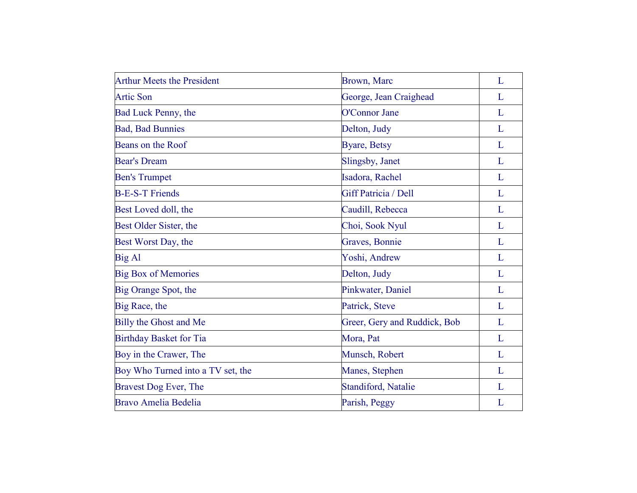| <b>Arthur Meets the President</b> | Brown, Marc                  | L |
|-----------------------------------|------------------------------|---|
| <b>Artic Son</b>                  | George, Jean Craighead       | L |
| Bad Luck Penny, the               | O'Connor Jane                | L |
| <b>Bad, Bad Bunnies</b>           | Delton, Judy                 | L |
| Beans on the Roof                 | <b>Byare, Betsy</b>          | L |
| <b>Bear's Dream</b>               | Slingsby, Janet              | L |
| <b>Ben's Trumpet</b>              | Isadora, Rachel              | L |
| <b>B-E-S-T Friends</b>            | Giff Patricia / Dell         | L |
| Best Loved doll, the              | Caudill, Rebecca             | L |
| Best Older Sister, the            | Choi, Sook Nyul              | L |
| Best Worst Day, the               | Graves, Bonnie               | L |
| <b>Big Al</b>                     | Yoshi, Andrew                | L |
| <b>Big Box of Memories</b>        | Delton, Judy                 | L |
| Big Orange Spot, the              | Pinkwater, Daniel            | L |
| Big Race, the                     | Patrick, Steve               | L |
| <b>Billy the Ghost and Me</b>     | Greer, Gery and Ruddick, Bob | L |
| <b>Birthday Basket for Tia</b>    | Mora, Pat                    | L |
| Boy in the Crawer, The            | Munsch, Robert               | L |
| Boy Who Turned into a TV set, the | Manes, Stephen               | L |
| Bravest Dog Ever, The             | Standiford, Natalie          | L |
| <b>Bravo Amelia Bedelia</b>       | Parish, Peggy                | L |
|                                   |                              |   |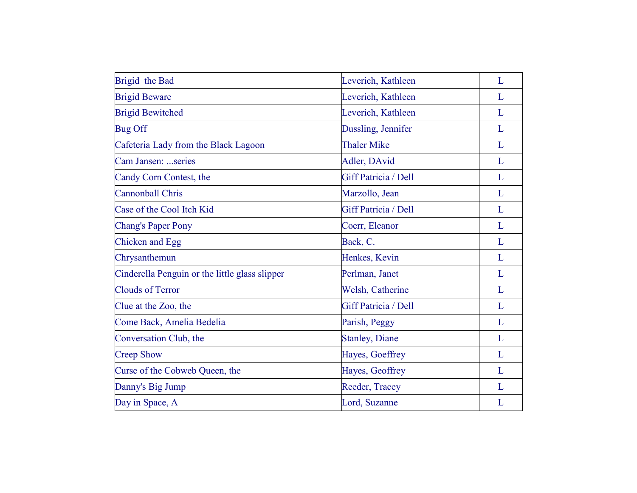| Brigid the Bad                                 | Leverich, Kathleen     | L |
|------------------------------------------------|------------------------|---|
| <b>Brigid Beware</b>                           | Leverich, Kathleen     | L |
| <b>Brigid Bewitched</b>                        | Leverich, Kathleen     | L |
| <b>Bug Off</b>                                 | Dussling, Jennifer     | L |
| Cafeteria Lady from the Black Lagoon           | <b>Thaler Mike</b>     | L |
| Cam Jansen: series                             | Adler, DAvid           | L |
| Candy Corn Contest, the                        | Giff Patricia / Dell   | L |
| <b>Cannonball Chris</b>                        | Marzollo, Jean         | L |
| Case of the Cool Itch Kid                      | Giff Patricia / Dell   | L |
| <b>Chang's Paper Pony</b>                      | Coerr, Eleanor         | L |
| <b>Chicken and Egg</b>                         | Back, C.               | L |
| Chrysanthemun                                  | Henkes, Kevin          | L |
| Cinderella Penguin or the little glass slipper | Perlman, Janet         | L |
| <b>Clouds of Terror</b>                        | Welsh, Catherine       | L |
| Clue at the Zoo, the                           | Giff Patricia / Dell   | L |
| Come Back, Amelia Bedelia                      | Parish, Peggy          | L |
| Conversation Club, the                         | <b>Stanley</b> , Diane | L |
| <b>Creep Show</b>                              | Hayes, Goeffrey        | L |
| Curse of the Cobweb Queen, the                 | Hayes, Geoffrey        | L |
| Danny's Big Jump                               | Reeder, Tracey         | L |
| Day in Space, A                                | Lord, Suzanne          | L |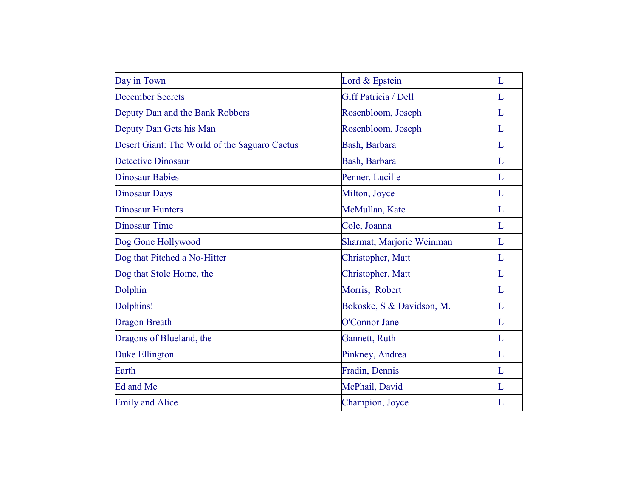| Day in Town                                   | Lord & Epstein            | L |
|-----------------------------------------------|---------------------------|---|
| <b>December Secrets</b>                       | Giff Patricia / Dell      | L |
| Deputy Dan and the Bank Robbers               | Rosenbloom, Joseph        | L |
| Deputy Dan Gets his Man                       | Rosenbloom, Joseph        | L |
| Desert Giant: The World of the Saguaro Cactus | Bash, Barbara             | L |
| <b>Detective Dinosaur</b>                     | Bash, Barbara             | L |
| <b>Dinosaur Babies</b>                        | Penner, Lucille           | L |
| <b>Dinosaur Days</b>                          | Milton, Joyce             | L |
| <b>Dinosaur Hunters</b>                       | McMullan, Kate            | L |
| <b>Dinosaur Time</b>                          | Cole, Joanna              | L |
| Dog Gone Hollywood                            | Sharmat, Marjorie Weinman | L |
| Dog that Pitched a No-Hitter                  | Christopher, Matt         | L |
| Dog that Stole Home, the                      | Christopher, Matt         | L |
| Dolphin                                       | Morris, Robert            | L |
| Dolphins!                                     | Bokoske, S & Davidson, M. | L |
| <b>Dragon Breath</b>                          | O'Connor Jane             | L |
| Dragons of Blueland, the                      | Gannett, Ruth             | L |
| Duke Ellington                                | Pinkney, Andrea           | L |
| Earth                                         | Fradin, Dennis            | L |
| Ed and Me                                     | McPhail, David            | L |
| <b>Emily and Alice</b>                        | Champion, Joyce           | L |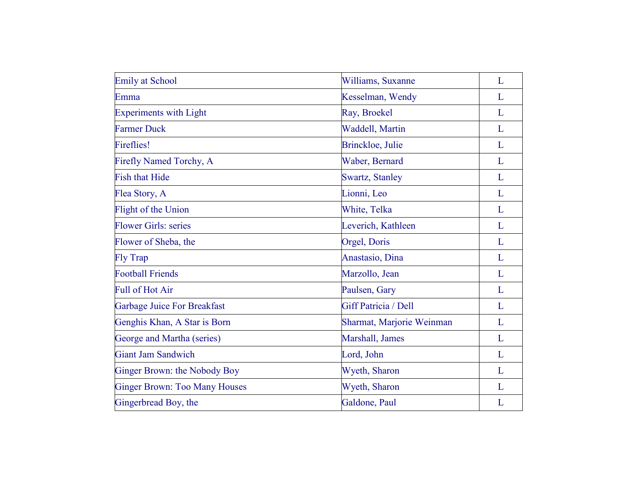| <b>Emily at School</b>               | Williams, Suxanne         | L |
|--------------------------------------|---------------------------|---|
| Emma                                 | Kesselman, Wendy          | L |
| <b>Experiments with Light</b>        | Ray, Broekel              | L |
| <b>Farmer Duck</b>                   | Waddell, Martin           | L |
| <b>Fireflies!</b>                    | Brinckloe, Julie          | L |
| Firefly Named Torchy, A              | Waber, Bernard            | L |
| <b>Fish that Hide</b>                | <b>Swartz, Stanley</b>    | L |
| Flea Story, A                        | Lionni, Leo               | L |
| Flight of the Union                  | White, Telka              | L |
| <b>Flower Girls: series</b>          | Leverich, Kathleen        | L |
| Flower of Sheba, the                 | Orgel, Doris              | L |
| <b>Fly Trap</b>                      | Anastasio, Dina           | L |
| <b>Football Friends</b>              | Marzollo, Jean            | L |
| <b>Full of Hot Air</b>               | Paulsen, Gary             | L |
| <b>Garbage Juice For Breakfast</b>   | Giff Patricia / Dell      | L |
| Genghis Khan, A Star is Born         | Sharmat, Marjorie Weinman | L |
| George and Martha (series)           | Marshall, James           | L |
| <b>Giant Jam Sandwich</b>            | Lord, John                | L |
| Ginger Brown: the Nobody Boy         | Wyeth, Sharon             | L |
| <b>Ginger Brown: Too Many Houses</b> | Wyeth, Sharon             | L |
| Gingerbread Boy, the                 | Galdone, Paul             | L |
|                                      |                           |   |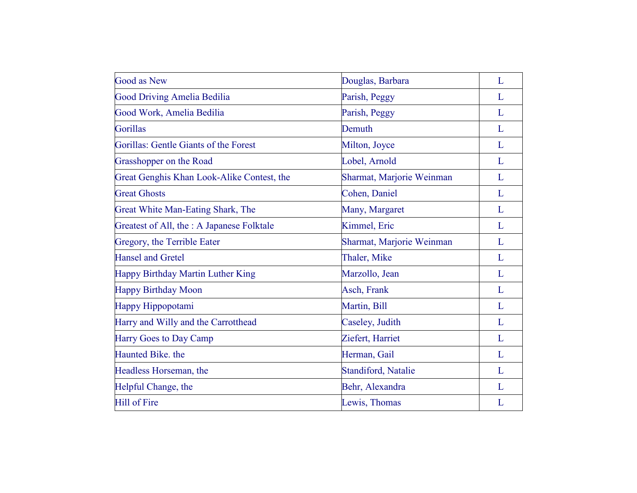| <b>Good as New</b>                         | Douglas, Barbara          | L |
|--------------------------------------------|---------------------------|---|
| <b>Good Driving Amelia Bedilia</b>         | Parish, Peggy             | L |
| Good Work, Amelia Bedilia                  | Parish, Peggy             | L |
| <b>Gorillas</b>                            | Demuth                    | L |
| Gorillas: Gentle Giants of the Forest      | Milton, Joyce             | L |
| Grasshopper on the Road                    | Lobel, Arnold             | L |
| Great Genghis Khan Look-Alike Contest, the | Sharmat, Marjorie Weinman | L |
| <b>Great Ghosts</b>                        | Cohen, Daniel             | L |
| Great White Man-Eating Shark, The          | Many, Margaret            | L |
| Greatest of All, the : A Japanese Folktale | Kimmel, Eric              | L |
| Gregory, the Terrible Eater                | Sharmat, Marjorie Weinman | L |
| <b>Hansel and Gretel</b>                   | Thaler, Mike              | L |
| Happy Birthday Martin Luther King          | Marzollo, Jean            | L |
| <b>Happy Birthday Moon</b>                 | Asch, Frank               | L |
| Happy Hippopotami                          | Martin, Bill              | L |
| Harry and Willy and the Carrotthead        | Caseley, Judith           | L |
| Harry Goes to Day Camp                     | Ziefert, Harriet          | L |
| Haunted Bike, the                          | Herman, Gail              | L |
| Headless Horseman, the                     | Standiford, Natalie       | L |
| Helpful Change, the                        | Behr, Alexandra           | L |
| <b>Hill of Fire</b>                        | Lewis, Thomas             | L |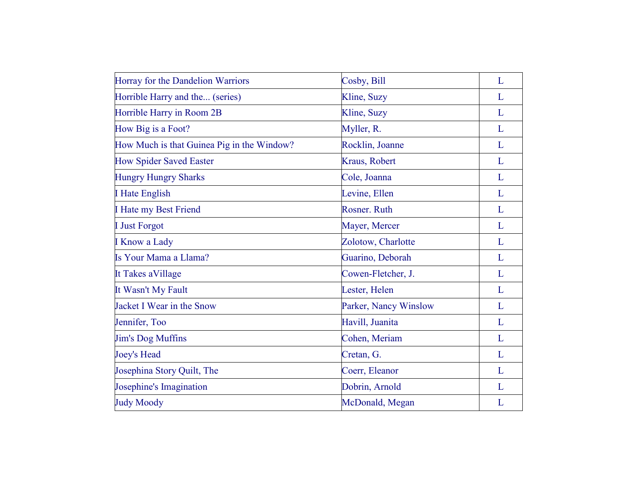| Horray for the Dandelion Warriors          | Cosby, Bill           | L |
|--------------------------------------------|-----------------------|---|
| Horrible Harry and the (series)            | Kline, Suzy           | L |
| Horrible Harry in Room 2B                  | Kline, Suzy           | L |
| How Big is a Foot?                         | Myller, R.            | L |
| How Much is that Guinea Pig in the Window? | Rocklin, Joanne       | L |
| <b>How Spider Saved Easter</b>             | Kraus, Robert         | L |
| <b>Hungry Hungry Sharks</b>                | Cole, Joanna          | L |
| <b>I</b> Hate English                      | Levine, Ellen         | L |
| I Hate my Best Friend                      | Rosner, Ruth          | L |
| <b>I</b> Just Forgot                       | Mayer, Mercer         | L |
| <b>I Know a Lady</b>                       | Zolotow, Charlotte    | L |
| Is Your Mama a Llama?                      | Guarino, Deborah      | L |
| It Takes aVillage                          | Cowen-Fletcher, J.    | L |
| It Wasn't My Fault                         | Lester, Helen         | L |
| Jacket I Wear in the Snow                  | Parker, Nancy Winslow | L |
| Jennifer, Too                              | Havill, Juanita       | L |
| <b>Jim's Dog Muffins</b>                   | Cohen, Meriam         | L |
| <b>Joey's Head</b>                         | Cretan, G.            | L |
| Josephina Story Quilt, The                 | Coerr, Eleanor        | L |
| Josephine's Imagination                    | Dobrin, Arnold        | L |
| <b>Judy Moody</b>                          | McDonald, Megan       | L |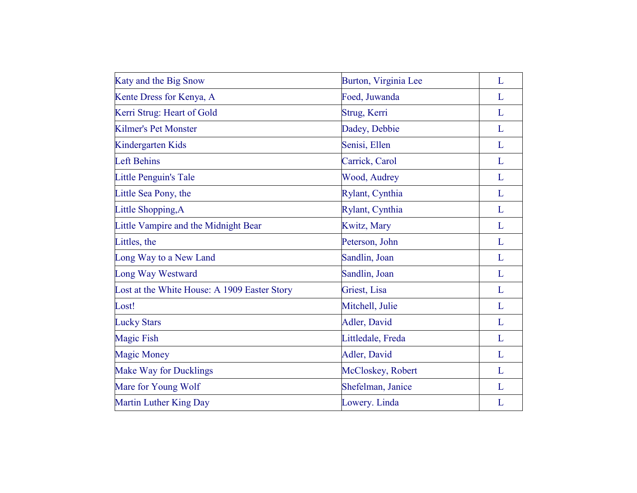| Katy and the Big Snow                        | Burton, Virginia Lee | L           |
|----------------------------------------------|----------------------|-------------|
| Kente Dress for Kenya, A                     | Foed, Juwanda        | L           |
| Kerri Strug: Heart of Gold                   | Strug, Kerri         | L           |
| <b>Kilmer's Pet Monster</b>                  | Dadey, Debbie        | $\mathbf L$ |
| Kindergarten Kids                            | Senisi, Ellen        | $\mathbf L$ |
| <b>Left Behins</b>                           | Carrick, Carol       | L           |
| Little Penguin's Tale                        | Wood, Audrey         | L           |
| Little Sea Pony, the                         | Rylant, Cynthia      | L           |
| Little Shopping, A                           | Rylant, Cynthia      | L           |
| Little Vampire and the Midnight Bear         | <b>Kwitz</b> , Mary  | L           |
| Littles, the                                 | Peterson, John       | L           |
| Long Way to a New Land                       | Sandlin, Joan        | L           |
| Long Way Westward                            | Sandlin, Joan        | $\mathbf L$ |
| Lost at the White House: A 1909 Easter Story | Griest, Lisa         | $\mathbf L$ |
| Lost!                                        | Mitchell, Julie      | L           |
| <b>Lucky Stars</b>                           | Adler, David         | L           |
| <b>Magic Fish</b>                            | Littledale, Freda    | L           |
| <b>Magic Money</b>                           | Adler, David         | L           |
| <b>Make Way for Ducklings</b>                | McCloskey, Robert    | L           |
| Mare for Young Wolf                          | Shefelman, Janice    | L           |
| Martin Luther King Day                       | Lowery. Linda        | L           |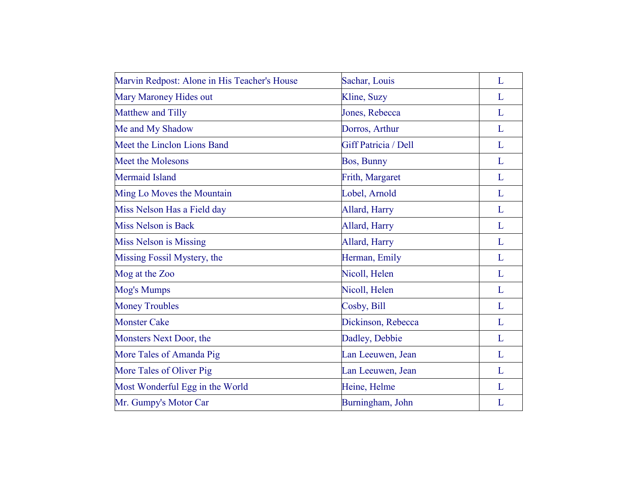| Marvin Redpost: Alone in His Teacher's House | Sachar, Louis        | L |
|----------------------------------------------|----------------------|---|
| Mary Maroney Hides out                       | Kline, Suzy          | L |
| Matthew and Tilly                            | Jones, Rebecca       | L |
| Me and My Shadow                             | Dorros, Arthur       | L |
| Meet the Linclon Lions Band                  | Giff Patricia / Dell | L |
| <b>Meet the Molesons</b>                     | Bos, Bunny           | L |
| <b>Mermaid Island</b>                        | Frith, Margaret      | L |
| Ming Lo Moves the Mountain                   | Lobel, Arnold        | L |
| Miss Nelson Has a Field day                  | Allard, Harry        | L |
| Miss Nelson is Back                          | Allard, Harry        | L |
| <b>Miss Nelson is Missing</b>                | Allard, Harry        | L |
| Missing Fossil Mystery, the                  | Herman, Emily        | L |
| Mog at the Zoo                               | Nicoll, Helen        | L |
| Mog's Mumps                                  | Nicoll, Helen        | L |
| <b>Money Troubles</b>                        | Cosby, Bill          | L |
| <b>Monster Cake</b>                          | Dickinson, Rebecca   | L |
| Monsters Next Door, the                      | Dadley, Debbie       | L |
| More Tales of Amanda Pig                     | Lan Leeuwen, Jean    | L |
| More Tales of Oliver Pig                     | Lan Leeuwen, Jean    | L |
| Most Wonderful Egg in the World              | Heine, Helme         | L |
| Mr. Gumpy's Motor Car                        | Burningham, John     | L |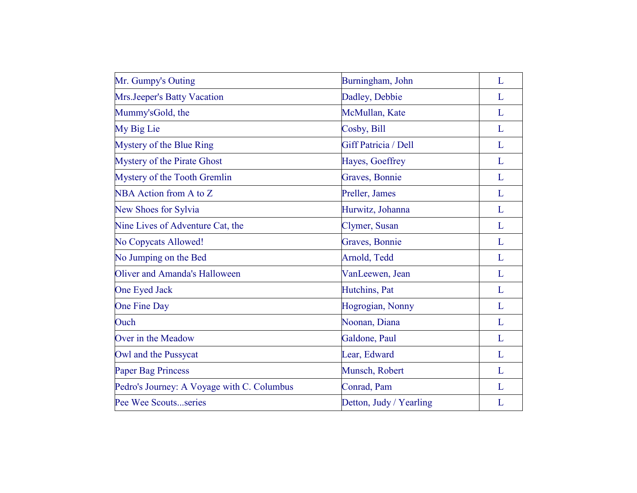| Mr. Gumpy's Outing                         | Burningham, John        | L |
|--------------------------------------------|-------------------------|---|
| Mrs.Jeeper's Batty Vacation                | Dadley, Debbie          | L |
| Mummy'sGold, the                           | McMullan, Kate          | L |
| My Big Lie                                 | Cosby, Bill             | L |
| Mystery of the Blue Ring                   | Giff Patricia / Dell    | L |
| Mystery of the Pirate Ghost                | Hayes, Goeffrey         | L |
| Mystery of the Tooth Gremlin               | Graves, Bonnie          | L |
| NBA Action from A to Z                     | Preller, James          | L |
| New Shoes for Sylvia                       | Hurwitz, Johanna        | L |
| Nine Lives of Adventure Cat, the           | Clymer, Susan           | L |
| No Copycats Allowed!                       | Graves, Bonnie          | L |
| No Jumping on the Bed                      | Arnold, Tedd            | L |
| Oliver and Amanda's Halloween              | VanLeewen, Jean         | L |
| One Eyed Jack                              | Hutchins, Pat           | L |
| One Fine Day                               | Hogrogian, Nonny        | L |
| Ouch                                       | Noonan, Diana           | L |
| Over in the Meadow                         | Galdone, Paul           | L |
| Owl and the Pussycat                       | Lear, Edward            | L |
| <b>Paper Bag Princess</b>                  | Munsch, Robert          | L |
| Pedro's Journey: A Voyage with C. Columbus | Conrad, Pam             | L |
| Pee Wee Scoutsseries                       | Detton, Judy / Yearling | L |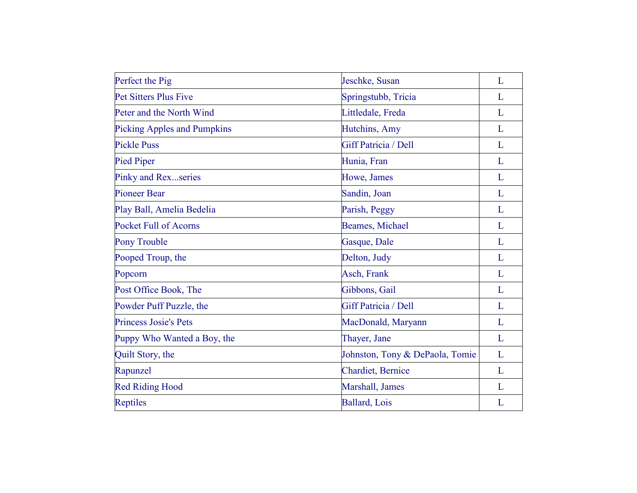| Perfect the Pig                    | Jeschke, Susan                  | L            |
|------------------------------------|---------------------------------|--------------|
| <b>Pet Sitters Plus Five</b>       | Springstubb, Tricia             | L            |
| Peter and the North Wind           | Littledale, Freda               | L            |
| <b>Picking Apples and Pumpkins</b> | Hutchins, Amy                   | L            |
| <b>Pickle Puss</b>                 | Giff Patricia / Dell            | L            |
| <b>Pied Piper</b>                  | Hunia, Fran                     | L            |
| Pinky and Rexseries                | Howe, James                     | L            |
| <b>Pioneer Bear</b>                | Sandin, Joan                    | L            |
| Play Ball, Amelia Bedelia          | Parish, Peggy                   | L            |
| <b>Pocket Full of Acorns</b>       | Beames, Michael                 | L            |
| Pony Trouble                       | Gasque, Dale                    | L            |
| Pooped Troup, the                  | Delton, Judy                    | $\mathbf{L}$ |
| Popcorn                            | Asch, Frank                     | L            |
| Post Office Book, The              | Gibbons, Gail                   | L            |
| Powder Puff Puzzle, the            | Giff Patricia / Dell            | L            |
| <b>Princess Josie's Pets</b>       | MacDonald, Maryann              | L            |
| Puppy Who Wanted a Boy, the        | Thayer, Jane                    | L            |
| Quilt Story, the                   | Johnston, Tony & DePaola, Tomie | L            |
| Rapunzel                           | <b>Chardiet</b> , Bernice       | L            |
| <b>Red Riding Hood</b>             | Marshall, James                 | L            |
| <b>Reptiles</b>                    | Ballard, Lois                   | L            |
|                                    |                                 |              |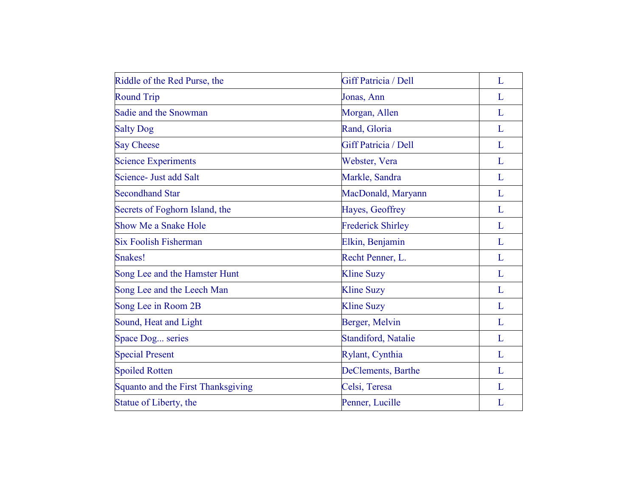| Riddle of the Red Purse, the       | Giff Patricia / Dell       | L            |
|------------------------------------|----------------------------|--------------|
| <b>Round Trip</b>                  | Jonas, Ann                 | L            |
| Sadie and the Snowman              | Morgan, Allen              | L            |
| <b>Salty Dog</b>                   | Rand, Gloria               | L            |
| <b>Say Cheese</b>                  | Giff Patricia / Dell       | L            |
| <b>Science Experiments</b>         | Webster, Vera              | L            |
| Science- Just add Salt             | Markle, Sandra             | L            |
| <b>Secondhand Star</b>             | MacDonald, Maryann         | L            |
| Secrets of Foghorn Island, the     | Hayes, Geoffrey            | L            |
| Show Me a Snake Hole               | <b>Frederick Shirley</b>   | L            |
| <b>Six Foolish Fisherman</b>       | Elkin, Benjamin            | L            |
| Snakes!                            | Recht Penner, L.           | L            |
| Song Lee and the Hamster Hunt      | <b>Kline Suzy</b>          | $\mathbf{L}$ |
| Song Lee and the Leech Man         | <b>Kline Suzy</b>          | L            |
| Song Lee in Room 2B                | <b>Kline Suzy</b>          | L            |
| Sound, Heat and Light              | Berger, Melvin             | L            |
| Space Dog series                   | <b>Standiford, Natalie</b> | L            |
| <b>Special Present</b>             | Rylant, Cynthia            | L            |
| <b>Spoiled Rotten</b>              | DeClements, Barthe         | L            |
| Squanto and the First Thanksgiving | Celsi, Teresa              | L            |
| Statue of Liberty, the             | Penner, Lucille            | L            |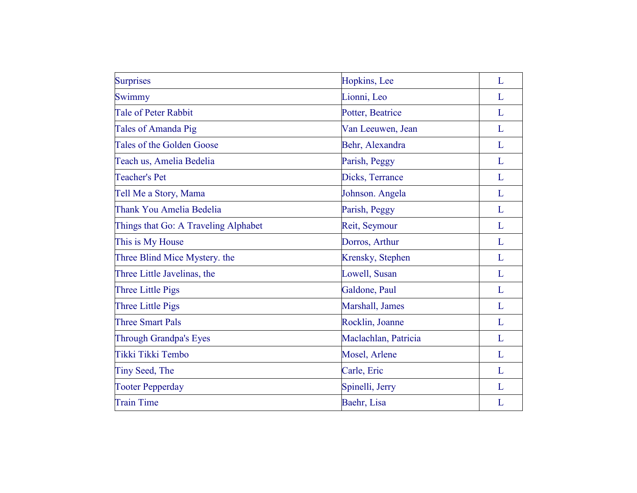| <b>Surprises</b>                     | Hopkins, Lee         | L           |
|--------------------------------------|----------------------|-------------|
| Swimmy                               | Lionni, Leo          | L           |
| <b>Tale of Peter Rabbit</b>          | Potter, Beatrice     | L           |
| Tales of Amanda Pig                  | Van Leeuwen, Jean    | L           |
| Tales of the Golden Goose            | Behr, Alexandra      | L           |
| Teach us, Amelia Bedelia             | Parish, Peggy        | L           |
| <b>Teacher's Pet</b>                 | Dicks, Terrance      | L           |
| Tell Me a Story, Mama                | Johnson. Angela      | L           |
| Thank You Amelia Bedelia             | Parish, Peggy        | L           |
| Things that Go: A Traveling Alphabet | Reit, Seymour        | $\mathbf L$ |
| This is My House                     | Dorros, Arthur       | L           |
| Three Blind Mice Mystery. the        | Krensky, Stephen     | L           |
| Three Little Javelinas, the          | Lowell, Susan        | L           |
| <b>Three Little Pigs</b>             | Galdone, Paul        | L           |
| <b>Three Little Pigs</b>             | Marshall, James      | L           |
| <b>Three Smart Pals</b>              | Rocklin, Joanne      | L           |
| <b>Through Grandpa's Eyes</b>        | Maclachlan, Patricia | L           |
| Tikki Tikki Tembo                    | Mosel, Arlene        | L           |
| Tiny Seed, The                       | Carle, Eric          | L           |
| <b>Tooter Pepperday</b>              | Spinelli, Jerry      | L           |
| <b>Train Time</b>                    | Baehr, Lisa          | L           |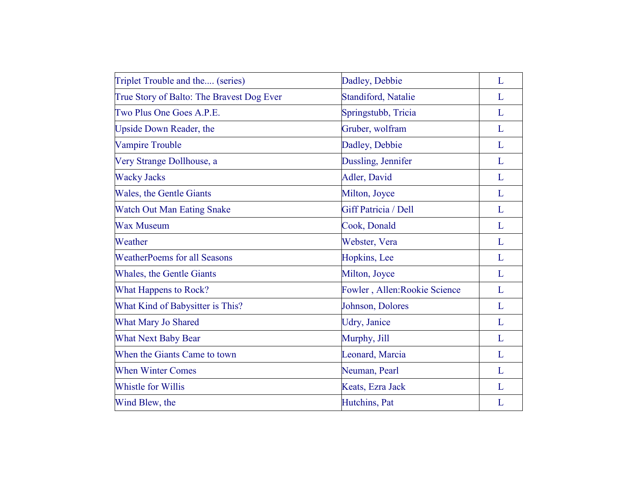| Triplet Trouble and the (series)          | Dadley, Debbie                | L |
|-------------------------------------------|-------------------------------|---|
| True Story of Balto: The Bravest Dog Ever | Standiford, Natalie           | L |
| Two Plus One Goes A.P.E.                  | Springstubb, Tricia           | L |
| Upside Down Reader, the                   | Gruber, wolfram               | L |
| <b>Vampire Trouble</b>                    | Dadley, Debbie                | L |
| Very Strange Dollhouse, a                 | Dussling, Jennifer            | L |
| <b>Wacky Jacks</b>                        | Adler, David                  | L |
| Wales, the Gentle Giants                  | Milton, Joyce                 | L |
| <b>Watch Out Man Eating Snake</b>         | <b>Giff Patricia / Dell</b>   | L |
| <b>Wax Museum</b>                         | Cook, Donald                  | L |
| Weather                                   | Webster, Vera                 | L |
| <b>WeatherPoems for all Seasons</b>       | Hopkins, Lee                  | L |
| Whales, the Gentle Giants                 | Milton, Joyce                 | L |
| <b>What Happens to Rock?</b>              | Fowler, Allen: Rookie Science | L |
| What Kind of Babysitter is This?          | Johnson, Dolores              | L |
| What Mary Jo Shared                       | Udry, Janice                  | L |
| <b>What Next Baby Bear</b>                | Murphy, Jill                  | L |
| When the Giants Came to town              | Leonard, Marcia               | L |
| <b>When Winter Comes</b>                  | Neuman, Pearl                 | L |
| Whistle for Willis                        | Keats, Ezra Jack              | L |
| Wind Blew, the                            | Hutchins, Pat                 | L |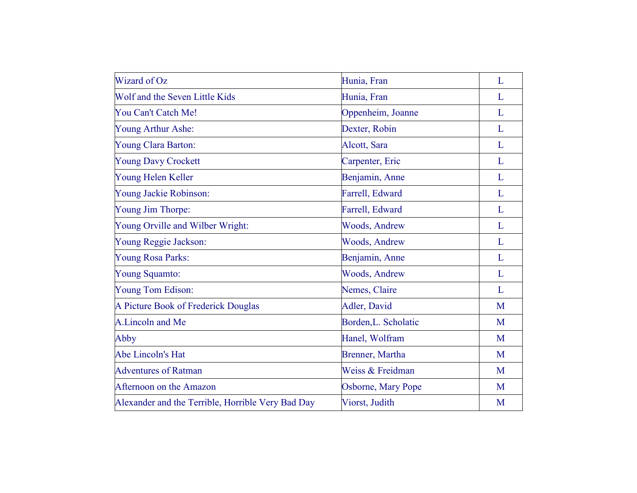| Wizard of Oz                                      | Hunia, Fran          | L |
|---------------------------------------------------|----------------------|---|
| Wolf and the Seven Little Kids                    | Hunia, Fran          | L |
| You Can't Catch Me!                               | Oppenheim, Joanne    | L |
| Young Arthur Ashe:                                | Dexter, Robin        | L |
| Young Clara Barton:                               | Alcott, Sara         | L |
| <b>Young Davy Crockett</b>                        | Carpenter, Eric      | L |
| Young Helen Keller                                | Benjamin, Anne       | L |
| Young Jackie Robinson:                            | Farrell, Edward      | L |
| Young Jim Thorpe:                                 | Farrell, Edward      | L |
| Young Orville and Wilber Wright:                  | <b>Woods, Andrew</b> | L |
| Young Reggie Jackson:                             | <b>Woods, Andrew</b> | L |
| Young Rosa Parks:                                 | Benjamin, Anne       | L |
| Young Squamto:                                    | <b>Woods, Andrew</b> | L |
| Young Tom Edison:                                 | Nemes, Claire        | L |
| A Picture Book of Frederick Douglas               | Adler, David         | M |
| A.Lincoln and Me                                  | Borden, L. Scholatic | M |
| Abby                                              | Hanel, Wolfram       | M |
| Abe Lincoln's Hat                                 | Brenner, Martha      | M |
| <b>Adventures of Ratman</b>                       | Weiss & Freidman     | M |
| Afternoon on the Amazon                           | Osborne, Mary Pope   | M |
| Alexander and the Terrible, Horrible Very Bad Day | Viorst, Judith       | M |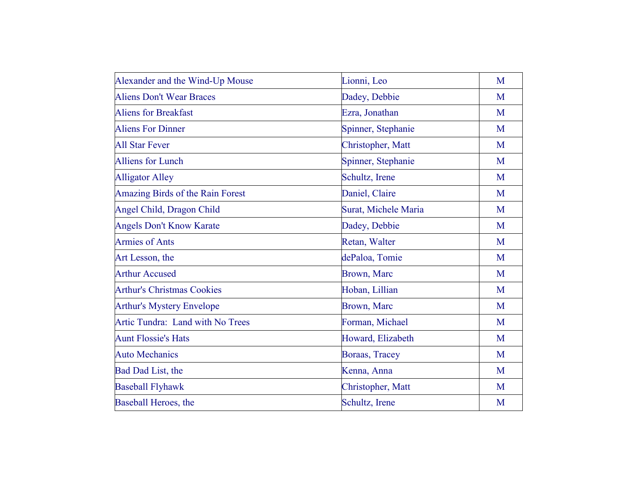| Alexander and the Wind-Up Mouse   | Lionni, Leo          | M |
|-----------------------------------|----------------------|---|
| <b>Aliens Don't Wear Braces</b>   | Dadey, Debbie        | M |
| <b>Aliens for Breakfast</b>       | Ezra, Jonathan       | M |
| <b>Aliens For Dinner</b>          | Spinner, Stephanie   | M |
| <b>All Star Fever</b>             | Christopher, Matt    | M |
| <b>Alliens for Lunch</b>          | Spinner, Stephanie   | M |
| <b>Alligator Alley</b>            | Schultz, Irene       | M |
| Amazing Birds of the Rain Forest  | Daniel, Claire       | M |
| Angel Child, Dragon Child         | Surat, Michele Maria | M |
| <b>Angels Don't Know Karate</b>   | Dadey, Debbie        | M |
| <b>Armies of Ants</b>             | Retan, Walter        | M |
| Art Lesson, the                   | dePaloa, Tomie       | M |
| <b>Arthur Accused</b>             | Brown, Marc          | M |
| <b>Arthur's Christmas Cookies</b> | Hoban, Lillian       | M |
| <b>Arthur's Mystery Envelope</b>  | <b>Brown</b> , Marc  | M |
| Artic Tundra: Land with No Trees  | Forman, Michael      | M |
| <b>Aunt Flossie's Hats</b>        | Howard, Elizabeth    | M |
| <b>Auto Mechanics</b>             | Boraas, Tracey       | M |
| Bad Dad List, the                 | Kenna, Anna          | M |
| <b>Baseball Flyhawk</b>           | Christopher, Matt    | M |
| Baseball Heroes, the              | Schultz, Irene       | M |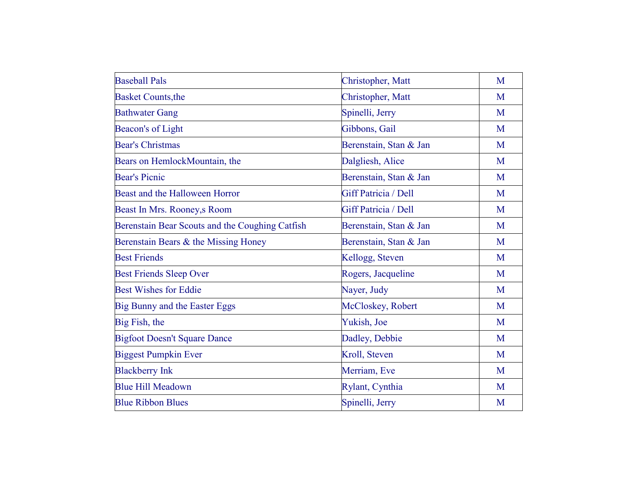| <b>Baseball Pals</b>                            | Christopher, Matt      | M |
|-------------------------------------------------|------------------------|---|
| <b>Basket Counts, the</b>                       | Christopher, Matt      | M |
| <b>Bathwater Gang</b>                           | Spinelli, Jerry        | M |
| Beacon's of Light                               | Gibbons, Gail          | M |
| <b>Bear's Christmas</b>                         | Berenstain, Stan & Jan | M |
| Bears on HemlockMountain, the                   | Dalgliesh, Alice       | M |
| <b>Bear's Picnic</b>                            | Berenstain, Stan & Jan | M |
| Beast and the Halloween Horror                  | Giff Patricia / Dell   | M |
| Beast In Mrs. Rooney, s Room                    | Giff Patricia / Dell   | M |
| Berenstain Bear Scouts and the Coughing Catfish | Berenstain, Stan & Jan | M |
| Berenstain Bears & the Missing Honey            | Berenstain, Stan & Jan | M |
| <b>Best Friends</b>                             | Kellogg, Steven        | M |
| <b>Best Friends Sleep Over</b>                  | Rogers, Jacqueline     | M |
| <b>Best Wishes for Eddie</b>                    | Nayer, Judy            | M |
| Big Bunny and the Easter Eggs                   | McCloskey, Robert      | M |
| Big Fish, the                                   | Yukish, Joe            | M |
| <b>Bigfoot Doesn't Square Dance</b>             | Dadley, Debbie         | M |
| <b>Biggest Pumpkin Ever</b>                     | Kroll, Steven          | M |
| <b>Blackberry Ink</b>                           | Merriam, Eve           | M |
| <b>Blue Hill Meadown</b>                        | Rylant, Cynthia        | M |
| <b>Blue Ribbon Blues</b>                        | Spinelli, Jerry        | M |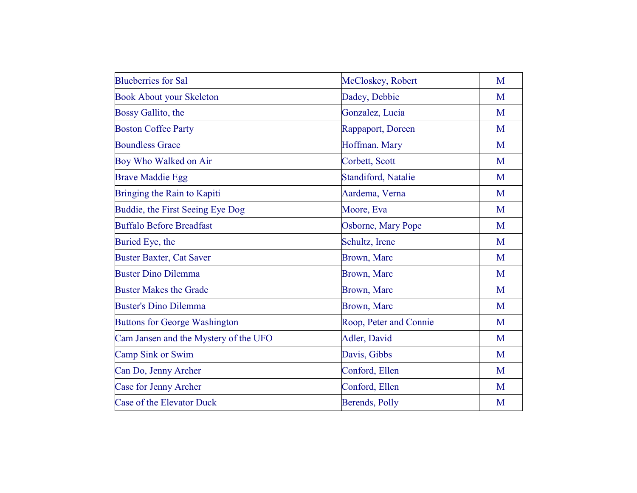| <b>Blueberries for Sal</b>            | McCloskey, Robert          | M |
|---------------------------------------|----------------------------|---|
| <b>Book About your Skeleton</b>       | Dadey, Debbie              | M |
| Bossy Gallito, the                    | Gonzalez, Lucia            | M |
| <b>Boston Coffee Party</b>            | Rappaport, Doreen          | M |
| <b>Boundless Grace</b>                | Hoffman. Mary              | M |
| Boy Who Walked on Air                 | Corbett, Scott             | M |
| <b>Brave Maddie Egg</b>               | <b>Standiford, Natalie</b> | M |
| Bringing the Rain to Kapiti           | Aardema, Verna             | M |
| Buddie, the First Seeing Eye Dog      | Moore, Eva                 | M |
| <b>Buffalo Before Breadfast</b>       | Osborne, Mary Pope         | M |
| Buried Eye, the                       | Schultz, Irene             | M |
| <b>Buster Baxter, Cat Saver</b>       | <b>Brown</b> , Marc        | M |
| <b>Buster Dino Dilemma</b>            | Brown, Marc                | M |
| <b>Buster Makes the Grade</b>         | Brown, Marc                | M |
| <b>Buster's Dino Dilemma</b>          | Brown, Marc                | M |
| <b>Buttons for George Washington</b>  | Roop, Peter and Connie     | M |
| Cam Jansen and the Mystery of the UFO | Adler, David               | M |
| Camp Sink or Swim                     | Davis, Gibbs               | M |
| Can Do, Jenny Archer                  | Conford, Ellen             | M |
| Case for Jenny Archer                 | Conford, Ellen             | M |
| Case of the Elevator Duck             | Berends, Polly             | M |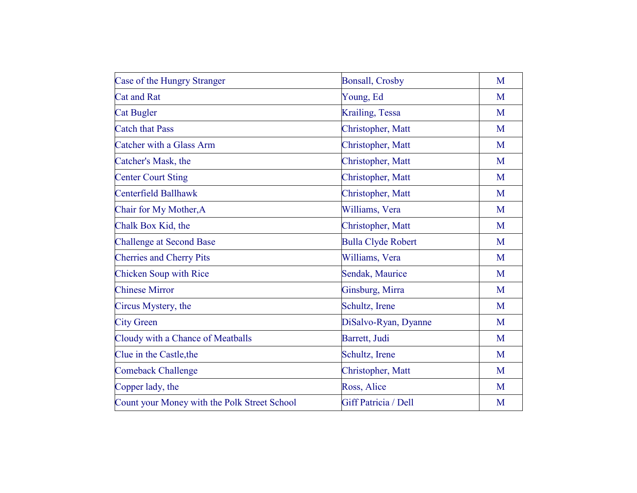| Case of the Hungry Stranger                  | <b>Bonsall, Crosby</b>    | M |
|----------------------------------------------|---------------------------|---|
| <b>Cat and Rat</b>                           | Young, Ed                 | M |
| <b>Cat Bugler</b>                            | Krailing, Tessa           | M |
| <b>Catch that Pass</b>                       | Christopher, Matt         | M |
| Catcher with a Glass Arm                     | Christopher, Matt         | M |
| Catcher's Mask, the                          | Christopher, Matt         | M |
| <b>Center Court Sting</b>                    | Christopher, Matt         | M |
| Centerfield Ballhawk                         | Christopher, Matt         | M |
| Chair for My Mother, A                       | Williams, Vera            | M |
| Chalk Box Kid, the                           | Christopher, Matt         | M |
| <b>Challenge at Second Base</b>              | <b>Bulla Clyde Robert</b> | M |
| <b>Cherries and Cherry Pits</b>              | Williams, Vera            | M |
| <b>Chicken Soup with Rice</b>                | Sendak, Maurice           | M |
| <b>Chinese Mirror</b>                        | Ginsburg, Mirra           | M |
| Circus Mystery, the                          | Schultz, Irene            | M |
| <b>City Green</b>                            | DiSalvo-Ryan, Dyanne      | M |
| Cloudy with a Chance of Meatballs            | Barrett, Judi             | M |
| Clue in the Castle, the                      | Schultz, Irene            | M |
| <b>Comeback Challenge</b>                    | Christopher, Matt         | M |
| Copper lady, the                             | Ross, Alice               | M |
| Count your Money with the Polk Street School | Giff Patricia / Dell      | M |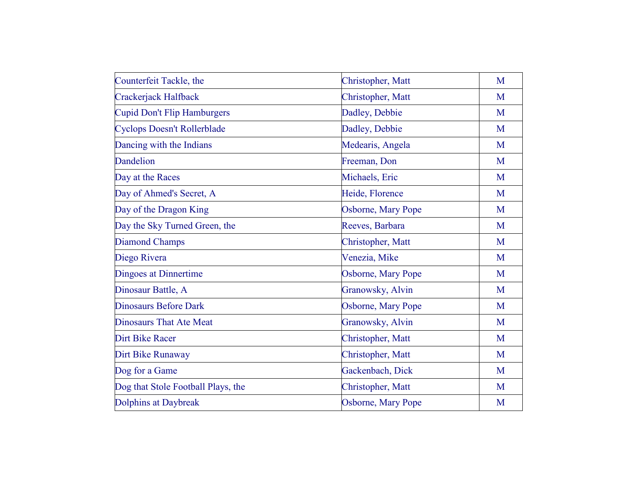| Christopher, Matt  | M |
|--------------------|---|
| Christopher, Matt  | M |
| Dadley, Debbie     | M |
| Dadley, Debbie     | M |
| Medearis, Angela   | M |
| Freeman, Don       | M |
| Michaels, Eric     | M |
| Heide, Florence    | M |
| Osborne, Mary Pope | M |
| Reeves, Barbara    | M |
| Christopher, Matt  | M |
| Venezia, Mike      | M |
| Osborne, Mary Pope | M |
| Granowsky, Alvin   | M |
| Osborne, Mary Pope | M |
| Granowsky, Alvin   | M |
| Christopher, Matt  | M |
| Christopher, Matt  | M |
| Gackenbach, Dick   | M |
| Christopher, Matt  | M |
| Osborne, Mary Pope | M |
|                    |   |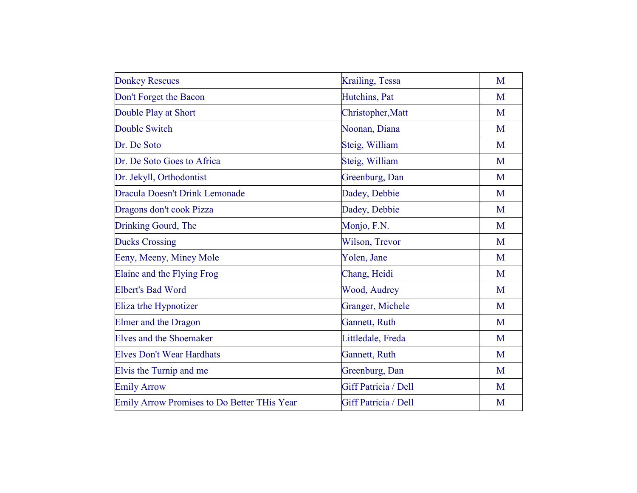| <b>Donkey Rescues</b>                              | Krailing, Tessa      | M |
|----------------------------------------------------|----------------------|---|
| Don't Forget the Bacon                             | Hutchins, Pat        | M |
| Double Play at Short                               | Christopher, Matt    | M |
| <b>Double Switch</b>                               | Noonan, Diana        | M |
| Dr. De Soto                                        | Steig, William       | M |
| Dr. De Soto Goes to Africa                         | Steig, William       | M |
| Dr. Jekyll, Orthodontist                           | Greenburg, Dan       | M |
| <b>Dracula Doesn't Drink Lemonade</b>              | Dadey, Debbie        | M |
| Dragons don't cook Pizza                           | Dadey, Debbie        | M |
| Drinking Gourd, The                                | Monjo, F.N.          | M |
| <b>Ducks Crossing</b>                              | Wilson, Trevor       | M |
| Eeny, Meeny, Miney Mole                            | Yolen, Jane          | M |
| Elaine and the Flying Frog                         | Chang, Heidi         | M |
| <b>Elbert's Bad Word</b>                           | Wood, Audrey         | M |
| Eliza trhe Hypnotizer                              | Granger, Michele     | M |
| <b>Elmer</b> and the Dragon                        | Gannett, Ruth        | M |
| <b>Elves and the Shoemaker</b>                     | Littledale, Freda    | M |
| <b>Elves Don't Wear Hardhats</b>                   | Gannett, Ruth        | M |
| Elvis the Turnip and me                            | Greenburg, Dan       | M |
| <b>Emily Arrow</b>                                 | Giff Patricia / Dell | M |
| <b>Emily Arrow Promises to Do Better THis Year</b> | Giff Patricia / Dell | M |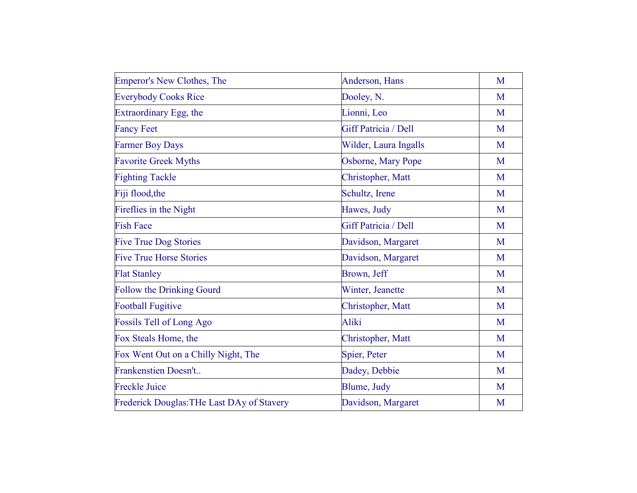| Emperor's New Clothes, The                        | Anderson, Hans        | M |
|---------------------------------------------------|-----------------------|---|
| <b>Everybody Cooks Rice</b>                       | Dooley, N.            | M |
| Extraordinary Egg, the                            | Lionni, Leo           | M |
| <b>Fancy Feet</b>                                 | Giff Patricia / Dell  | M |
| <b>Farmer Boy Days</b>                            | Wilder, Laura Ingalls | M |
| <b>Favorite Greek Myths</b>                       | Osborne, Mary Pope    | M |
| <b>Fighting Tackle</b>                            | Christopher, Matt     | M |
| Fiji flood, the                                   | Schultz, Irene        | M |
| Fireflies in the Night                            | Hawes, Judy           | M |
| <b>Fish Face</b>                                  | Giff Patricia / Dell  | M |
| <b>Five True Dog Stories</b>                      | Davidson, Margaret    | M |
| <b>Five True Horse Stories</b>                    | Davidson, Margaret    | M |
| <b>Flat Stanley</b>                               | Brown, Jeff           | M |
| <b>Follow the Drinking Gourd</b>                  | Winter, Jeanette      | M |
| <b>Football Fugitive</b>                          | Christopher, Matt     | M |
| <b>Fossils Tell of Long Ago</b>                   | Aliki                 | M |
| Fox Steals Home, the                              | Christopher, Matt     | M |
| Fox Went Out on a Chilly Night, The               | Spier, Peter          | M |
| Frankenstien Doesn't                              | Dadey, Debbie         | M |
| <b>Freckle Juice</b>                              | Blume, Judy           | M |
| <b>Frederick Douglas: THe Last DAy of Stavery</b> | Davidson, Margaret    | M |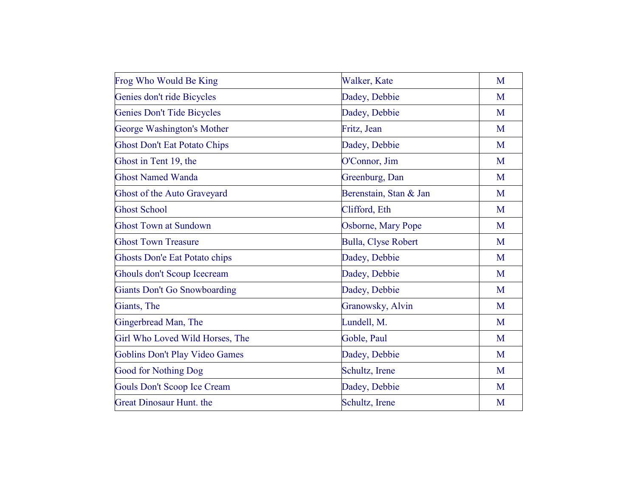| Frog Who Would Be King              | Walker, Kate           | M |
|-------------------------------------|------------------------|---|
| Genies don't ride Bicycles          | Dadey, Debbie          | M |
| Genies Don't Tide Bicycles          | Dadey, Debbie          | M |
| George Washington's Mother          | Fritz, Jean            | M |
| <b>Ghost Don't Eat Potato Chips</b> | Dadey, Debbie          | M |
| Ghost in Tent 19, the               | O'Connor, Jim          | M |
| <b>Ghost Named Wanda</b>            | Greenburg, Dan         | M |
| Ghost of the Auto Graveyard         | Berenstain, Stan & Jan | M |
| <b>Ghost School</b>                 | Clifford, Eth          | M |
| <b>Ghost Town at Sundown</b>        | Osborne, Mary Pope     | M |
| <b>Ghost Town Treasure</b>          | Bulla, Clyse Robert    | M |
| Ghosts Don'e Eat Potato chips       | Dadey, Debbie          | M |
| Ghouls don't Scoup Icecream         | Dadey, Debbie          | M |
| <b>Giants Don't Go Snowboarding</b> | Dadey, Debbie          | M |
| Giants, The                         | Granowsky, Alvin       | M |
| Gingerbread Man, The                | Lundell, M.            | M |
| Girl Who Loved Wild Horses, The     | Goble, Paul            | M |
| Goblins Don't Play Video Games      | Dadey, Debbie          | M |
| <b>Good for Nothing Dog</b>         | Schultz, Irene         | M |
| <b>Gouls Don't Scoop Ice Cream</b>  | Dadey, Debbie          | M |
| <b>Great Dinosaur Hunt. the</b>     | Schultz, Irene         | M |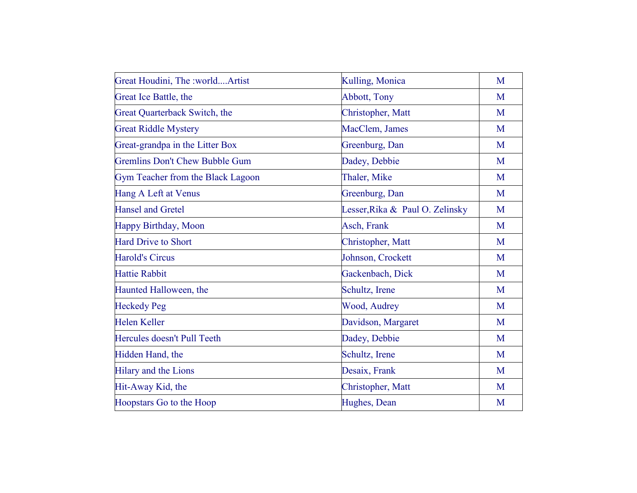| Great Houdini, The :worldArtist       | Kulling, Monica                 | M |
|---------------------------------------|---------------------------------|---|
| Great Ice Battle, the                 | <b>Abbott</b> , Tony            | M |
| Great Quarterback Switch, the         | Christopher, Matt               | M |
| <b>Great Riddle Mystery</b>           | MacClem, James                  | M |
| Great-grandpa in the Litter Box       | Greenburg, Dan                  | M |
| <b>Gremlins Don't Chew Bubble Gum</b> | Dadey, Debbie                   | M |
| Gym Teacher from the Black Lagoon     | Thaler, Mike                    | M |
| Hang A Left at Venus                  | Greenburg, Dan                  | M |
| <b>Hansel and Gretel</b>              | Lesser, Rika & Paul O. Zelinsky | M |
| Happy Birthday, Moon                  | Asch, Frank                     | M |
| <b>Hard Drive to Short</b>            | Christopher, Matt               | M |
| <b>Harold's Circus</b>                | Johnson, Crockett               | M |
| <b>Hattie Rabbit</b>                  | Gackenbach, Dick                | M |
| Haunted Halloween, the                | Schultz, Irene                  | M |
| <b>Heckedy Peg</b>                    | Wood, Audrey                    | M |
| <b>Helen Keller</b>                   | Davidson, Margaret              | M |
| Hercules doesn't Pull Teeth           | Dadey, Debbie                   | M |
| Hidden Hand, the                      | Schultz, Irene                  | M |
| Hilary and the Lions                  | Desaix, Frank                   | M |
| Hit-Away Kid, the                     | Christopher, Matt               | M |
| Hoopstars Go to the Hoop              | Hughes, Dean                    | M |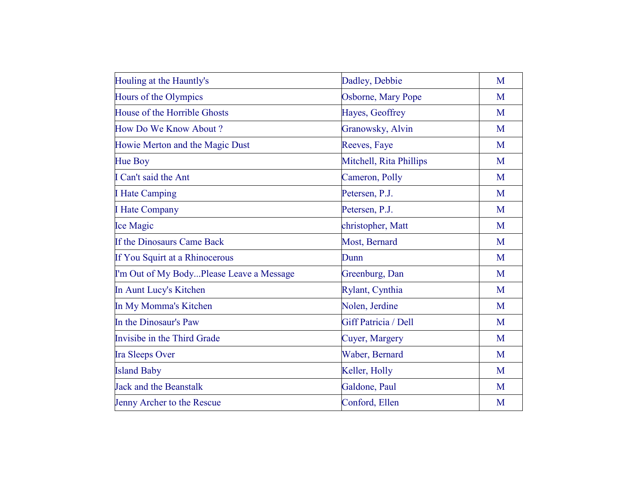| Houling at the Hauntly's                 | Dadley, Debbie          | M |
|------------------------------------------|-------------------------|---|
| Hours of the Olympics                    | Osborne, Mary Pope      | M |
| House of the Horrible Ghosts             | Hayes, Geoffrey         | M |
| How Do We Know About?                    | Granowsky, Alvin        | M |
| Howie Merton and the Magic Dust          | Reeves, Faye            | M |
| Hue Boy                                  | Mitchell, Rita Phillips | M |
| I Can't said the Ant                     | Cameron, Polly          | M |
| <b>I</b> Hate Camping                    | Petersen, P.J.          | M |
| <b>I</b> Hate Company                    | Petersen, P.J.          | M |
| <b>Ice Magic</b>                         | christopher, Matt       | M |
| If the Dinosaurs Came Back               | Most, Bernard           | M |
| If You Squirt at a Rhinocerous           | Dunn                    | M |
| I'm Out of My BodyPlease Leave a Message | Greenburg, Dan          | M |
| In Aunt Lucy's Kitchen                   | Rylant, Cynthia         | M |
| In My Momma's Kitchen                    | Nolen, Jerdine          | M |
| In the Dinosaur's Paw                    | Giff Patricia / Dell    | M |
| Invisibe in the Third Grade              | Cuyer, Margery          | M |
| <b>Ira Sleeps Over</b>                   | Waber, Bernard          | M |
| <b>Island Baby</b>                       | Keller, Holly           | M |
| <b>Jack and the Beanstalk</b>            | Galdone, Paul           | M |
| Jenny Archer to the Rescue               | Conford, Ellen          | M |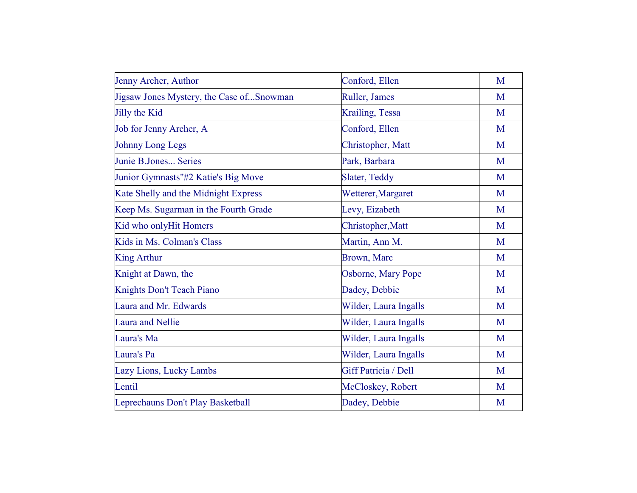| Jenny Archer, Author                     | Conford, Ellen        | M |
|------------------------------------------|-----------------------|---|
| Jigsaw Jones Mystery, the Case ofSnowman | Ruller, James         | M |
| Jilly the Kid                            | Krailing, Tessa       | M |
| Job for Jenny Archer, A                  | Conford, Ellen        | M |
| <b>Johnny Long Legs</b>                  | Christopher, Matt     | M |
| Junie B.Jones Series                     | Park, Barbara         | M |
| Junior Gymnasts"#2 Katie's Big Move      | Slater, Teddy         | M |
| Kate Shelly and the Midnight Express     | Wetterer, Margaret    | M |
| Keep Ms. Sugarman in the Fourth Grade    | Levy, Eizabeth        | M |
| Kid who onlyHit Homers                   | Christopher, Matt     | M |
| Kids in Ms. Colman's Class               | Martin, Ann M.        | M |
| <b>King Arthur</b>                       | <b>Brown</b> , Marc   | M |
| Knight at Dawn, the                      | Osborne, Mary Pope    | M |
| Knights Don't Teach Piano                | Dadey, Debbie         | M |
| Laura and Mr. Edwards                    | Wilder, Laura Ingalls | M |
| <b>Laura and Nellie</b>                  | Wilder, Laura Ingalls | M |
| Laura's Ma                               | Wilder, Laura Ingalls | M |
| Laura's Pa                               | Wilder, Laura Ingalls | M |
| Lazy Lions, Lucky Lambs                  | Giff Patricia / Dell  | M |
| Lentil                                   | McCloskey, Robert     | M |
| Leprechauns Don't Play Basketball        | Dadey, Debbie         | M |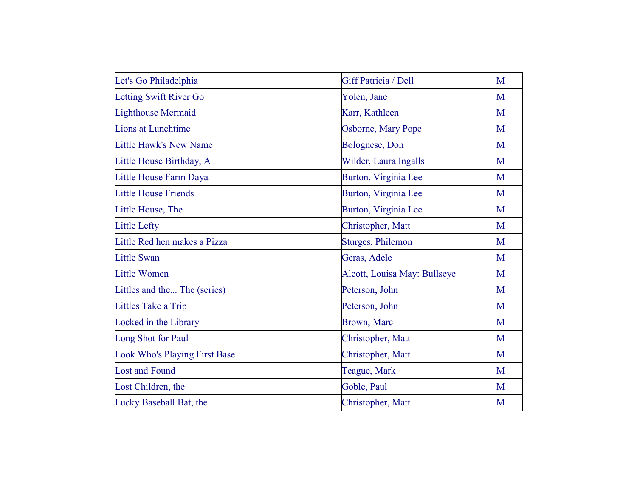| Let's Go Philadelphia                | Giff Patricia / Dell         | M |
|--------------------------------------|------------------------------|---|
| Letting Swift River Go               | Yolen, Jane                  | M |
| <b>Lighthouse Mermaid</b>            | Karr, Kathleen               | M |
| <b>Lions at Lunchtime</b>            | Osborne, Mary Pope           | M |
| Little Hawk's New Name               | Bolognese, Don               | M |
| Little House Birthday, A             | Wilder, Laura Ingalls        | M |
| Little House Farm Daya               | Burton, Virginia Lee         | M |
| <b>Little House Friends</b>          | Burton, Virginia Lee         | M |
| Little House, The                    | Burton, Virginia Lee         | M |
| <b>Little Lefty</b>                  | Christopher, Matt            | M |
| Little Red hen makes a Pizza         | <b>Sturges, Philemon</b>     | M |
| <b>Little Swan</b>                   | Geras, Adele                 | M |
| <b>Little Women</b>                  | Alcott, Louisa May: Bullseye | M |
| Littles and the The (series)         | Peterson, John               | M |
| Littles Take a Trip                  | Peterson, John               | M |
| Locked in the Library                | Brown, Marc                  | M |
| Long Shot for Paul                   | Christopher, Matt            | M |
| <b>Look Who's Playing First Base</b> | Christopher, Matt            | M |
| <b>Lost and Found</b>                | Teague, Mark                 | M |
| Lost Children, the                   | Goble, Paul                  | M |
| Lucky Baseball Bat, the              | Christopher, Matt            | M |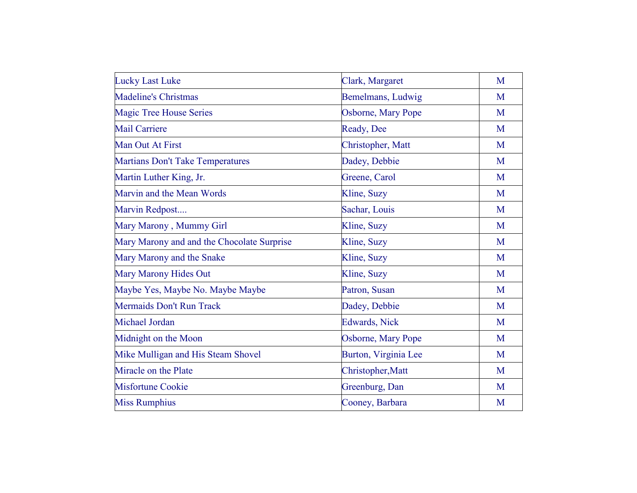| <b>Lucky Last Luke</b>                     | Clark, Margaret       | M |
|--------------------------------------------|-----------------------|---|
| <b>Madeline's Christmas</b>                | Bemelmans, Ludwig     | M |
| <b>Magic Tree House Series</b>             | Osborne, Mary Pope    | M |
| <b>Mail Carriere</b>                       | Ready, Dee            | M |
| Man Out At First                           | Christopher, Matt     | M |
| <b>Martians Don't Take Temperatures</b>    | Dadey, Debbie         | M |
| Martin Luther King, Jr.                    | Greene, Carol         | M |
| Marvin and the Mean Words                  | Kline, Suzy           | M |
| Marvin Redpost                             | Sachar, Louis         | M |
| Mary Marony, Mummy Girl                    | Kline, Suzy           | M |
| Mary Marony and and the Chocolate Surprise | Kline, Suzy           | M |
| Mary Marony and the Snake                  | Kline, Suzy           | M |
| <b>Mary Marony Hides Out</b>               | Kline, Suzy           | M |
| Maybe Yes, Maybe No. Maybe Maybe           | Patron, Susan         | M |
| Mermaids Don't Run Track                   | Dadey, Debbie         | M |
| Michael Jordan                             | <b>Edwards</b> , Nick | M |
| Midnight on the Moon                       | Osborne, Mary Pope    | M |
| Mike Mulligan and His Steam Shovel         | Burton, Virginia Lee  | M |
| Miracle on the Plate                       | Christopher, Matt     | M |
| <b>Misfortune Cookie</b>                   | Greenburg, Dan        | M |
| <b>Miss Rumphius</b>                       | Cooney, Barbara       | M |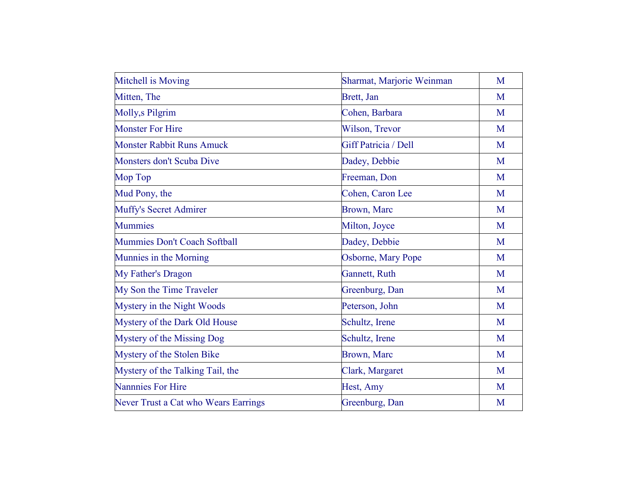| Mitchell is Moving                   | Sharmat, Marjorie Weinman | M |
|--------------------------------------|---------------------------|---|
| Mitten, The                          | Brett, Jan                | M |
| Molly, sPilgrim                      | Cohen, Barbara            | M |
| <b>Monster For Hire</b>              | Wilson, Trevor            | M |
| <b>Monster Rabbit Runs Amuck</b>     | Giff Patricia / Dell      | M |
| Monsters don't Scuba Dive            | Dadey, Debbie             | M |
| Mop Top                              | Freeman, Don              | M |
| Mud Pony, the                        | Cohen, Caron Lee          | M |
| <b>Muffy's Secret Admirer</b>        | Brown, Marc               | M |
| <b>Mummies</b>                       | Milton, Joyce             | M |
| Mummies Don't Coach Softball         | Dadey, Debbie             | M |
| Munnies in the Morning               | Osborne, Mary Pope        | M |
| My Father's Dragon                   | Gannett, Ruth             | M |
| My Son the Time Traveler             | Greenburg, Dan            | M |
| Mystery in the Night Woods           | Peterson, John            | M |
| Mystery of the Dark Old House        | Schultz, Irene            | M |
| Mystery of the Missing Dog           | Schultz, Irene            | M |
| Mystery of the Stolen Bike           | Brown, Marc               | M |
| Mystery of the Talking Tail, the     | Clark, Margaret           | M |
| <b>Nannnies For Hire</b>             | Hest, Amy                 | M |
| Never Trust a Cat who Wears Earrings | Greenburg, Dan            | M |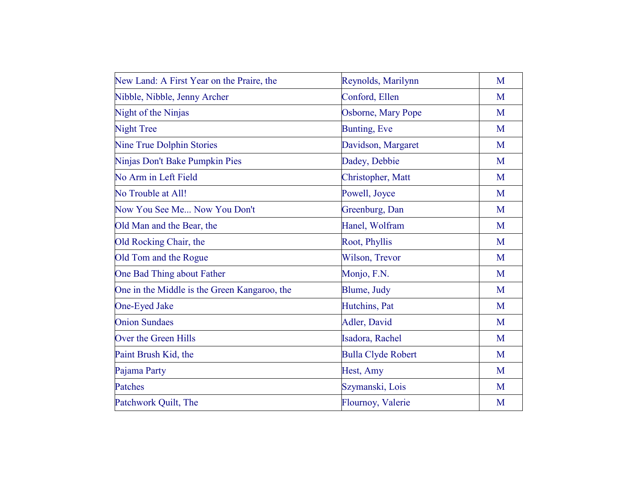| New Land: A First Year on the Praire, the    | Reynolds, Marilynn        | M |
|----------------------------------------------|---------------------------|---|
| Nibble, Nibble, Jenny Archer                 | Conford, Ellen            | M |
| Night of the Ninjas                          | Osborne, Mary Pope        | M |
| <b>Night Tree</b>                            | <b>Bunting, Eve</b>       | M |
| Nine True Dolphin Stories                    | Davidson, Margaret        | M |
| Ninjas Don't Bake Pumpkin Pies               | Dadey, Debbie             | M |
| No Arm in Left Field                         | Christopher, Matt         | M |
| No Trouble at All!                           | Powell, Joyce             | M |
| Now You See Me Now You Don't                 | Greenburg, Dan            | M |
| Old Man and the Bear, the                    | Hanel, Wolfram            | M |
| Old Rocking Chair, the                       | Root, Phyllis             | M |
| Old Tom and the Rogue                        | Wilson, Trevor            | M |
| One Bad Thing about Father                   | Monjo, F.N.               | M |
| One in the Middle is the Green Kangaroo, the | Blume, Judy               | M |
| One-Eyed Jake                                | Hutchins, Pat             | M |
| <b>Onion Sundaes</b>                         | Adler, David              | M |
| Over the Green Hills                         | Isadora, Rachel           | M |
| Paint Brush Kid, the                         | <b>Bulla Clyde Robert</b> | M |
| Pajama Party                                 | Hest, Amy                 | M |
| Patches                                      | Szymanski, Lois           | M |
| Patchwork Quilt, The                         | Flournoy, Valerie         | M |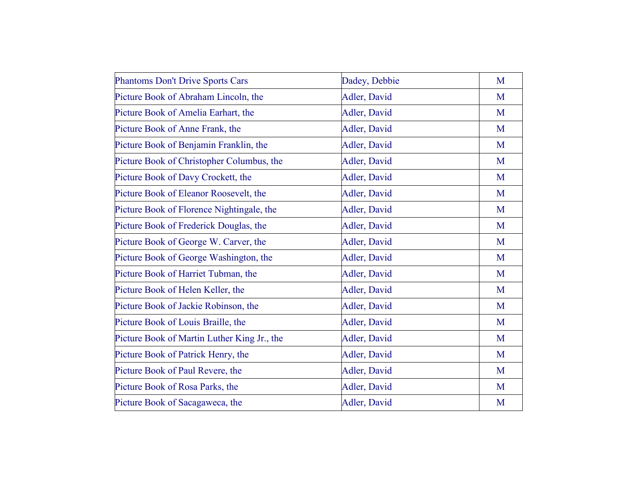| <b>Phantoms Don't Drive Sports Cars</b>     | Dadey, Debbie | M |
|---------------------------------------------|---------------|---|
| Picture Book of Abraham Lincoln, the        | Adler, David  | M |
| Picture Book of Amelia Earhart, the         | Adler, David  | M |
| Picture Book of Anne Frank, the             | Adler, David  | M |
| Picture Book of Benjamin Franklin, the      | Adler, David  | M |
| Picture Book of Christopher Columbus, the   | Adler, David  | M |
| Picture Book of Davy Crockett, the          | Adler, David  | M |
| Picture Book of Eleanor Roosevelt, the      | Adler, David  | M |
| Picture Book of Florence Nightingale, the   | Adler, David  | M |
| Picture Book of Frederick Douglas, the      | Adler, David  | M |
| Picture Book of George W. Carver, the       | Adler, David  | M |
| Picture Book of George Washington, the      | Adler, David  | M |
| Picture Book of Harriet Tubman, the         | Adler, David  | M |
| Picture Book of Helen Keller, the           | Adler, David  | M |
| Picture Book of Jackie Robinson, the        | Adler, David  | M |
| Picture Book of Louis Braille, the          | Adler, David  | M |
| Picture Book of Martin Luther King Jr., the | Adler, David  | M |
| Picture Book of Patrick Henry, the          | Adler, David  | M |
| Picture Book of Paul Revere, the            | Adler, David  | M |
| Picture Book of Rosa Parks, the             | Adler, David  | M |
| Picture Book of Sacagaweca, the             | Adler, David  | M |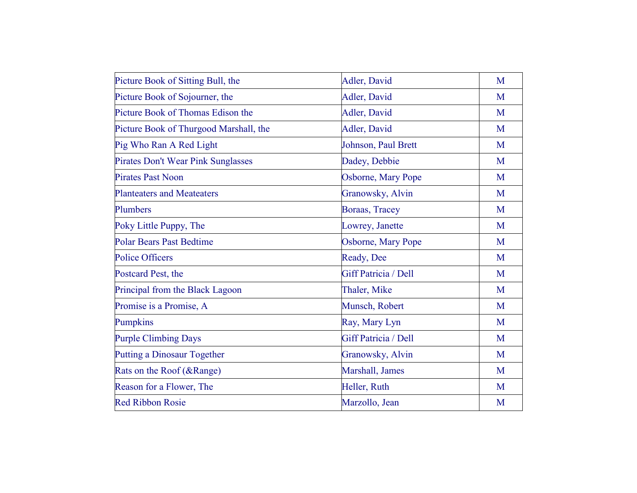| Picture Book of Sitting Bull, the         | Adler, David         | M |
|-------------------------------------------|----------------------|---|
| Picture Book of Sojourner, the            | Adler, David         | M |
| Picture Book of Thomas Edison the         | Adler, David         | M |
| Picture Book of Thurgood Marshall, the    | Adler, David         | M |
| Pig Who Ran A Red Light                   | Johnson, Paul Brett  | M |
| <b>Pirates Don't Wear Pink Sunglasses</b> | Dadey, Debbie        | M |
| <b>Pirates Past Noon</b>                  | Osborne, Mary Pope   | M |
| <b>Planteaters and Meateaters</b>         | Granowsky, Alvin     | M |
| Plumbers                                  | Boraas, Tracey       | M |
| Poky Little Puppy, The                    | Lowrey, Janette      | M |
| <b>Polar Bears Past Bedtime</b>           | Osborne, Mary Pope   | M |
| <b>Police Officers</b>                    | Ready, Dee           | M |
| Postcard Pest, the                        | Giff Patricia / Dell | M |
| Principal from the Black Lagoon           | Thaler, Mike         | M |
| Promise is a Promise, A                   | Munsch, Robert       | M |
| <b>Pumpkins</b>                           | Ray, Mary Lyn        | M |
| <b>Purple Climbing Days</b>               | Giff Patricia / Dell | M |
| <b>Putting a Dinosaur Together</b>        | Granowsky, Alvin     | M |
| Rats on the Roof (&Range)                 | Marshall, James      | M |
| Reason for a Flower, The                  | Heller, Ruth         | M |
| <b>Red Ribbon Rosie</b>                   | Marzollo, Jean       | M |
|                                           |                      |   |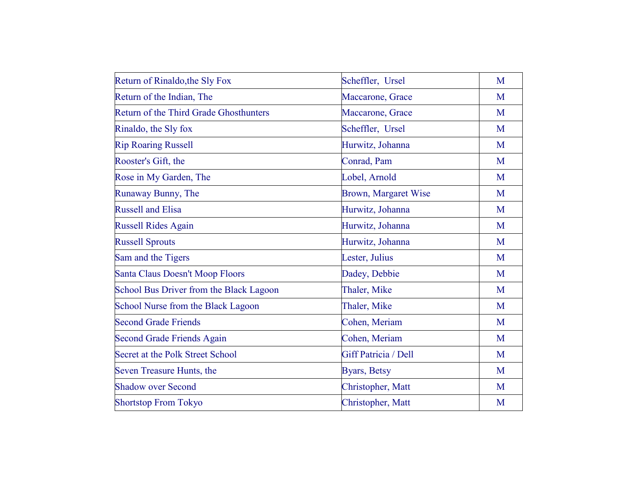| Return of Rinaldo, the Sly Fox                | Scheffler, Ursel            | M |
|-----------------------------------------------|-----------------------------|---|
| Return of the Indian, The                     | Maccarone, Grace            | M |
| <b>Return of the Third Grade Ghosthunters</b> | Maccarone, Grace            | M |
| Rinaldo, the Sly fox                          | Scheffler, Ursel            | M |
| <b>Rip Roaring Russell</b>                    | Hurwitz, Johanna            | M |
| Rooster's Gift, the                           | Conrad, Pam                 | M |
| Rose in My Garden, The                        | Lobel, Arnold               | M |
| Runaway Bunny, The                            | <b>Brown, Margaret Wise</b> | M |
| <b>Russell and Elisa</b>                      | Hurwitz, Johanna            | M |
| <b>Russell Rides Again</b>                    | Hurwitz, Johanna            | M |
| <b>Russell Sprouts</b>                        | Hurwitz, Johanna            | M |
| Sam and the Tigers                            | Lester, Julius              | M |
| <b>Santa Claus Doesn't Moop Floors</b>        | Dadey, Debbie               | M |
| School Bus Driver from the Black Lagoon       | Thaler, Mike                | M |
| School Nurse from the Black Lagoon            | Thaler, Mike                | M |
| <b>Second Grade Friends</b>                   | Cohen, Meriam               | M |
| <b>Second Grade Friends Again</b>             | Cohen, Meriam               | M |
| Secret at the Polk Street School              | Giff Patricia / Dell        | M |
| Seven Treasure Hunts, the                     | <b>Byars</b> , Betsy        | M |
| <b>Shadow over Second</b>                     | Christopher, Matt           | M |
| <b>Shortstop From Tokyo</b>                   | Christopher, Matt           | M |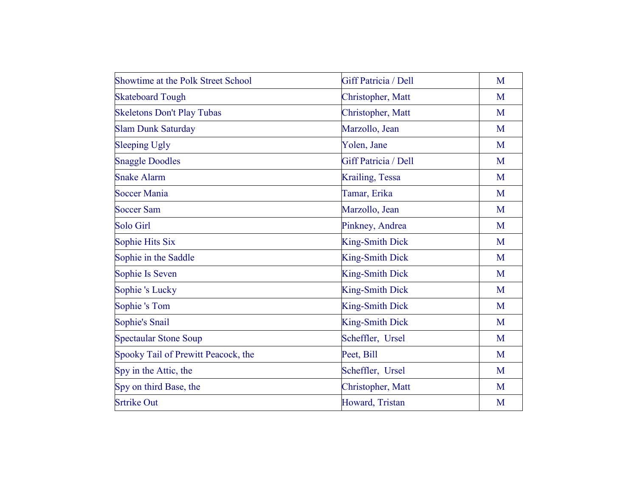| <b>Showtime at the Polk Street School</b> | Giff Patricia / Dell   | M |
|-------------------------------------------|------------------------|---|
| <b>Skateboard Tough</b>                   | Christopher, Matt      | M |
| <b>Skeletons Don't Play Tubas</b>         | Christopher, Matt      | M |
| <b>Slam Dunk Saturday</b>                 | Marzollo, Jean         | M |
| <b>Sleeping Ugly</b>                      | Yolen, Jane            | M |
| <b>Snaggle Doodles</b>                    | Giff Patricia / Dell   | M |
| <b>Snake Alarm</b>                        | Krailing, Tessa        | M |
| <b>Soccer Mania</b>                       | Tamar, Erika           | M |
| <b>Soccer Sam</b>                         | Marzollo, Jean         | M |
| <b>Solo Girl</b>                          | Pinkney, Andrea        | M |
| Sophie Hits Six                           | <b>King-Smith Dick</b> | M |
| Sophie in the Saddle                      | <b>King-Smith Dick</b> | M |
| Sophie Is Seven                           | King-Smith Dick        | M |
| Sophie's Lucky                            | <b>King-Smith Dick</b> | M |
| Sophie's Tom                              | King-Smith Dick        | M |
| Sophie's Snail                            | <b>King-Smith Dick</b> | M |
| <b>Spectaular Stone Soup</b>              | Scheffler, Ursel       | M |
| Spooky Tail of Prewitt Peacock, the       | Peet, Bill             | M |
| Spy in the Attic, the                     | Scheffler, Ursel       | M |
| Spy on third Base, the                    | Christopher, Matt      | M |
| <b>Srtrike Out</b>                        | Howard, Tristan        | M |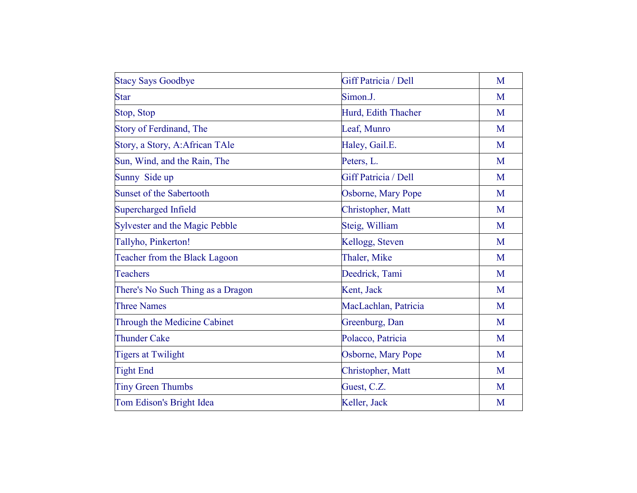| <b>Stacy Says Goodbye</b>         | Giff Patricia / Dell | M |
|-----------------------------------|----------------------|---|
| <b>Star</b>                       | Simon.J.             | M |
| Stop, Stop                        | Hurd, Edith Thacher  | M |
| Story of Ferdinand, The           | Leaf, Munro          | M |
| Story, a Story, A:African TAle    | Haley, Gail.E.       | M |
| Sun, Wind, and the Rain, The      | Peters, L.           | M |
| Sunny Side up                     | Giff Patricia / Dell | M |
| <b>Sunset of the Sabertooth</b>   | Osborne, Mary Pope   | M |
| Supercharged Infield              | Christopher, Matt    | M |
| Sylvester and the Magic Pebble    | Steig, William       | M |
| Tallyho, Pinkerton!               | Kellogg, Steven      | M |
| Teacher from the Black Lagoon     | Thaler, Mike         | M |
| Teachers                          | Deedrick, Tami       | M |
| There's No Such Thing as a Dragon | Kent, Jack           | M |
| <b>Three Names</b>                | MacLachlan, Patricia | M |
| Through the Medicine Cabinet      | Greenburg, Dan       | M |
| <b>Thunder Cake</b>               | Polacco, Patricia    | M |
| <b>Tigers at Twilight</b>         | Osborne, Mary Pope   | M |
| <b>Tight End</b>                  | Christopher, Matt    | M |
| <b>Tiny Green Thumbs</b>          | Guest, C.Z.          | M |
| Tom Edison's Bright Idea          | Keller, Jack         | M |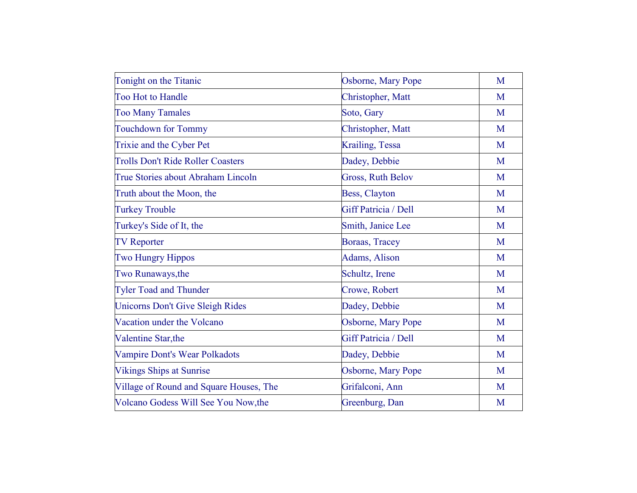| Tonight on the Titanic                   | Osborne, Mary Pope   | M |
|------------------------------------------|----------------------|---|
| <b>Too Hot to Handle</b>                 | Christopher, Matt    | M |
| <b>Too Many Tamales</b>                  | Soto, Gary           | M |
| <b>Touchdown for Tommy</b>               | Christopher, Matt    | M |
| Trixie and the Cyber Pet                 | Krailing, Tessa      | M |
| <b>Trolls Don't Ride Roller Coasters</b> | Dadey, Debbie        | M |
| True Stories about Abraham Lincoln       | Gross, Ruth Belov    | M |
| Truth about the Moon, the                | Bess, Clayton        | M |
| <b>Turkey Trouble</b>                    | Giff Patricia / Dell | M |
| Turkey's Side of It, the                 | Smith, Janice Lee    | M |
| <b>TV Reporter</b>                       | Boraas, Tracey       | M |
| <b>Two Hungry Hippos</b>                 | Adams, Alison        | M |
| Two Runaways, the                        | Schultz, Irene       | M |
| <b>Tyler Toad and Thunder</b>            | Crowe, Robert        | M |
| <b>Unicorns Don't Give Sleigh Rides</b>  | Dadey, Debbie        | M |
| Vacation under the Volcano               | Osborne, Mary Pope   | M |
| Valentine Star, the                      | Giff Patricia / Dell | M |
| Vampire Dont's Wear Polkadots            | Dadey, Debbie        | M |
| <b>Vikings Ships at Sunrise</b>          | Osborne, Mary Pope   | M |
| Village of Round and Square Houses, The  | Grifalconi, Ann      | M |
| Volcano Godess Will See You Now, the     | Greenburg, Dan       | M |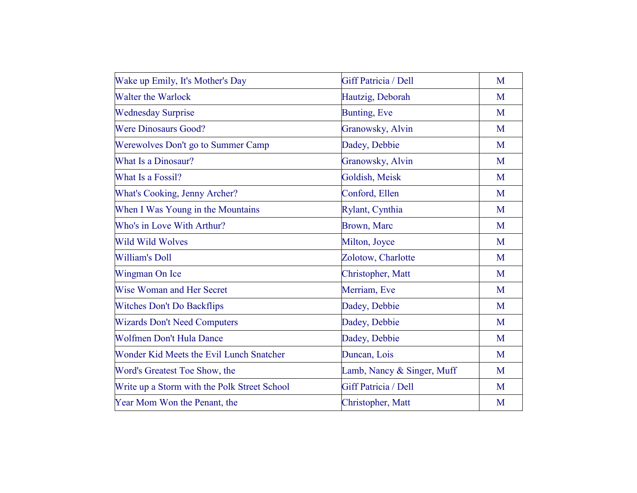| Wake up Emily, It's Mother's Day             | Giff Patricia / Dell       | M |
|----------------------------------------------|----------------------------|---|
| <b>Walter the Warlock</b>                    | Hautzig, Deborah           | M |
| <b>Wednesday Surprise</b>                    | Bunting, Eve               | M |
| <b>Were Dinosaurs Good?</b>                  | Granowsky, Alvin           | M |
| Werewolves Don't go to Summer Camp           | Dadey, Debbie              | M |
| What Is a Dinosaur?                          | Granowsky, Alvin           | M |
| What Is a Fossil?                            | Goldish, Meisk             | M |
| <b>What's Cooking, Jenny Archer?</b>         | Conford, Ellen             | M |
| When I Was Young in the Mountains            | Rylant, Cynthia            | M |
| Who's in Love With Arthur?                   | <b>Brown</b> , Marc        | M |
| <b>Wild Wild Wolves</b>                      | Milton, Joyce              | M |
| <b>William's Doll</b>                        | Zolotow, Charlotte         | M |
| Wingman On Ice                               | Christopher, Matt          | M |
| <b>Wise Woman and Her Secret</b>             | Merriam, Eve               | M |
| <b>Witches Don't Do Backflips</b>            | Dadey, Debbie              | M |
| <b>Wizards Don't Need Computers</b>          | Dadey, Debbie              | M |
| Wolfmen Don't Hula Dance                     | Dadey, Debbie              | M |
| Wonder Kid Meets the Evil Lunch Snatcher     | Duncan, Lois               | M |
| Word's Greatest Toe Show, the                | Lamb, Nancy & Singer, Muff | M |
| Write up a Storm with the Polk Street School | Giff Patricia / Dell       | M |
| Year Mom Won the Penant, the                 | Christopher, Matt          | M |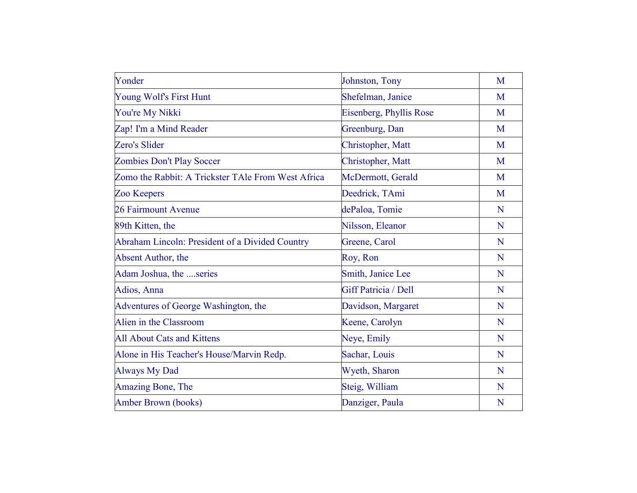| Yonder                                             | Johnston, Tony          | M |
|----------------------------------------------------|-------------------------|---|
| Young Wolf's First Hunt                            | Shefelman, Janice       | M |
| You're My Nikki                                    | Eisenberg, Phyllis Rose | M |
| Zap! I'm a Mind Reader                             | Greenburg, Dan          | M |
| Zero's Slider                                      | Christopher, Matt       | M |
| <b>Zombies Don't Play Soccer</b>                   | Christopher, Matt       | M |
| Zomo the Rabbit: A Trickster TAle From West Africa | McDermott, Gerald       | M |
| Zoo Keepers                                        | Deedrick, TAmi          | M |
| 26 Fairmount Avenue                                | dePaloa, Tomie          | N |
| 89th Kitten, the                                   | Nilsson, Eleanor        | N |
| Abraham Lincoln: President of a Divided Country    | Greene, Carol           | N |
| Absent Author, the                                 | Roy, Ron                | N |
| Adam Joshua, the series                            | Smith, Janice Lee       | N |
| Adios, Anna                                        | Giff Patricia / Dell    | N |
| Adventures of George Washington, the               | Davidson, Margaret      | N |
| Alien in the Classroom                             | Keene, Carolyn          | N |
| <b>All About Cats and Kittens</b>                  | Neye, Emily             | N |
| Alone in His Teacher's House/Marvin Redp.          | Sachar, Louis           | N |
| <b>Always My Dad</b>                               | Wyeth, Sharon           | N |
| Amazing Bone, The                                  | Steig, William          | N |
| Amber Brown (books)                                | Danziger, Paula         | N |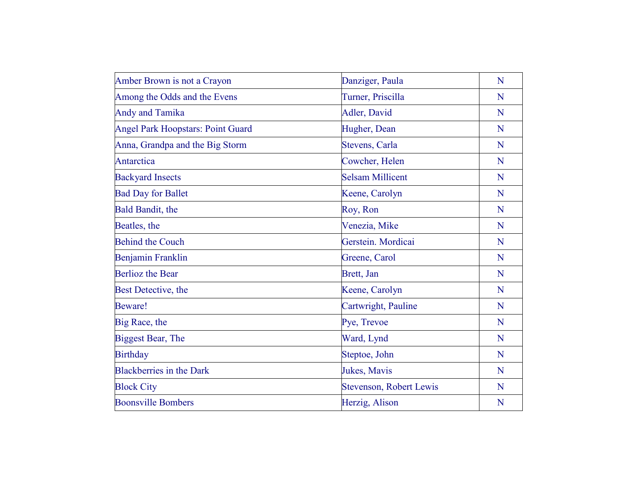| Amber Brown is not a Crayon              | Danziger, Paula                | N |
|------------------------------------------|--------------------------------|---|
| Among the Odds and the Evens             | Turner, Priscilla              | N |
| <b>Andy and Tamika</b>                   | Adler, David                   | N |
| <b>Angel Park Hoopstars: Point Guard</b> | Hugher, Dean                   | N |
| Anna, Grandpa and the Big Storm          | Stevens, Carla                 | N |
| Antarctica                               | Cowcher, Helen                 | N |
| <b>Backyard Insects</b>                  | <b>Selsam Millicent</b>        | N |
| <b>Bad Day for Ballet</b>                | Keene, Carolyn                 | N |
| Bald Bandit, the                         | Roy, Ron                       | N |
| Beatles, the                             | Venezia, Mike                  | N |
| <b>Behind the Couch</b>                  | Gerstein. Mordicai             | N |
| Benjamin Franklin                        | Greene, Carol                  | N |
| <b>Berlioz</b> the Bear                  | Brett, Jan                     | N |
| Best Detective, the                      | Keene, Carolyn                 | N |
| <b>Beware!</b>                           | Cartwright, Pauline            | N |
| Big Race, the                            | Pye, Trevoe                    | N |
| <b>Biggest Bear, The</b>                 | Ward, Lynd                     | N |
| <b>Birthday</b>                          | Steptoe, John                  | N |
| <b>Blackberries in the Dark</b>          | Jukes, Mavis                   | N |
| <b>Block City</b>                        | <b>Stevenson, Robert Lewis</b> | N |
| <b>Boonsville Bombers</b>                | Herzig, Alison                 | N |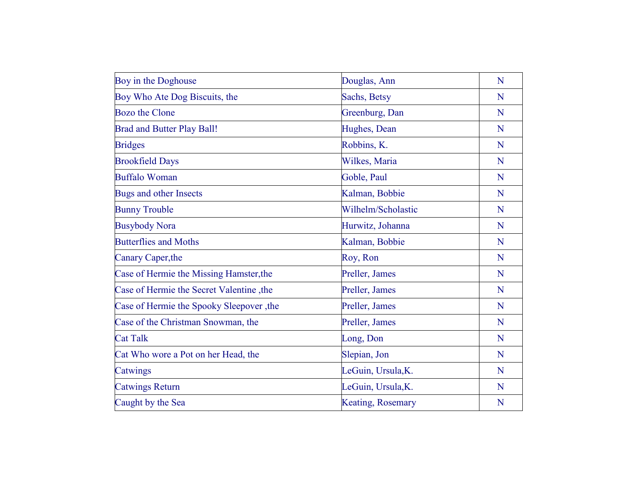| Boy in the Doghouse                      | Douglas, Ann             | N |
|------------------------------------------|--------------------------|---|
| Boy Who Ate Dog Biscuits, the            | Sachs, Betsy             | N |
| <b>Bozo</b> the Clone                    | Greenburg, Dan           | N |
| <b>Brad and Butter Play Ball!</b>        | Hughes, Dean             | N |
| <b>Bridges</b>                           | Robbins, K.              | N |
| <b>Brookfield Days</b>                   | Wilkes, Maria            | N |
| <b>Buffalo Woman</b>                     | Goble, Paul              | N |
| Bugs and other Insects                   | Kalman, Bobbie           | N |
| <b>Bunny Trouble</b>                     | Wilhelm/Scholastic       | N |
| <b>Busybody Nora</b>                     | Hurwitz, Johanna         | N |
| <b>Butterflies and Moths</b>             | Kalman, Bobbie           | N |
| Canary Caper, the                        | Roy, Ron                 | N |
| Case of Hermie the Missing Hamster, the  | Preller, James           | N |
| Case of Hermie the Secret Valentine, the | Preller, James           | N |
| Case of Hermie the Spooky Sleepover, the | Preller, James           | N |
| Case of the Christman Snowman, the       | Preller, James           | N |
| <b>Cat Talk</b>                          | Long, Don                | N |
| Cat Who wore a Pot on her Head, the      | Slepian, Jon             | N |
| Catwings                                 | LeGuin, Ursula, K.       | N |
| <b>Catwings Return</b>                   | LeGuin, Ursula, K.       | N |
| Caught by the Sea                        | <b>Keating, Rosemary</b> | N |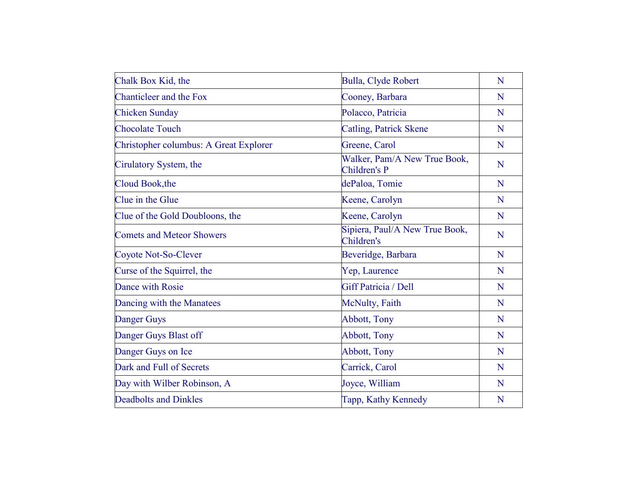| Chalk Box Kid, the                     | Bulla, Clyde Robert                          | N |
|----------------------------------------|----------------------------------------------|---|
| Chanticleer and the Fox                | Cooney, Barbara                              | N |
| <b>Chicken Sunday</b>                  | Polacco, Patricia                            | N |
| <b>Chocolate Touch</b>                 | <b>Catling, Patrick Skene</b>                | N |
| Christopher columbus: A Great Explorer | Greene, Carol                                | N |
| Cirulatory System, the                 | Walker, Pam/A New True Book,<br>Children's P | N |
| Cloud Book, the                        | dePaloa, Tomie                               | N |
| Clue in the Glue                       | Keene, Carolyn                               | N |
| Clue of the Gold Doubloons, the        | Keene, Carolyn                               | N |
| <b>Comets and Meteor Showers</b>       | Sipiera, Paul/A New True Book,<br>Children's | N |
| Coyote Not-So-Clever                   | Beveridge, Barbara                           | N |
| Curse of the Squirrel, the             | Yep, Laurence                                | N |
| Dance with Rosie                       | <b>Giff Patricia / Dell</b>                  | N |
| Dancing with the Manatees              | McNulty, Faith                               | N |
| Danger Guys                            | Abbott, Tony                                 | N |
| Danger Guys Blast off                  | <b>Abbott</b> , Tony                         | N |
| Danger Guys on Ice                     | <b>Abbott</b> , Tony                         | N |
| Dark and Full of Secrets               | Carrick, Carol                               | N |
| Day with Wilber Robinson, A            | Joyce, William                               | N |
| <b>Deadbolts and Dinkles</b>           | Tapp, Kathy Kennedy                          | N |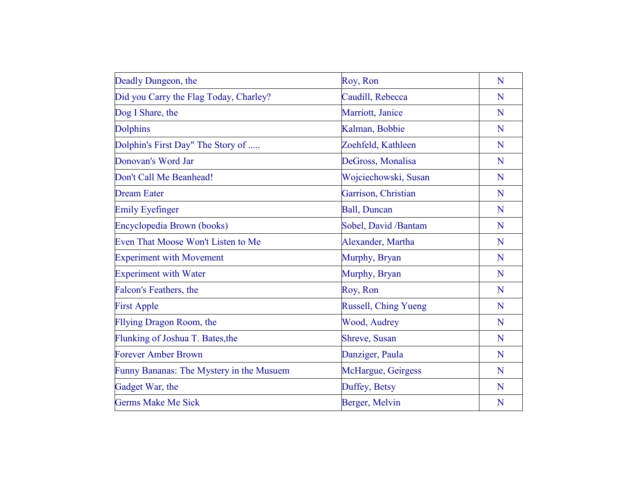| Deadly Dungeon, the                      | Roy, Ron                    | N |
|------------------------------------------|-----------------------------|---|
| Did you Carry the Flag Today, Charley?   | Caudill, Rebecca            | N |
| Dog I Share, the                         | Marriott, Janice            | N |
| <b>Dolphins</b>                          | Kalman, Bobbie              | N |
| Dolphin's First Day" The Story of        | Zoehfeld, Kathleen          | N |
| Donovan's Word Jar                       | DeGross, Monalisa           | N |
| Don't Call Me Beanhead!                  | Wojciechowski, Susan        | N |
| <b>Dream Eater</b>                       | Garrison, Christian         | N |
| <b>Emily Eyefinger</b>                   | <b>Ball</b> , Duncan        | N |
| Encyclopedia Brown (books)               | Sobel, David /Bantam        | N |
| Even That Moose Won't Listen to Me       | Alexander, Martha           | N |
| <b>Experiment with Movement</b>          | Murphy, Bryan               | N |
| <b>Experiment with Water</b>             | Murphy, Bryan               | N |
| Falcon's Feathers, the                   | Roy, Ron                    | N |
| <b>First Apple</b>                       | <b>Russell, Ching Yueng</b> | N |
| Fllying Dragon Room, the                 | Wood, Audrey                | N |
| Flunking of Joshua T. Bates, the         | Shreve, Susan               | N |
| <b>Forever Amber Brown</b>               | Danziger, Paula             | N |
| Funny Bananas: The Mystery in the Musuem | McHargue, Geirgess          | N |
| Gadget War, the                          | Duffey, Betsy               | N |
| <b>Germs Make Me Sick</b>                | Berger, Melvin              | N |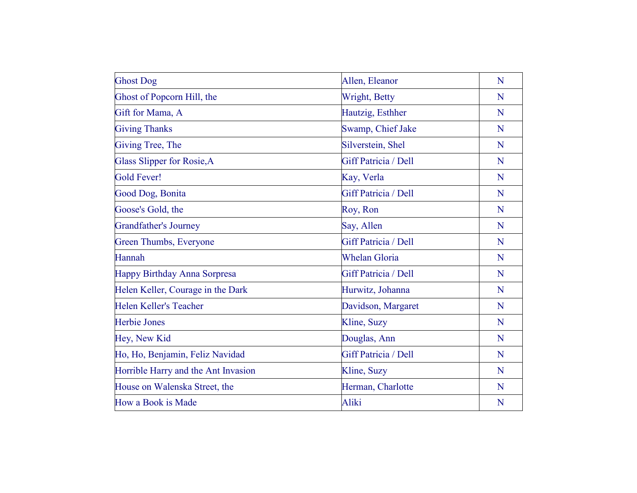| <b>Ghost Dog</b>                    | Allen, Eleanor       | N |
|-------------------------------------|----------------------|---|
| Ghost of Popcorn Hill, the          | Wright, Betty        | N |
| Gift for Mama, A                    | Hautzig, Esthher     | N |
| <b>Giving Thanks</b>                | Swamp, Chief Jake    | N |
| Giving Tree, The                    | Silverstein, Shel    | N |
| Glass Slipper for Rosie, A          | Giff Patricia / Dell | N |
| <b>Gold Fever!</b>                  | Kay, Verla           | N |
| Good Dog, Bonita                    | Giff Patricia / Dell | N |
| Goose's Gold, the                   | Roy, Ron             | N |
| <b>Grandfather's Journey</b>        | Say, Allen           | N |
| Green Thumbs, Everyone              | Giff Patricia / Dell | N |
| Hannah                              | <b>Whelan Gloria</b> | N |
| <b>Happy Birthday Anna Sorpresa</b> | Giff Patricia / Dell | N |
| Helen Keller, Courage in the Dark   | Hurwitz, Johanna     | N |
| <b>Helen Keller's Teacher</b>       | Davidson, Margaret   | N |
| <b>Herbie Jones</b>                 | Kline, Suzy          | N |
| Hey, New Kid                        | Douglas, Ann         | N |
| Ho, Ho, Benjamin, Feliz Navidad     | Giff Patricia / Dell | N |
| Horrible Harry and the Ant Invasion | Kline, Suzy          | N |
| House on Walenska Street, the       | Herman, Charlotte    | N |
| How a Book is Made                  | Aliki                | N |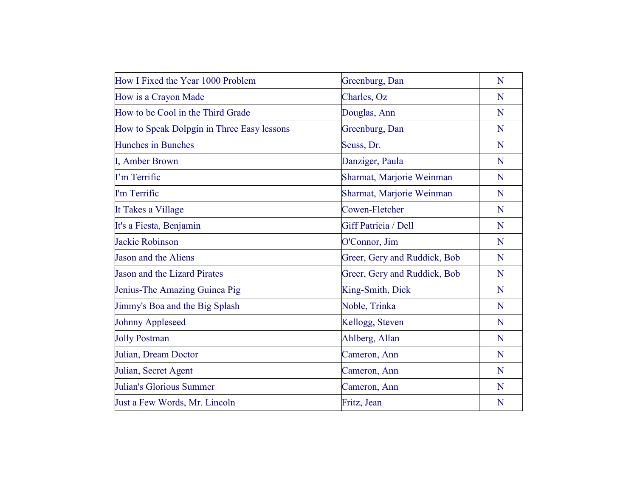| How I Fixed the Year 1000 Problem          | Greenburg, Dan               | N |
|--------------------------------------------|------------------------------|---|
| How is a Crayon Made                       | Charles, Oz                  | N |
| How to be Cool in the Third Grade          | Douglas, Ann                 | N |
| How to Speak Dolpgin in Three Easy lessons | Greenburg, Dan               | N |
| <b>Hunches in Bunches</b>                  | Seuss, Dr.                   | N |
| I, Amber Brown                             | Danziger, Paula              | N |
| I'm Terrific                               | Sharmat, Marjorie Weinman    | N |
| I'm Terrific                               | Sharmat, Marjorie Weinman    | N |
| It Takes a Village                         | Cowen-Fletcher               | N |
| It's a Fiesta, Benjamin                    | Giff Patricia / Dell         | N |
| <b>Jackie Robinson</b>                     | O'Connor, Jim                | N |
| <b>Jason and the Aliens</b>                | Greer, Gery and Ruddick, Bob | N |
| <b>Jason and the Lizard Pirates</b>        | Greer, Gery and Ruddick, Bob | N |
| Jenius-The Amazing Guinea Pig              | King-Smith, Dick             | N |
| Jimmy's Boa and the Big Splash             | Noble, Trinka                | N |
| <b>Johnny Appleseed</b>                    | Kellogg, Steven              | N |
| <b>Jolly Postman</b>                       | Ahlberg, Allan               | N |
| Julian, Dream Doctor                       | Cameron, Ann                 | N |
| Julian, Secret Agent                       | Cameron, Ann                 | N |
| Julian's Glorious Summer                   | Cameron, Ann                 | N |
| Just a Few Words, Mr. Lincoln              | Fritz, Jean                  | N |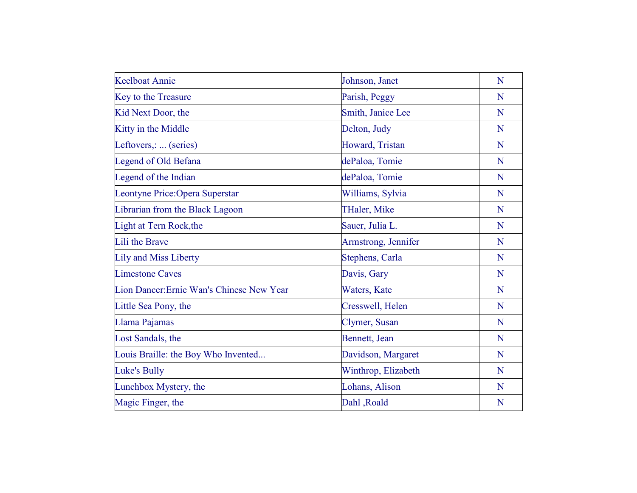| <b>Keelboat Annie</b>                     | Johnson, Janet      | N |
|-------------------------------------------|---------------------|---|
| Key to the Treasure                       | Parish, Peggy       | N |
| Kid Next Door, the                        | Smith, Janice Lee   | N |
| Kitty in the Middle                       | Delton, Judy        | N |
| Leftovers,:  (series)                     | Howard, Tristan     | N |
| <b>Legend of Old Befana</b>               | dePaloa, Tomie      | N |
| Legend of the Indian                      | dePaloa, Tomie      | N |
| Leontyne Price: Opera Superstar           | Williams, Sylvia    | N |
| Librarian from the Black Lagoon           | THaler, Mike        | N |
| Light at Tern Rock, the                   | Sauer, Julia L.     | N |
| Lili the Brave                            | Armstrong, Jennifer | N |
| <b>Lily and Miss Liberty</b>              | Stephens, Carla     | N |
| <b>Limestone Caves</b>                    | Davis, Gary         | N |
| Lion Dancer: Ernie Wan's Chinese New Year | Waters, Kate        | N |
| Little Sea Pony, the                      | Cresswell, Helen    | N |
| Llama Pajamas                             | Clymer, Susan       | N |
| Lost Sandals, the                         | Bennett, Jean       | N |
| Louis Braille: the Boy Who Invented       | Davidson, Margaret  | N |
| Luke's Bully                              | Winthrop, Elizabeth | N |
| Lunchbox Mystery, the                     | Lohans, Alison      | N |
| Magic Finger, the                         | Dahl, Roald         | N |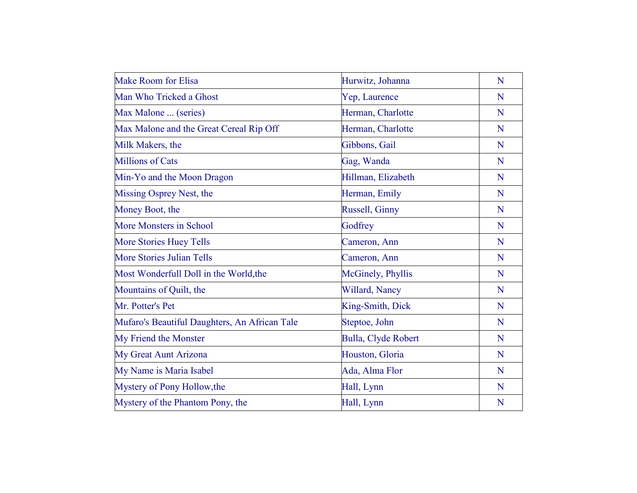| <b>Make Room for Elisa</b>                    | Hurwitz, Johanna    | N |
|-----------------------------------------------|---------------------|---|
| Man Who Tricked a Ghost                       | Yep, Laurence       | N |
| Max Malone  (series)                          | Herman, Charlotte   | N |
| Max Malone and the Great Cereal Rip Off       | Herman, Charlotte   | N |
| Milk Makers, the                              | Gibbons, Gail       | N |
| <b>Millions of Cats</b>                       | Gag, Wanda          | N |
| Min-Yo and the Moon Dragon                    | Hillman, Elizabeth  | N |
| Missing Osprey Nest, the                      | Herman, Emily       | N |
| Money Boot, the                               | Russell, Ginny      | N |
| <b>More Monsters in School</b>                | Godfrey             | N |
| <b>More Stories Huey Tells</b>                | Cameron, Ann        | N |
| <b>More Stories Julian Tells</b>              | Cameron, Ann        | N |
| Most Wonderfull Doll in the World, the        | McGinely, Phyllis   | N |
| Mountains of Quilt, the                       | Willard, Nancy      | N |
| Mr. Potter's Pet                              | King-Smith, Dick    | N |
| Mufaro's Beautiful Daughters, An African Tale | Steptoe, John       | N |
| My Friend the Monster                         | Bulla, Clyde Robert | N |
| My Great Aunt Arizona                         | Houston, Gloria     | N |
| My Name is Maria Isabel                       | Ada, Alma Flor      | N |
| Mystery of Pony Hollow, the                   | Hall, Lynn          | N |
| Mystery of the Phantom Pony, the              | Hall, Lynn          | N |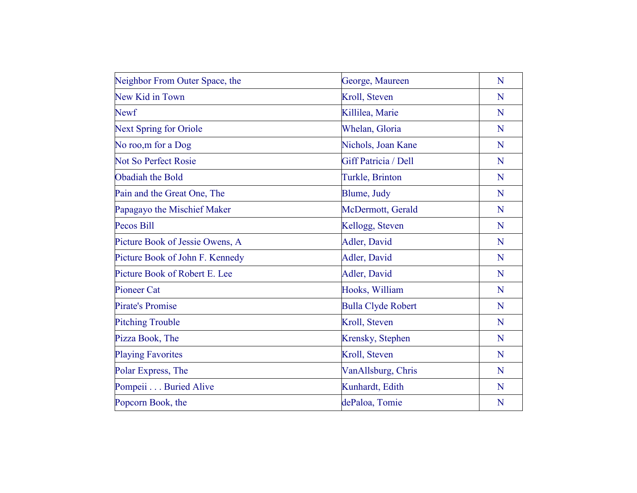| Neighbor From Outer Space, the  | George, Maureen           | N |
|---------------------------------|---------------------------|---|
| New Kid in Town                 | Kroll, Steven             | N |
| <b>Newf</b>                     | Killilea, Marie           | N |
| <b>Next Spring for Oriole</b>   | Whelan, Gloria            | N |
| No roo, m for a Dog             | Nichols, Joan Kane        | N |
| <b>Not So Perfect Rosie</b>     | Giff Patricia / Dell      | N |
| Obadiah the Bold                | Turkle, Brinton           | N |
| Pain and the Great One, The     | Blume, Judy               | N |
| Papagayo the Mischief Maker     | McDermott, Gerald         | N |
| <b>Pecos Bill</b>               | Kellogg, Steven           | N |
| Picture Book of Jessie Owens, A | Adler, David              | N |
| Picture Book of John F. Kennedy | Adler, David              | N |
| Picture Book of Robert E. Lee   | Adler, David              | N |
| <b>Pioneer Cat</b>              | Hooks, William            | N |
| <b>Pirate's Promise</b>         | <b>Bulla Clyde Robert</b> | N |
| <b>Pitching Trouble</b>         | Kroll, Steven             | N |
| Pizza Book, The                 | Krensky, Stephen          | N |
| <b>Playing Favorites</b>        | Kroll, Steven             | N |
| Polar Express, The              | VanAllsburg, Chris        | N |
| Pompeii Buried Alive            | Kunhardt, Edith           | N |
| Popcorn Book, the               | dePaloa, Tomie            | N |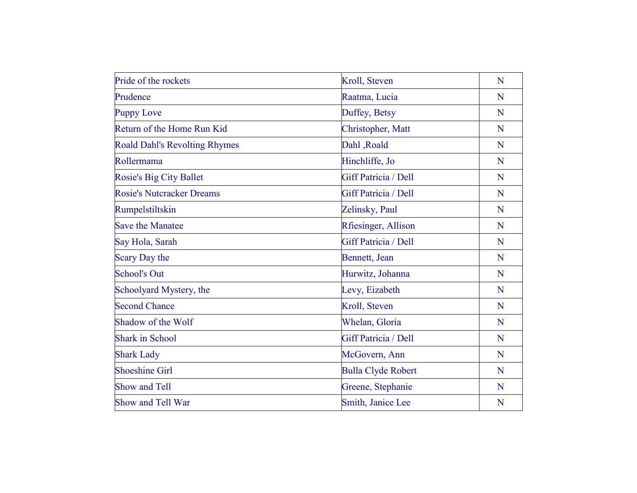| Pride of the rockets                 | Kroll, Steven               | N |
|--------------------------------------|-----------------------------|---|
| Prudence                             | Raatma, Lucia               | N |
| <b>Puppy Love</b>                    | Duffey, Betsy               | N |
| Return of the Home Run Kid           | Christopher, Matt           | N |
| <b>Roald Dahl's Revolting Rhymes</b> | Dahl, Roald                 | N |
| Rollermama                           | Hinchliffe, Jo              | N |
| <b>Rosie's Big City Ballet</b>       | Giff Patricia / Dell        | N |
| <b>Rosie's Nutcracker Dreams</b>     | Giff Patricia / Dell        | N |
| Rumpelstiltskin                      | Zelinsky, Paul              | N |
| <b>Save the Manatee</b>              | Rfiesinger, Allison         | N |
| Say Hola, Sarah                      | <b>Giff Patricia / Dell</b> | N |
| Scary Day the                        | Bennett, Jean               | N |
| <b>School's Out</b>                  | Hurwitz, Johanna            | N |
| Schoolyard Mystery, the              | Levy, Eizabeth              | N |
| <b>Second Chance</b>                 | Kroll, Steven               | N |
| Shadow of the Wolf                   | Whelan, Gloria              | N |
| <b>Shark in School</b>               | Giff Patricia / Dell        | N |
| <b>Shark Lady</b>                    | McGovern, Ann               | N |
| <b>Shoeshine Girl</b>                | <b>Bulla Clyde Robert</b>   | N |
| Show and Tell                        | Greene, Stephanie           | N |
| Show and Tell War                    | Smith, Janice Lee           | N |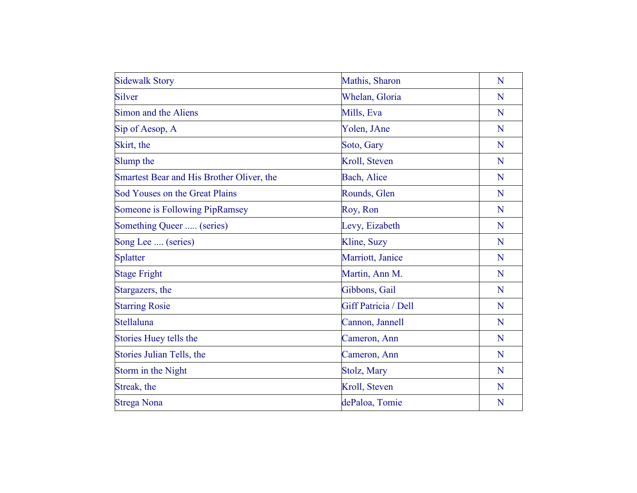| <b>Sidewalk Story</b>                     | Mathis, Sharon       | N |
|-------------------------------------------|----------------------|---|
| Silver                                    | Whelan, Gloria       | N |
| Simon and the Aliens                      | Mills, Eva           | N |
| Sip of Aesop, A                           | Yolen, JAne          | N |
| Skirt, the                                | Soto, Gary           | N |
| Slump the                                 | Kroll, Steven        | N |
| Smartest Bear and His Brother Oliver, the | Bach, Alice          | N |
| Sod Youses on the Great Plains            | Rounds, Glen         | N |
| Someone is Following PipRamsey            | Roy, Ron             | N |
| Something Queer  (series)                 | Levy, Eizabeth       | N |
| Song Lee  (series)                        | Kline, Suzy          | N |
| Splatter                                  | Marriott, Janice     | N |
| <b>Stage Fright</b>                       | Martin, Ann M.       | N |
| Stargazers, the                           | Gibbons, Gail        | N |
| <b>Starring Rosie</b>                     | Giff Patricia / Dell | N |
| Stellaluna                                | Cannon, Jannell      | N |
| Stories Huey tells the                    | Cameron, Ann         | N |
| Stories Julian Tells, the                 | Cameron, Ann         | N |
| Storm in the Night                        | Stolz, Mary          | N |
| Streak, the                               | Kroll, Steven        | N |
| <b>Strega Nona</b>                        | dePaloa, Tomie       | N |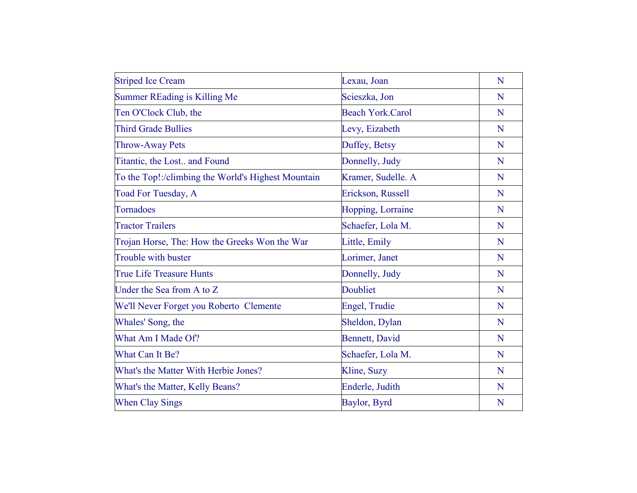| <b>Striped Ice Cream</b>                           | Lexau, Joan             | N |
|----------------------------------------------------|-------------------------|---|
| <b>Summer REading is Killing Me</b>                | Scieszka, Jon           | N |
| Ten O'Clock Club, the                              | <b>Beach York.Carol</b> | N |
| <b>Third Grade Bullies</b>                         | Levy, Eizabeth          | N |
| <b>Throw-Away Pets</b>                             | Duffey, Betsy           | N |
| Titantic, the Lost and Found                       | Donnelly, Judy          | N |
| To the Top!:/climbing the World's Highest Mountain | Kramer, Sudelle. A      | N |
| Toad For Tuesday, A                                | Erickson, Russell       | N |
| Tornadoes                                          | Hopping, Lorraine       | N |
| <b>Tractor Trailers</b>                            | Schaefer, Lola M.       | N |
| Trojan Horse, The: How the Greeks Won the War      | Little, Emily           | N |
| Trouble with buster                                | Lorimer, Janet          | N |
| <b>True Life Treasure Hunts</b>                    | Donnelly, Judy          | N |
| Under the Sea from A to Z                          | Doubliet                | N |
| We'll Never Forget you Roberto Clemente            | Engel, Trudie           | N |
| Whales' Song, the                                  | Sheldon, Dylan          | N |
| What Am I Made Of?                                 | <b>Bennett</b> , David  | N |
| What Can It Be?                                    | Schaefer, Lola M.       | N |
| What's the Matter With Herbie Jones?               | Kline, Suzy             | N |
| What's the Matter, Kelly Beans?                    | Enderle, Judith         | N |
| <b>When Clay Sings</b>                             | Baylor, Byrd            | N |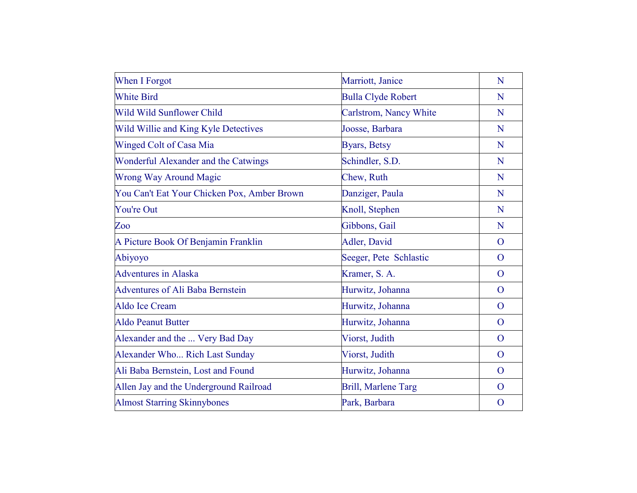| When I Forgot                               | Marriott, Janice           | N              |
|---------------------------------------------|----------------------------|----------------|
| <b>White Bird</b>                           | <b>Bulla Clyde Robert</b>  | N              |
| Wild Wild Sunflower Child                   | Carlstrom, Nancy White     | N              |
| Wild Willie and King Kyle Detectives        | Joosse, Barbara            | N              |
| Winged Colt of Casa Mia                     | Byars, Betsy               | N              |
| Wonderful Alexander and the Catwings        | Schindler, S.D.            | N              |
| <b>Wrong Way Around Magic</b>               | Chew, Ruth                 | N              |
| You Can't Eat Your Chicken Pox, Amber Brown | Danziger, Paula            | N              |
| <b>You're Out</b>                           | Knoll, Stephen             | N              |
| Zoo                                         | Gibbons, Gail              | N              |
| A Picture Book Of Benjamin Franklin         | Adler, David               | $\overline{O}$ |
| Abiyoyo                                     | Seeger, Pete Schlastic     | $\overline{O}$ |
| <b>Adventures</b> in Alaska                 | Kramer, S. A.              | $\overline{O}$ |
| <b>Adventures of Ali Baba Bernstein</b>     | Hurwitz, Johanna           | $\overline{O}$ |
| Aldo Ice Cream                              | Hurwitz, Johanna           | $\overline{O}$ |
| <b>Aldo Peanut Butter</b>                   | Hurwitz, Johanna           | $\Omega$       |
| Alexander and the  Very Bad Day             | Viorst, Judith             | $\overline{O}$ |
| Alexander Who Rich Last Sunday              | Viorst, Judith             | $\Omega$       |
| Ali Baba Bernstein, Lost and Found          | Hurwitz, Johanna           | $\overline{O}$ |
| Allen Jay and the Underground Railroad      | <b>Brill, Marlene Targ</b> | $\overline{O}$ |
| <b>Almost Starring Skinnybones</b>          | Park, Barbara              | $\overline{O}$ |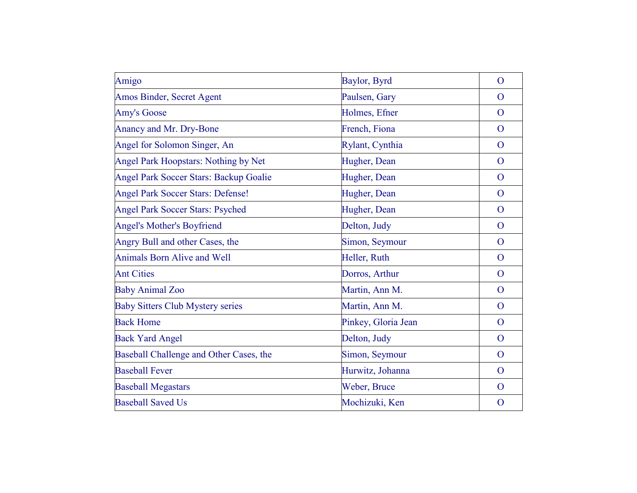| Amigo                                    | Baylor, Byrd        | $\mathbf{O}$   |
|------------------------------------------|---------------------|----------------|
| Amos Binder, Secret Agent                | Paulsen, Gary       | $\mathbf{O}$   |
| <b>Amy's Goose</b>                       | Holmes, Efner       | $\overline{O}$ |
| Anancy and Mr. Dry-Bone                  | French, Fiona       | $\overline{O}$ |
| Angel for Solomon Singer, An             | Rylant, Cynthia     | $\overline{O}$ |
| Angel Park Hoopstars: Nothing by Net     | Hugher, Dean        | $\mathbf{O}$   |
| Angel Park Soccer Stars: Backup Goalie   | Hugher, Dean        | $\overline{O}$ |
| <b>Angel Park Soccer Stars: Defense!</b> | Hugher, Dean        | $\overline{O}$ |
| Angel Park Soccer Stars: Psyched         | Hugher, Dean        | $\overline{O}$ |
| <b>Angel's Mother's Boyfriend</b>        | Delton, Judy        | $\mathbf{O}$   |
| Angry Bull and other Cases, the          | Simon, Seymour      | $\mathbf{O}$   |
| <b>Animals Born Alive and Well</b>       | Heller, Ruth        | $\mathbf{O}$   |
| <b>Ant Cities</b>                        | Dorros, Arthur      | $\mathbf{O}$   |
| <b>Baby Animal Zoo</b>                   | Martin, Ann M.      | $\overline{O}$ |
| <b>Baby Sitters Club Mystery series</b>  | Martin, Ann M.      | $\overline{O}$ |
| <b>Back Home</b>                         | Pinkey, Gloria Jean | $\overline{O}$ |
| <b>Back Yard Angel</b>                   | Delton, Judy        | $\overline{O}$ |
| Baseball Challenge and Other Cases, the  | Simon, Seymour      | $\overline{O}$ |
| <b>Baseball Fever</b>                    | Hurwitz, Johanna    | $\overline{O}$ |
| <b>Baseball Megastars</b>                | Weber, Bruce        | $\mathbf{O}$   |
| <b>Baseball Saved Us</b>                 | Mochizuki, Ken      | $\mathbf{O}$   |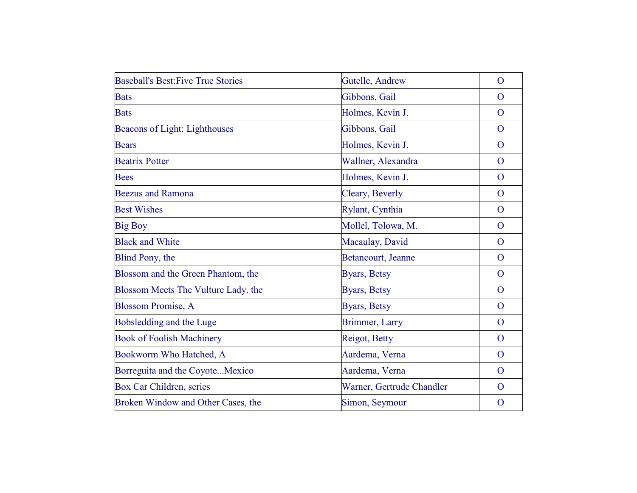| <b>Baseball's Best: Five True Stories</b> | Gutelle, Andrew           | $\overline{O}$ |
|-------------------------------------------|---------------------------|----------------|
| <b>Bats</b>                               | Gibbons, Gail             | $\Omega$       |
| <b>Bats</b>                               | Holmes, Kevin J.          | $\overline{O}$ |
| Beacons of Light: Lighthouses             | Gibbons, Gail             | $\overline{O}$ |
| <b>Bears</b>                              | Holmes, Kevin J.          | $\overline{O}$ |
| <b>Beatrix Potter</b>                     | Wallner, Alexandra        | $\overline{O}$ |
| <b>Bees</b>                               | Holmes, Kevin J.          | $\overline{O}$ |
| <b>Beezus and Ramona</b>                  | Cleary, Beverly           | $\Omega$       |
| <b>Best Wishes</b>                        | Rylant, Cynthia           | $\overline{O}$ |
| <b>Big Boy</b>                            | Mollel, Tolowa, M.        | $\overline{O}$ |
| <b>Black and White</b>                    | Macaulay, David           | $\overline{O}$ |
| Blind Pony, the                           | Betancourt, Jeanne        | $\Omega$       |
| Blossom and the Green Phantom, the        | Byars, Betsy              | $\mathbf{O}$   |
| Blossom Meets The Vulture Lady. the       | Byars, Betsy              | $\overline{O}$ |
| <b>Blossom Promise, A</b>                 | <b>Byars</b> , Betsy      | $\overline{O}$ |
| Bobsledding and the Luge                  | Brimmer, Larry            | $\overline{O}$ |
| <b>Book of Foolish Machinery</b>          | Reigot, Betty             | $\overline{O}$ |
| Bookworm Who Hatched, A                   | Aardema, Verna            | $\Omega$       |
| Borreguita and the CoyoteMexico           | Aardema, Verna            | $\overline{O}$ |
| Box Car Children, series                  | Warner, Gertrude Chandler | $\overline{O}$ |
| Broken Window and Other Cases, the        | Simon, Seymour            | $\overline{O}$ |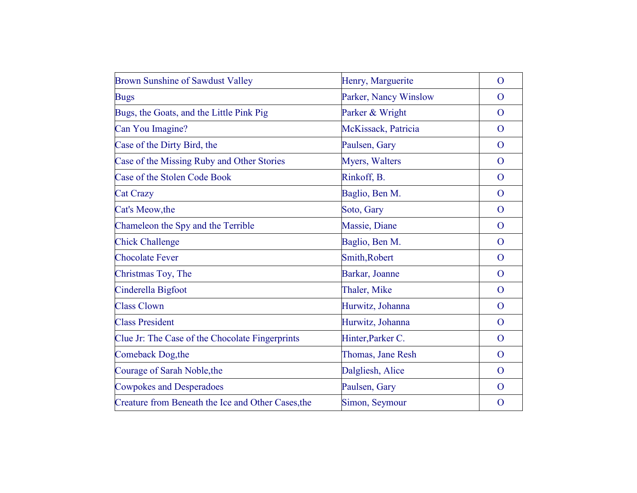| <b>Brown Sunshine of Sawdust Valley</b>            | Henry, Marguerite     | $\mathbf{O}$   |
|----------------------------------------------------|-----------------------|----------------|
| <b>Bugs</b>                                        | Parker, Nancy Winslow | $\Omega$       |
| Bugs, the Goats, and the Little Pink Pig           | Parker & Wright       | $\overline{O}$ |
| Can You Imagine?                                   | McKissack, Patricia   | $\overline{O}$ |
| Case of the Dirty Bird, the                        | Paulsen, Gary         | $\mathbf{O}$   |
| Case of the Missing Ruby and Other Stories         | Myers, Walters        | $\mathbf{O}$   |
| Case of the Stolen Code Book                       | Rinkoff, B.           | $\overline{O}$ |
| <b>Cat Crazy</b>                                   | Baglio, Ben M.        | $\overline{O}$ |
| Cat's Meow, the                                    | Soto, Gary            | $\Omega$       |
| Chameleon the Spy and the Terrible                 | Massie, Diane         | $\overline{O}$ |
| <b>Chick Challenge</b>                             | Baglio, Ben M.        | $\overline{O}$ |
| <b>Chocolate Fever</b>                             | Smith, Robert         | $\overline{O}$ |
| Christmas Toy, The                                 | Barkar, Joanne        | $\overline{O}$ |
| Cinderella Bigfoot                                 | Thaler, Mike          | $\overline{O}$ |
| <b>Class Clown</b>                                 | Hurwitz, Johanna      | $\mathbf{O}$   |
| <b>Class President</b>                             | Hurwitz, Johanna      | $\overline{O}$ |
| Clue Jr: The Case of the Chocolate Fingerprints    | Hinter, Parker C.     | $\overline{O}$ |
| Comeback Dog, the                                  | Thomas, Jane Resh     | $\Omega$       |
| Courage of Sarah Noble, the                        | Dalgliesh, Alice      | $\overline{O}$ |
| <b>Cowpokes and Desperadoes</b>                    | Paulsen, Gary         | $\overline{O}$ |
| Creature from Beneath the Ice and Other Cases, the | Simon, Seymour        | $\overline{O}$ |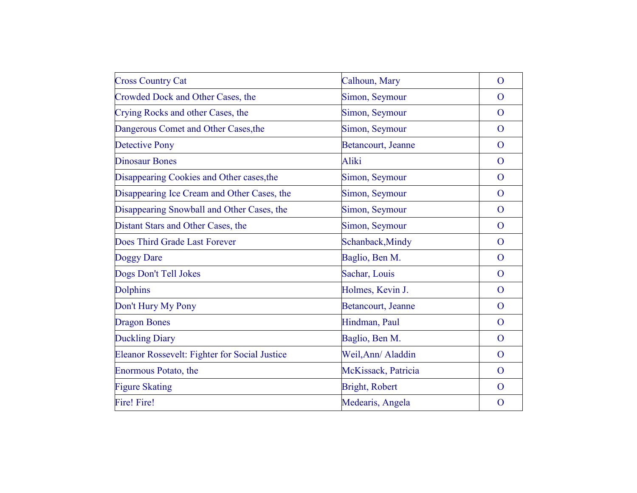| <b>Cross Country Cat</b>                      | Calhoun, Mary         | $\overline{O}$ |
|-----------------------------------------------|-----------------------|----------------|
|                                               |                       |                |
| Crowded Dock and Other Cases, the             | Simon, Seymour        | $\overline{O}$ |
| Crying Rocks and other Cases, the             | Simon, Seymour        | $\Omega$       |
| Dangerous Comet and Other Cases, the          | Simon, Seymour        | $\mathbf{O}$   |
| <b>Detective Pony</b>                         | Betancourt, Jeanne    | $\overline{O}$ |
| <b>Dinosaur Bones</b>                         | Aliki                 | $\overline{O}$ |
| Disappearing Cookies and Other cases, the     | Simon, Seymour        | $\overline{O}$ |
| Disappearing Ice Cream and Other Cases, the   | Simon, Seymour        | $\overline{O}$ |
| Disappearing Snowball and Other Cases, the    | Simon, Seymour        | $\overline{O}$ |
| Distant Stars and Other Cases, the            | Simon, Seymour        | $\overline{O}$ |
| Does Third Grade Last Forever                 | Schanback, Mindy      | $\overline{O}$ |
| Doggy Dare                                    | Baglio, Ben M.        | $\overline{O}$ |
| Dogs Don't Tell Jokes                         | Sachar, Louis         | $\overline{O}$ |
| <b>Dolphins</b>                               | Holmes, Kevin J.      | $\overline{O}$ |
| Don't Hury My Pony                            | Betancourt, Jeanne    | $\overline{O}$ |
| <b>Dragon Bones</b>                           | Hindman, Paul         | $\mathbf{O}$   |
| <b>Duckling Diary</b>                         | Baglio, Ben M.        | $\overline{O}$ |
| Eleanor Rossevelt: Fighter for Social Justice | Weil, Ann/ Aladdin    | $\overline{O}$ |
| Enormous Potato, the                          | McKissack, Patricia   | $\overline{O}$ |
| <b>Figure Skating</b>                         | <b>Bright, Robert</b> | $\mathbf{O}$   |
| Fire! Fire!                                   | Medearis, Angela      | $\mathbf{O}$   |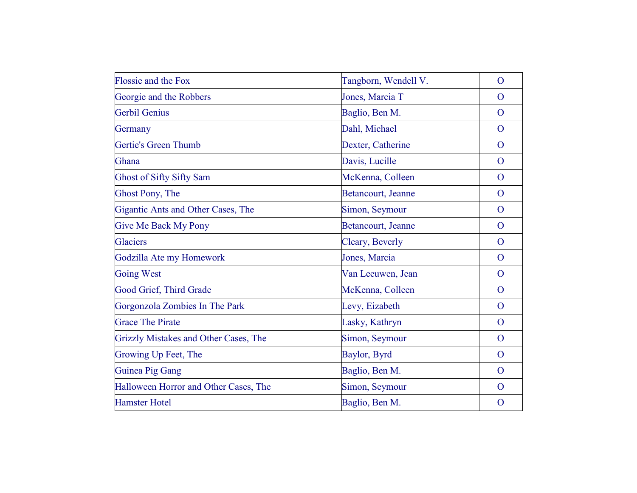| <b>Flossie and the Fox</b>            | Tangborn, Wendell V. | $\overline{O}$ |
|---------------------------------------|----------------------|----------------|
| Georgie and the Robbers               | Jones, Marcia T      | $\Omega$       |
| Gerbil Genius                         | Baglio, Ben M.       | $\overline{O}$ |
| Germany                               | Dahl, Michael        | $\overline{O}$ |
| Gertie's Green Thumb                  | Dexter, Catherine    | $\mathbf{O}$   |
| Ghana                                 | Davis, Lucille       | $\mathbf{O}$   |
| <b>Ghost of Sifty Sifty Sam</b>       | McKenna, Colleen     | $\overline{O}$ |
| Ghost Pony, The                       | Betancourt, Jeanne   | $\overline{O}$ |
| Gigantic Ants and Other Cases, The    | Simon, Seymour       | $\overline{O}$ |
| <b>Give Me Back My Pony</b>           | Betancourt, Jeanne   | $\overline{O}$ |
| <b>Glaciers</b>                       | Cleary, Beverly      | $\overline{O}$ |
| Godzilla Ate my Homework              | Jones, Marcia        | $\overline{O}$ |
| <b>Going West</b>                     | Van Leeuwen, Jean    | $\mathbf{O}$   |
| Good Grief, Third Grade               | McKenna, Colleen     | $\overline{O}$ |
| Gorgonzola Zombies In The Park        | Levy, Eizabeth       | $\overline{O}$ |
| <b>Grace The Pirate</b>               | Lasky, Kathryn       | $\Omega$       |
| Grizzly Mistakes and Other Cases, The | Simon, Seymour       | $\mathbf{O}$   |
| Growing Up Feet, The                  | Baylor, Byrd         | $\overline{O}$ |
| Guinea Pig Gang                       | Baglio, Ben M.       | $\overline{O}$ |
| Halloween Horror and Other Cases, The | Simon, Seymour       | $\overline{O}$ |
| <b>Hamster Hotel</b>                  | Baglio, Ben M.       | $\mathbf{O}$   |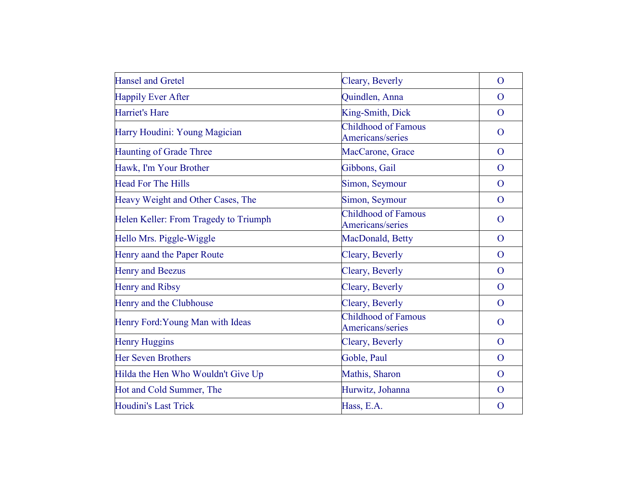| <b>Hansel and Gretel</b>              | Cleary, Beverly                                | $\overline{O}$ |
|---------------------------------------|------------------------------------------------|----------------|
| <b>Happily Ever After</b>             | Quindlen, Anna                                 | $\overline{O}$ |
| Harriet's Hare                        | King-Smith, Dick                               | $\overline{O}$ |
| Harry Houdini: Young Magician         | <b>Childhood of Famous</b><br>Americans/series | $\overline{O}$ |
| <b>Haunting of Grade Three</b>        | MacCarone, Grace                               | $\Omega$       |
| Hawk, I'm Your Brother                | Gibbons, Gail                                  | $\overline{O}$ |
| <b>Head For The Hills</b>             | Simon, Seymour                                 | $\overline{O}$ |
| Heavy Weight and Other Cases, The     | Simon, Seymour                                 | $\overline{O}$ |
| Helen Keller: From Tragedy to Triumph | <b>Childhood of Famous</b><br>Americans/series | $\overline{O}$ |
| Hello Mrs. Piggle-Wiggle              | MacDonald, Betty                               | $\overline{O}$ |
| Henry aand the Paper Route            | Cleary, Beverly                                | $\overline{O}$ |
| <b>Henry and Beezus</b>               | Cleary, Beverly                                | $\Omega$       |
| <b>Henry and Ribsy</b>                | Cleary, Beverly                                | $\overline{O}$ |
| Henry and the Clubhouse               | Cleary, Beverly                                | $\overline{O}$ |
| Henry Ford: Young Man with Ideas      | <b>Childhood of Famous</b><br>Americans/series | $\overline{O}$ |
| <b>Henry Huggins</b>                  | Cleary, Beverly                                | $\overline{O}$ |
| <b>Her Seven Brothers</b>             | Goble, Paul                                    | $\overline{O}$ |
| Hilda the Hen Who Wouldn't Give Up    | Mathis, Sharon                                 | $\overline{O}$ |
| Hot and Cold Summer, The              | Hurwitz, Johanna                               | $\Omega$       |
| <b>Houdini's Last Trick</b>           | Hass, E.A.                                     | $\mathbf{O}$   |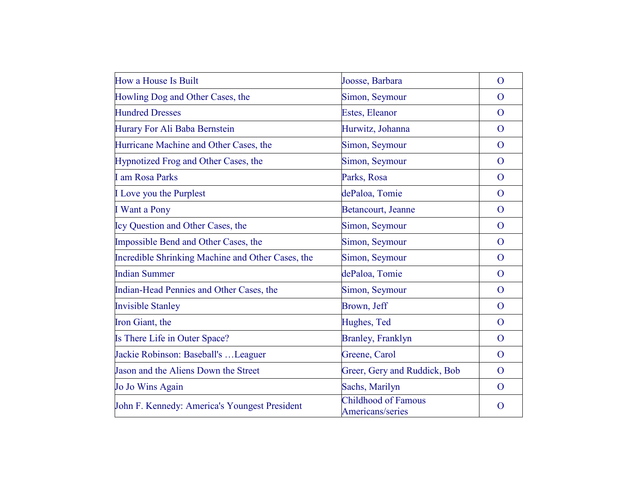| How a House Is Built                              | Joosse, Barbara                         | $\overline{O}$ |
|---------------------------------------------------|-----------------------------------------|----------------|
| Howling Dog and Other Cases, the                  | Simon, Seymour                          | $\Omega$       |
| <b>Hundred Dresses</b>                            | Estes, Eleanor                          | $\overline{O}$ |
| Hurary For Ali Baba Bernstein                     | Hurwitz, Johanna                        | $\overline{O}$ |
| Hurricane Machine and Other Cases, the            | Simon, Seymour                          | $\mathbf{O}$   |
| Hypnotized Frog and Other Cases, the              | Simon, Seymour                          | $\Omega$       |
| I am Rosa Parks                                   | Parks, Rosa                             | $\overline{O}$ |
| I Love you the Purplest                           | dePaloa, Tomie                          | $\Omega$       |
| I Want a Pony                                     | Betancourt, Jeanne                      | $\mathbf{O}$   |
| Icy Question and Other Cases, the                 | Simon, Seymour                          | $\Omega$       |
| Impossible Bend and Other Cases, the              | Simon, Seymour                          | $\overline{O}$ |
| Incredible Shrinking Machine and Other Cases, the | Simon, Seymour                          | $\Omega$       |
| <b>Indian Summer</b>                              | dePaloa, Tomie                          | $\mathbf{O}$   |
| Indian-Head Pennies and Other Cases, the          | Simon, Seymour                          | $\overline{O}$ |
| <b>Invisible Stanley</b>                          | Brown, Jeff                             | $\overline{O}$ |
| Iron Giant, the                                   | Hughes, Ted                             | $\overline{O}$ |
| Is There Life in Outer Space?                     | <b>Branley, Franklyn</b>                | $\overline{O}$ |
| Jackie Robinson: Baseball's  Leaguer              | Greene, Carol                           | $\overline{O}$ |
| Jason and the Aliens Down the Street              | Greer, Gery and Ruddick, Bob            | $\overline{O}$ |
| Jo Jo Wins Again                                  | Sachs, Marilyn                          | $\mathbf{O}$   |
| John F. Kennedy: America's Youngest President     | Childhood of Famous<br>Americans/series | $\Omega$       |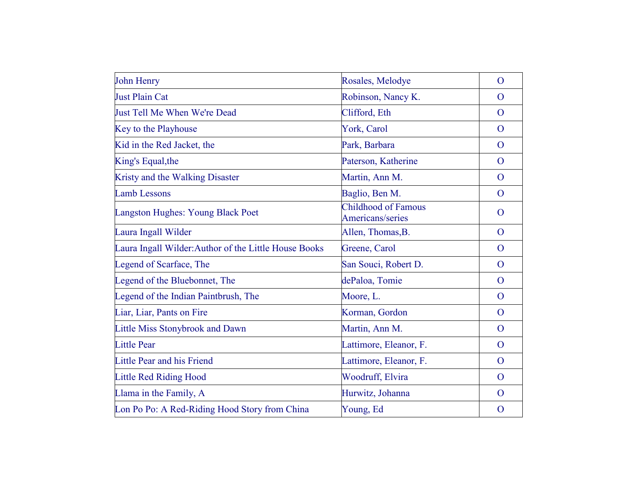| <b>John Henry</b>                                     | Rosales, Melodye                               | $\mathbf{O}$   |
|-------------------------------------------------------|------------------------------------------------|----------------|
| <b>Just Plain Cat</b>                                 | Robinson, Nancy K.                             | $\overline{O}$ |
| Just Tell Me When We're Dead                          | Clifford, Eth                                  | $\overline{O}$ |
| Key to the Playhouse                                  | York, Carol                                    | $\overline{O}$ |
| Kid in the Red Jacket, the                            | Park, Barbara                                  | $\overline{O}$ |
| King's Equal, the                                     | Paterson, Katherine                            | $\mathbf{O}$   |
| Kristy and the Walking Disaster                       | Martin, Ann M.                                 | $\overline{O}$ |
| <b>Lamb Lessons</b>                                   | Baglio, Ben M.                                 | $\mathbf{O}$   |
| Langston Hughes: Young Black Poet                     | <b>Childhood of Famous</b><br>Americans/series | $\mathbf{O}$   |
| Laura Ingall Wilder                                   | Allen, Thomas, B.                              | $\mathbf{O}$   |
| Laura Ingall Wilder: Author of the Little House Books | Greene, Carol                                  | $\overline{O}$ |
| Legend of Scarface, The                               | San Souci, Robert D.                           | $\mathbf{O}$   |
| Legend of the Bluebonnet, The                         | dePaloa, Tomie                                 | $\mathbf{O}$   |
| Legend of the Indian Paintbrush, The                  | Moore, L.                                      | $\mathbf{O}$   |
| Liar, Liar, Pants on Fire                             | Korman, Gordon                                 | $\mathbf{O}$   |
| Little Miss Stonybrook and Dawn                       | Martin, Ann M.                                 | $\overline{O}$ |
| <b>Little Pear</b>                                    | Lattimore, Eleanor, F.                         | $\overline{O}$ |
| Little Pear and his Friend                            | Lattimore, Eleanor, F.                         | $\mathbf{O}$   |
| <b>Little Red Riding Hood</b>                         | <b>Woodruff, Elvira</b>                        | $\overline{O}$ |
| Llama in the Family, A                                | Hurwitz, Johanna                               | $\mathbf{O}$   |
| Lon Po Po: A Red-Riding Hood Story from China         | Young, Ed                                      | $\mathbf{O}$   |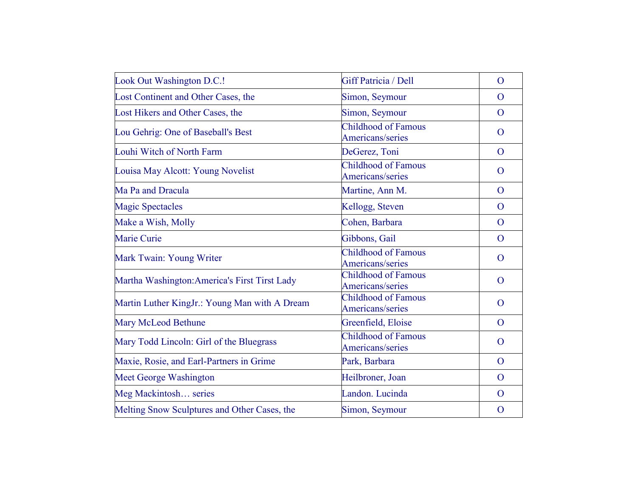| Look Out Washington D.C.!                     | Giff Patricia / Dell                           | $\overline{O}$ |
|-----------------------------------------------|------------------------------------------------|----------------|
| Lost Continent and Other Cases, the           | Simon, Seymour                                 | $\overline{O}$ |
| Lost Hikers and Other Cases, the              | Simon, Seymour                                 | $\overline{O}$ |
| Lou Gehrig: One of Baseball's Best            | Childhood of Famous<br>Americans/series        | $\overline{O}$ |
| Louhi Witch of North Farm                     | DeGerez, Toni                                  | $\overline{O}$ |
| Louisa May Alcott: Young Novelist             | <b>Childhood of Famous</b><br>Americans/series | $\overline{O}$ |
| Ma Pa and Dracula                             | Martine, Ann M.                                | $\mathbf{O}$   |
| <b>Magic Spectacles</b>                       | Kellogg, Steven                                | $\mathbf{O}$   |
| Make a Wish, Molly                            | Cohen, Barbara                                 | $\mathbf{O}$   |
| Marie Curie                                   | Gibbons, Gail                                  | $\overline{O}$ |
| Mark Twain: Young Writer                      | <b>Childhood of Famous</b><br>Americans/series | $\overline{O}$ |
| Martha Washington: America's First Tirst Lady | <b>Childhood of Famous</b><br>Americans/series | $\mathbf{O}$   |
| Martin Luther KingJr.: Young Man with A Dream | <b>Childhood of Famous</b><br>Americans/series | $\overline{O}$ |
| Mary McLeod Bethune                           | Greenfield, Eloise                             | $\overline{O}$ |
| Mary Todd Lincoln: Girl of the Bluegrass      | <b>Childhood of Famous</b><br>Americans/series | $\overline{O}$ |
| Maxie, Rosie, and Earl-Partners in Grime      | Park, Barbara                                  | $\mathbf{O}$   |
| Meet George Washington                        | Heilbroner, Joan                               | $\overline{O}$ |
| Meg Mackintosh series                         | Landon. Lucinda                                | $\mathbf{O}$   |
| Melting Snow Sculptures and Other Cases, the  | Simon, Seymour                                 | $\mathbf{O}$   |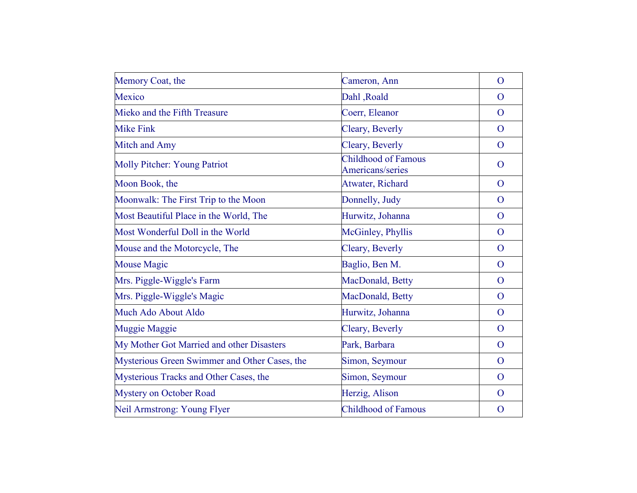| Memory Coat, the                              | Cameron, Ann                                   | $\overline{O}$ |
|-----------------------------------------------|------------------------------------------------|----------------|
| Mexico                                        | Dahl, Roald                                    | $\overline{O}$ |
| Mieko and the Fifth Treasure                  | Coerr, Eleanor                                 | $\overline{O}$ |
| <b>Mike Fink</b>                              | Cleary, Beverly                                | $\overline{O}$ |
| Mitch and Amy                                 | Cleary, Beverly                                | $\mathbf{O}$   |
| <b>Molly Pitcher: Young Patriot</b>           | <b>Childhood of Famous</b><br>Americans/series | $\mathbf{O}$   |
| Moon Book, the                                | Atwater, Richard                               | $\overline{O}$ |
| Moonwalk: The First Trip to the Moon          | Donnelly, Judy                                 | $\overline{O}$ |
| Most Beautiful Place in the World, The        | Hurwitz, Johanna                               | $\overline{O}$ |
| Most Wonderful Doll in the World              | McGinley, Phyllis                              | $\overline{O}$ |
| Mouse and the Motorcycle, The                 | Cleary, Beverly                                | $\overline{O}$ |
| <b>Mouse Magic</b>                            | Baglio, Ben M.                                 | $\overline{O}$ |
| Mrs. Piggle-Wiggle's Farm                     | MacDonald, Betty                               | $\overline{O}$ |
| Mrs. Piggle-Wiggle's Magic                    | MacDonald, Betty                               | $\overline{O}$ |
| Much Ado About Aldo                           | Hurwitz, Johanna                               | $\mathbf{O}$   |
| <b>Muggie Maggie</b>                          | Cleary, Beverly                                | $\mathbf{O}$   |
| My Mother Got Married and other Disasters     | Park, Barbara                                  | $\overline{O}$ |
| Mysterious Green Swimmer and Other Cases, the | Simon, Seymour                                 | $\mathbf{O}$   |
| Mysterious Tracks and Other Cases, the        | Simon, Seymour                                 | $\overline{O}$ |
| Mystery on October Road                       | Herzig, Alison                                 | $\mathbf{O}$   |
| Neil Armstrong: Young Flyer                   | <b>Childhood of Famous</b>                     | $\mathbf{O}$   |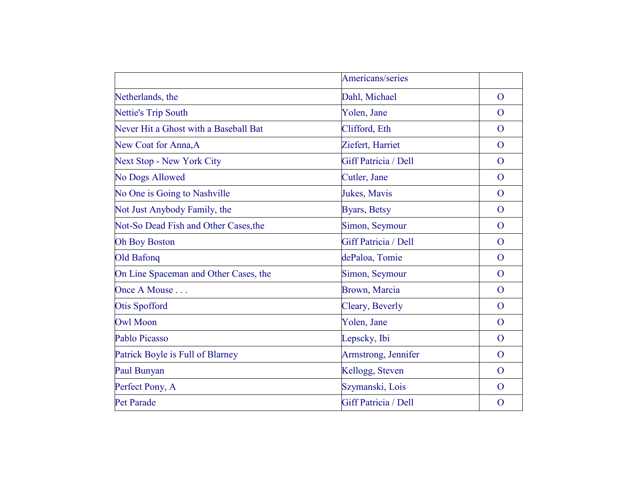|                                       | Americans/series     |                |
|---------------------------------------|----------------------|----------------|
| Netherlands, the                      | Dahl, Michael        | $\overline{O}$ |
| <b>Nettie's Trip South</b>            | Yolen, Jane          | $\overline{O}$ |
| Never Hit a Ghost with a Baseball Bat | Clifford, Eth        | $\overline{O}$ |
| New Coat for Anna, A                  | Ziefert, Harriet     | $\overline{O}$ |
| <b>Next Stop - New York City</b>      | Giff Patricia / Dell | $\overline{O}$ |
| <b>No Dogs Allowed</b>                | Cutler, Jane         | $\overline{O}$ |
| No One is Going to Nashville          | Jukes, Mavis         | $\overline{O}$ |
| Not Just Anybody Family, the          | <b>Byars</b> , Betsy | $\overline{O}$ |
| Not-So Dead Fish and Other Cases, the | Simon, Seymour       | $\mathbf{O}$   |
| <b>Oh Boy Boston</b>                  | Giff Patricia / Dell | $\overline{O}$ |
| <b>Old Bafonq</b>                     | dePaloa, Tomie       | $\overline{O}$ |
| On Line Spaceman and Other Cases, the | Simon, Seymour       | $\overline{O}$ |
| Once A Mouse                          | Brown, Marcia        | $\mathbf{O}$   |
| <b>Otis Spofford</b>                  | Cleary, Beverly      | $\overline{O}$ |
| <b>Owl Moon</b>                       | Yolen, Jane          | $\overline{O}$ |
| Pablo Picasso                         | Lepscky, Ibi         | $\overline{O}$ |
| Patrick Boyle is Full of Blarney      | Armstrong, Jennifer  | $\overline{O}$ |
| Paul Bunyan                           | Kellogg, Steven      | $\overline{O}$ |
| Perfect Pony, A                       | Szymanski, Lois      | $\overline{O}$ |
| <b>Pet Parade</b>                     | Giff Patricia / Dell | $\mathbf{O}$   |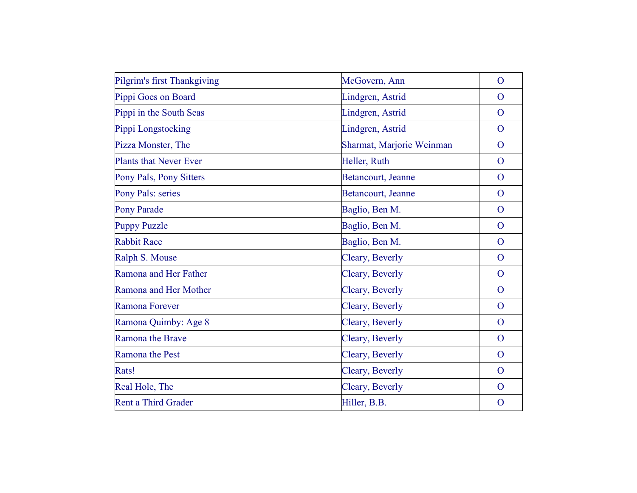| Pilgrim's first Thankgiving   | McGovern, Ann             | $\overline{O}$ |
|-------------------------------|---------------------------|----------------|
| Pippi Goes on Board           | Lindgren, Astrid          | $\overline{O}$ |
| Pippi in the South Seas       | Lindgren, Astrid          | $\overline{O}$ |
| Pippi Longstocking            | Lindgren, Astrid          | $\mathbf{O}$   |
| Pizza Monster, The            | Sharmat, Marjorie Weinman | $\mathbf{O}$   |
| <b>Plants that Never Ever</b> | Heller, Ruth              | $\overline{O}$ |
| Pony Pals, Pony Sitters       | Betancourt, Jeanne        | $\overline{O}$ |
| Pony Pals: series             | Betancourt, Jeanne        | $\overline{O}$ |
| <b>Pony Parade</b>            | Baglio, Ben M.            | $\overline{O}$ |
| <b>Puppy Puzzle</b>           | Baglio, Ben M.            | $\mathbf{O}$   |
| <b>Rabbit Race</b>            | Baglio, Ben M.            | $\overline{O}$ |
| Ralph S. Mouse                | Cleary, Beverly           | $\overline{O}$ |
| Ramona and Her Father         | Cleary, Beverly           | $\overline{O}$ |
| Ramona and Her Mother         | Cleary, Beverly           | $\mathbf{O}$   |
| Ramona Forever                | Cleary, Beverly           | $\mathbf{O}$   |
| Ramona Quimby: Age 8          | Cleary, Beverly           | $\overline{O}$ |
| Ramona the Brave              | Cleary, Beverly           | $\mathbf{O}$   |
| Ramona the Pest               | Cleary, Beverly           | $\overline{O}$ |
| Rats!                         | Cleary, Beverly           | $\overline{O}$ |
| Real Hole, The                | Cleary, Beverly           | $\overline{O}$ |
| Rent a Third Grader           | Hiller, B.B.              | $\overline{O}$ |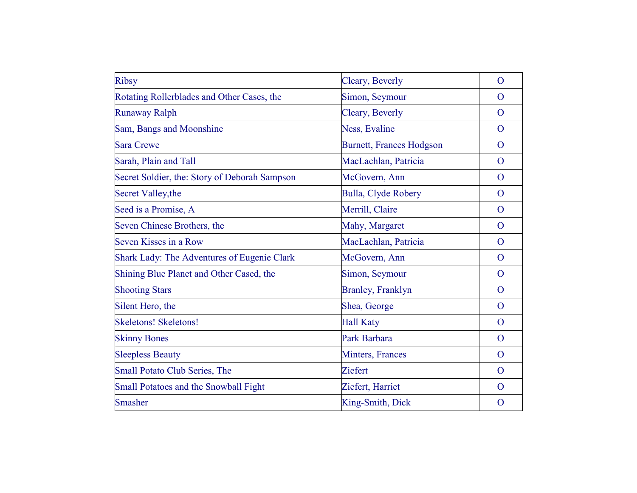| <b>Ribsy</b>                                  | Cleary, Beverly                 | $\mathbf{O}$   |
|-----------------------------------------------|---------------------------------|----------------|
| Rotating Rollerblades and Other Cases, the    | Simon, Seymour                  | $\Omega$       |
| <b>Runaway Ralph</b>                          | Cleary, Beverly                 | $\Omega$       |
| Sam, Bangs and Moonshine                      | Ness, Evaline                   | $\overline{O}$ |
| <b>Sara Crewe</b>                             | <b>Burnett, Frances Hodgson</b> | $\overline{O}$ |
| Sarah, Plain and Tall                         | MacLachlan, Patricia            | $\overline{O}$ |
| Secret Soldier, the: Story of Deborah Sampson | McGovern, Ann                   | $\Omega$       |
| Secret Valley, the                            | <b>Bulla, Clyde Robery</b>      | $\overline{O}$ |
| Seed is a Promise, A                          | Merrill, Claire                 | $\Omega$       |
| Seven Chinese Brothers, the                   | Mahy, Margaret                  | $\overline{O}$ |
| Seven Kisses in a Row                         | MacLachlan, Patricia            | $\overline{O}$ |
| Shark Lady: The Adventures of Eugenie Clark   | McGovern, Ann                   | $\Omega$       |
| Shining Blue Planet and Other Cased, the      | Simon, Seymour                  | $\overline{O}$ |
| <b>Shooting Stars</b>                         | <b>Branley, Franklyn</b>        | $\overline{O}$ |
| Silent Hero, the                              | Shea, George                    | $\mathbf{O}$   |
| <b>Skeletons! Skeletons!</b>                  | <b>Hall Katy</b>                | $\Omega$       |
| <b>Skinny Bones</b>                           | Park Barbara                    | $\overline{O}$ |
| <b>Sleepless Beauty</b>                       | <b>Minters, Frances</b>         | $\overline{O}$ |
| Small Potato Club Series, The                 | Ziefert                         | $\overline{O}$ |
| Small Potatoes and the Snowball Fight         | Ziefert, Harriet                | $\Omega$       |
| <b>Smasher</b>                                | King-Smith, Dick                | $\overline{O}$ |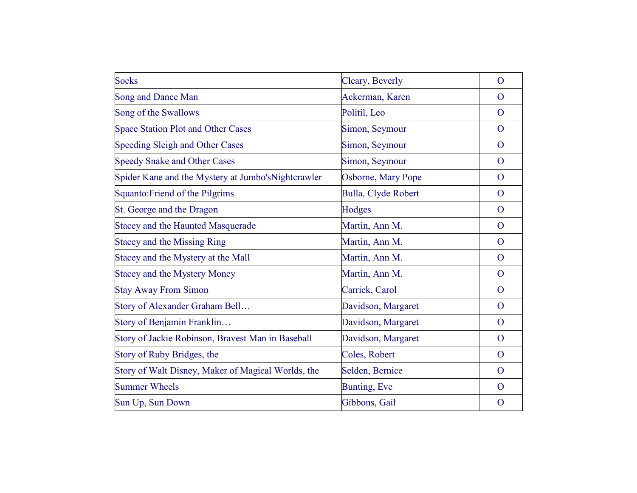| <b>Socks</b>                                        | Cleary, Beverly      | $\mathbf{O}$   |
|-----------------------------------------------------|----------------------|----------------|
| <b>Song and Dance Man</b>                           | Ackerman, Karen      | O              |
| Song of the Swallows                                | Politil, Leo         | $\overline{O}$ |
| <b>Space Station Plot and Other Cases</b>           | Simon, Seymour       | $\overline{O}$ |
| <b>Speeding Sleigh and Other Cases</b>              | Simon, Seymour       | $\overline{O}$ |
| <b>Speedy Snake and Other Cases</b>                 | Simon, Seymour       | $\mathbf{O}$   |
| Spider Kane and the Mystery at Jumbo's Nightcrawler | Osborne, Mary Pope   | $\overline{O}$ |
| Squanto: Friend of the Pilgrims                     | Bulla, Clyde Robert  | $\overline{O}$ |
| St. George and the Dragon                           | Hodges               | $\mathbf{O}$   |
| <b>Stacey and the Haunted Masquerade</b>            | Martin, Ann M.       | $\mathbf{O}$   |
| <b>Stacey and the Missing Ring</b>                  | Martin, Ann M.       | $\mathbf{O}$   |
| Stacey and the Mystery at the Mall                  | Martin, Ann M.       | $\overline{O}$ |
| <b>Stacey and the Mystery Money</b>                 | Martin, Ann M.       | $\mathbf{O}$   |
| <b>Stay Away From Simon</b>                         | Carrick, Carol       | $\overline{O}$ |
| Story of Alexander Graham Bell                      | Davidson, Margaret   | $\overline{O}$ |
| Story of Benjamin Franklin                          | Davidson, Margaret   | $\overline{O}$ |
| Story of Jackie Robinson, Bravest Man in Baseball   | Davidson, Margaret   | $\mathbf{O}$   |
| Story of Ruby Bridges, the                          | Coles, Robert        | $\overline{O}$ |
| Story of Walt Disney, Maker of Magical Worlds, the  | Selden, Bernice      | $\overline{O}$ |
| <b>Summer Wheels</b>                                | <b>Bunting</b> , Eve | $\mathbf{O}$   |
| Sun Up, Sun Down                                    | Gibbons, Gail        | $\mathbf O$    |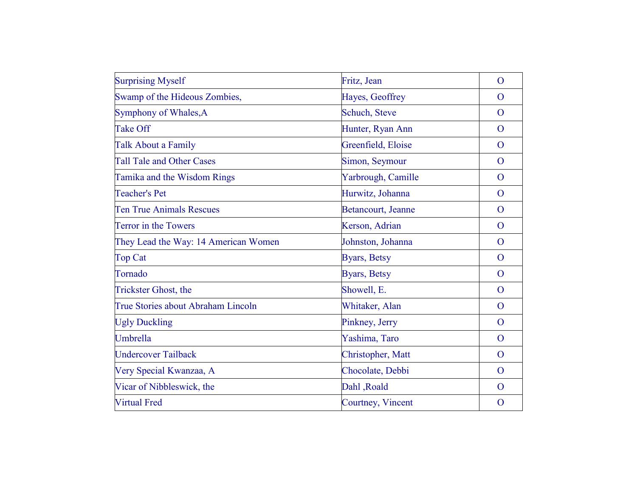| <b>Surprising Myself</b>             | Fritz, Jean          | $\mathbf{O}$   |
|--------------------------------------|----------------------|----------------|
| Swamp of the Hideous Zombies,        | Hayes, Geoffrey      | $\mathbf{O}$   |
| Symphony of Whales, A                | Schuch, Steve        | $\overline{O}$ |
| <b>Take Off</b>                      | Hunter, Ryan Ann     | $\overline{O}$ |
| <b>Talk About a Family</b>           | Greenfield, Eloise   | $\overline{O}$ |
| <b>Tall Tale and Other Cases</b>     | Simon, Seymour       | $\mathbf{O}$   |
| Tamika and the Wisdom Rings          | Yarbrough, Camille   | $\overline{O}$ |
| <b>Teacher's Pet</b>                 | Hurwitz, Johanna     | $\overline{O}$ |
| <b>Ten True Animals Rescues</b>      | Betancourt, Jeanne   | $\overline{O}$ |
| Terror in the Towers                 | Kerson, Adrian       | $\mathbf{O}$   |
| They Lead the Way: 14 American Women | Johnston, Johanna    | $\overline{O}$ |
| <b>Top Cat</b>                       | <b>Byars</b> , Betsy | $\mathbf{O}$   |
| Tornado                              | Byars, Betsy         | $\overline{O}$ |
| <b>Trickster Ghost, the</b>          | Showell, E.          | $\mathbf{O}$   |
| True Stories about Abraham Lincoln   | Whitaker, Alan       | $\mathbf{O}$   |
| <b>Ugly Duckling</b>                 | Pinkney, Jerry       | $\overline{O}$ |
| Umbrella                             | Yashima, Taro        | $\mathbf{O}$   |
| <b>Undercover Tailback</b>           | Christopher, Matt    | $\overline{O}$ |
| Very Special Kwanzaa, A              | Chocolate, Debbi     | $\overline{O}$ |
| Vicar of Nibbleswick, the            | Dahl, Roald          | $\overline{O}$ |
| <b>Virtual Fred</b>                  | Courtney, Vincent    | $\mathbf O$    |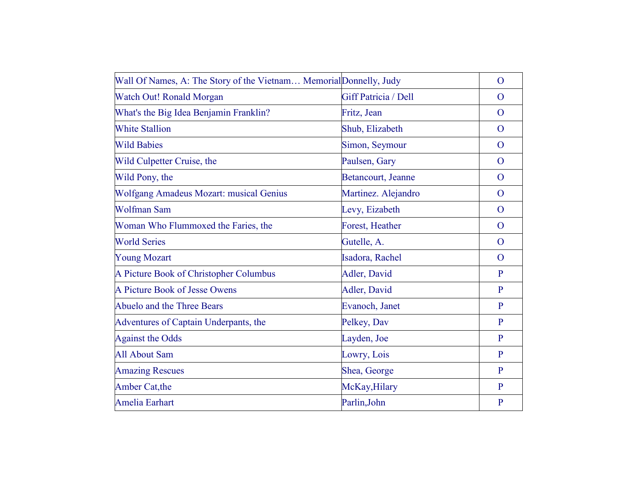| Wall Of Names, A: The Story of the Vietnam Memorial Donnelly, Judy |                      | $\overline{O}$ |
|--------------------------------------------------------------------|----------------------|----------------|
| <b>Watch Out! Ronald Morgan</b>                                    | Giff Patricia / Dell | $\Omega$       |
| What's the Big Idea Benjamin Franklin?                             | Fritz, Jean          | $\overline{O}$ |
| <b>White Stallion</b>                                              | Shub, Elizabeth      | $\overline{O}$ |
| <b>Wild Babies</b>                                                 | Simon, Seymour       | $\mathbf{O}$   |
| Wild Culpetter Cruise, the                                         | Paulsen, Gary        | $\mathbf O$    |
| Wild Pony, the                                                     | Betancourt, Jeanne   | $\overline{O}$ |
| Wolfgang Amadeus Mozart: musical Genius                            | Martinez. Alejandro  | $\overline{O}$ |
| <b>Wolfman Sam</b>                                                 | Levy, Eizabeth       | $\overline{O}$ |
| Woman Who Flummoxed the Faries, the                                | Forest, Heather      | $\overline{O}$ |
| <b>World Series</b>                                                | Gutelle, A.          | $\overline{O}$ |
| <b>Young Mozart</b>                                                | Isadora, Rachel      | $\mathbf{O}$   |
| A Picture Book of Christopher Columbus                             | Adler, David         | P              |
| A Picture Book of Jesse Owens                                      | Adler, David         | P              |
| Abuelo and the Three Bears                                         | Evanoch, Janet       | $\mathbf{P}$   |
| Adventures of Captain Underpants, the                              | Pelkey, Dav          | $\mathbf{P}$   |
| <b>Against the Odds</b>                                            | Layden, Joe          | $\mathbf{P}$   |
| <b>All About Sam</b>                                               | Lowry, Lois          | $\mathbf{P}$   |
| <b>Amazing Rescues</b>                                             | Shea, George         | $\mathbf{P}$   |
| Amber Cat, the                                                     | McKay, Hilary        | $\mathbf{P}$   |
| <b>Amelia Earhart</b>                                              | Parlin, John         | $\mathbf{P}$   |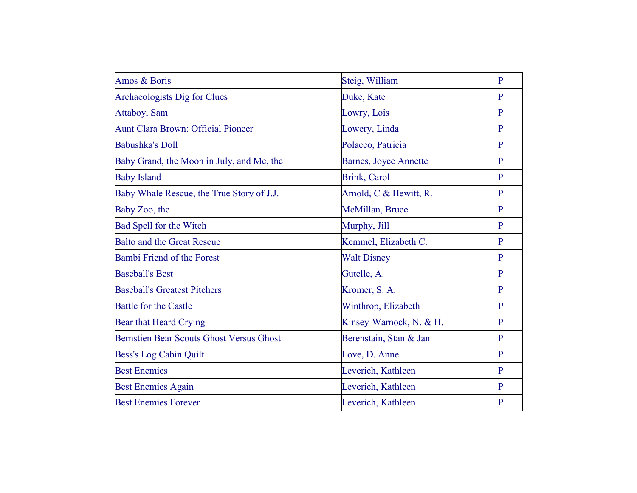| Amos & Boris                                    | Steig, William          | $\mathbf{P}$ |
|-------------------------------------------------|-------------------------|--------------|
| Archaeologists Dig for Clues                    | Duke, Kate              | P            |
| Attaboy, Sam                                    | Lowry, Lois             | $\mathbf{P}$ |
| <b>Aunt Clara Brown: Official Pioneer</b>       | Lowery, Linda           | $\mathbf{P}$ |
| <b>Babushka's Doll</b>                          | Polacco, Patricia       | $\mathbf{P}$ |
| Baby Grand, the Moon in July, and Me, the       | Barnes, Joyce Annette   | $\mathbf{P}$ |
| <b>Baby Island</b>                              | <b>Brink, Carol</b>     | P            |
| Baby Whale Rescue, the True Story of J.J.       | Arnold, C & Hewitt, R.  | $\mathbf{P}$ |
| Baby Zoo, the                                   | McMillan, Bruce         | $\mathbf{P}$ |
| Bad Spell for the Witch                         | Murphy, Jill            | $\mathbf{P}$ |
| <b>Balto and the Great Rescue</b>               | Kemmel, Elizabeth C.    | P            |
| <b>Bambi Friend of the Forest</b>               | <b>Walt Disney</b>      | P            |
| <b>Baseball's Best</b>                          | Gutelle, A.             | $\mathbf{P}$ |
| <b>Baseball's Greatest Pitchers</b>             | Kromer, S. A.           | $\mathbf{P}$ |
| <b>Battle for the Castle</b>                    | Winthrop, Elizabeth     | $\mathbf{P}$ |
| Bear that Heard Crying                          | Kinsey-Warnock, N. & H. | P            |
| <b>Bernstien Bear Scouts Ghost Versus Ghost</b> | Berenstain, Stan & Jan  | P            |
| Bess's Log Cabin Quilt                          | Love, D. Anne           | $\mathbf{P}$ |
| <b>Best Enemies</b>                             | Leverich, Kathleen      | $\mathbf{P}$ |
| <b>Best Enemies Again</b>                       | Leverich, Kathleen      | P            |
| <b>Best Enemies Forever</b>                     | Leverich, Kathleen      | P            |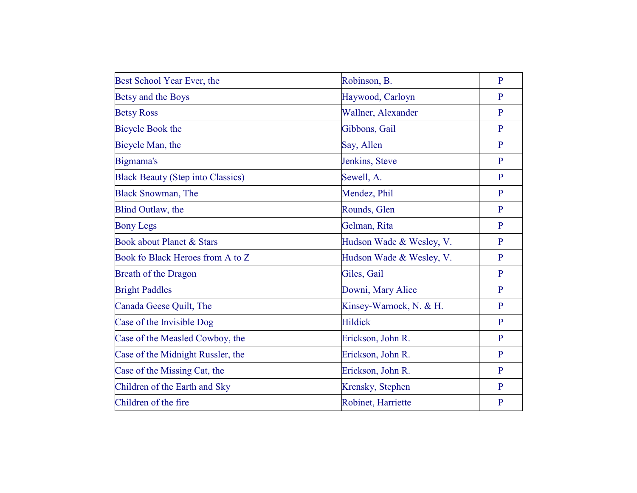| Best School Year Ever, the               | Robinson, B.             | $\overline{P}$ |
|------------------------------------------|--------------------------|----------------|
| Betsy and the Boys                       | Haywood, Carloyn         | P              |
| <b>Betsy Ross</b>                        | Wallner, Alexander       | P              |
| <b>Bicycle Book the</b>                  | Gibbons, Gail            | $\mathbf{P}$   |
| Bicycle Man, the                         | Say, Allen               | $\mathbf{P}$   |
| Bigmama's                                | Jenkins, Steve           | $\mathbf{P}$   |
| <b>Black Beauty (Step into Classics)</b> | Sewell, A.               | P              |
| <b>Black Snowman, The</b>                | Mendez, Phil             | $\mathbf{P}$   |
| Blind Outlaw, the                        | Rounds, Glen             | $\mathbf{P}$   |
| <b>Bony Legs</b>                         | Gelman, Rita             | $\mathbf{P}$   |
| Book about Planet & Stars                | Hudson Wade & Wesley, V. | $\mathbf{P}$   |
| Book fo Black Heroes from A to Z         | Hudson Wade & Wesley, V. | $\mathbf{P}$   |
| <b>Breath of the Dragon</b>              | Giles, Gail              | $\mathbf{P}$   |
| <b>Bright Paddles</b>                    | Downi, Mary Alice        | $\mathbf{P}$   |
| Canada Geese Quilt, The                  | Kinsey-Warnock, N. & H.  | $\mathbf{P}$   |
| Case of the Invisible Dog                | <b>Hildick</b>           | $\mathbf{P}$   |
| Case of the Measled Cowboy, the          | Erickson, John R.        | $\mathbf{P}$   |
| Case of the Midnight Russler, the        | Erickson, John R.        | $\mathbf{P}$   |
| Case of the Missing Cat, the             | Erickson, John R.        | $\mathbf{P}$   |
| Children of the Earth and Sky            | Krensky, Stephen         | P              |
| Children of the fire                     | Robinet, Harriette       | $\overline{P}$ |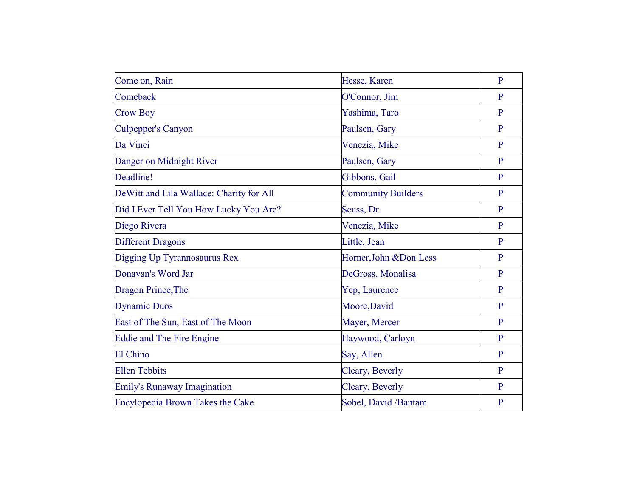| Come on, Rain                            | Hesse, Karen              | $\overline{P}$ |
|------------------------------------------|---------------------------|----------------|
| Comeback                                 | O'Connor, Jim             | P              |
| <b>Crow Boy</b>                          | Yashima, Taro             | $\mathbf{P}$   |
| <b>Culpepper's Canyon</b>                | Paulsen, Gary             | $\mathbf{P}$   |
| Da Vinci                                 | Venezia, Mike             | P              |
| Danger on Midnight River                 | Paulsen, Gary             | $\mathbf{P}$   |
| Deadline!                                | Gibbons, Gail             | $\mathbf{P}$   |
| DeWitt and Lila Wallace: Charity for All | <b>Community Builders</b> | P              |
| Did I Ever Tell You How Lucky You Are?   | Seuss, Dr.                | P              |
| Diego Rivera                             | Venezia, Mike             | $\mathbf{P}$   |
| <b>Different Dragons</b>                 | Little, Jean              | $\mathbf{P}$   |
| Digging Up Tyrannosaurus Rex             | Horner, John & Don Less   | $\mathbf{P}$   |
| Donavan's Word Jar                       | DeGross, Monalisa         | $\mathbf{P}$   |
| Dragon Prince, The                       | Yep, Laurence             | P              |
| <b>Dynamic Duos</b>                      | Moore, David              | $\mathbf{P}$   |
| East of The Sun, East of The Moon        | Mayer, Mercer             | P              |
| <b>Eddie and The Fire Engine</b>         | Haywood, Carloyn          | P              |
| El Chino                                 | Say, Allen                | P              |
| <b>Ellen Tebbits</b>                     | Cleary, Beverly           | $\mathbf{P}$   |
| <b>Emily's Runaway Imagination</b>       | Cleary, Beverly           | P              |
| Encylopedia Brown Takes the Cake         | Sobel, David /Bantam      | $\overline{P}$ |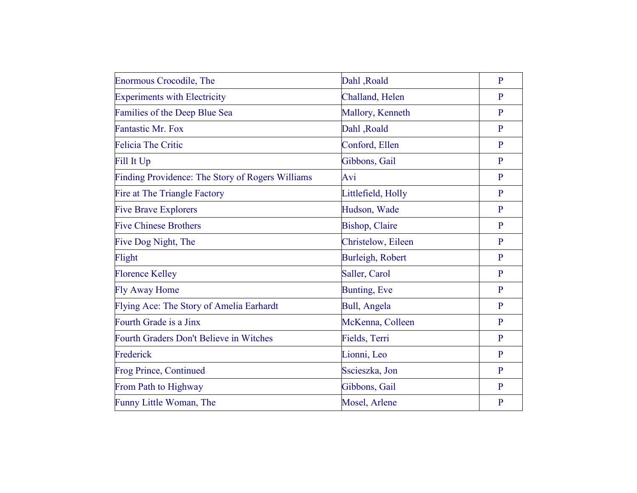| <b>Enormous Crocodile, The</b>                   | Dahl, Roald            | $\mathbf{P}$ |
|--------------------------------------------------|------------------------|--------------|
| <b>Experiments with Electricity</b>              | Challand, Helen        | P            |
| Families of the Deep Blue Sea                    | Mallory, Kenneth       | P            |
| <b>Fantastic Mr. Fox</b>                         | Dahl, Roald            | $\mathbf{P}$ |
| <b>Felicia The Critic</b>                        | Conford, Ellen         | P            |
| Fill It Up                                       | Gibbons, Gail          | $\mathbf{P}$ |
| Finding Providence: The Story of Rogers Williams | Avi                    | $\mathbf{P}$ |
| Fire at The Triangle Factory                     | Littlefield, Holly     | $\mathbf{P}$ |
| <b>Five Brave Explorers</b>                      | Hudson, Wade           | $\mathbf{P}$ |
| <b>Five Chinese Brothers</b>                     | <b>Bishop</b> , Claire | $\mathbf{P}$ |
| Five Dog Night, The                              | Christelow, Eileen     | P            |
| Flight                                           | Burleigh, Robert       | $\mathbf{P}$ |
| <b>Florence Kelley</b>                           | Saller, Carol          | $\mathbf{P}$ |
| <b>Fly Away Home</b>                             | Bunting, Eve           | $\mathbf{P}$ |
| Flying Ace: The Story of Amelia Earhardt         | Bull, Angela           | $\mathbf{P}$ |
| Fourth Grade is a Jinx                           | McKenna, Colleen       | $\mathbf{P}$ |
| Fourth Graders Don't Believe in Witches          | Fields, Terri          | $\mathbf{P}$ |
| Frederick                                        | Lionni, Leo            | $\mathbf{P}$ |
| <b>Frog Prince, Continued</b>                    | Sscieszka, Jon         | $\mathbf{P}$ |
| From Path to Highway                             | Gibbons, Gail          | $\mathbf{P}$ |
| Funny Little Woman, The                          | Mosel, Arlene          | $\mathbf{P}$ |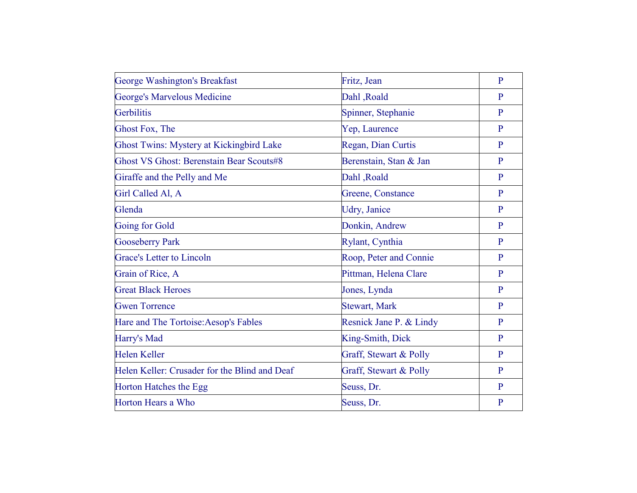| George Washington's Breakfast                   | Fritz, Jean             | $\overline{P}$ |
|-------------------------------------------------|-------------------------|----------------|
| <b>George's Marvelous Medicine</b>              | Dahl, Roald             | P              |
| Gerbilitis                                      | Spinner, Stephanie      | $\mathbf{P}$   |
| Ghost Fox, The                                  | Yep, Laurence           | P              |
| <b>Ghost Twins: Mystery at Kickingbird Lake</b> | Regan, Dian Curtis      | $\mathbf{P}$   |
| <b>Ghost VS Ghost: Berenstain Bear Scouts#8</b> | Berenstain, Stan & Jan  | $\mathbf{P}$   |
| Giraffe and the Pelly and Me                    | Dahl, Roald             | P              |
| Girl Called Al, A                               | Greene, Constance       | $\mathbf{P}$   |
| Glenda                                          | Udry, Janice            | P              |
| Going for Gold                                  | Donkin, Andrew          | $\mathbf{P}$   |
| <b>Gooseberry Park</b>                          | Rylant, Cynthia         | P              |
| <b>Grace's Letter to Lincoln</b>                | Roop, Peter and Connie  | $\mathbf{P}$   |
| Grain of Rice, A                                | Pittman, Helena Clare   | P              |
| <b>Great Black Heroes</b>                       | Jones, Lynda            | $\mathbf{P}$   |
| <b>Gwen Torrence</b>                            | <b>Stewart, Mark</b>    | $\mathbf{P}$   |
| Hare and The Tortoise: Aesop's Fables           | Resnick Jane P. & Lindy | $\mathbf{P}$   |
| Harry's Mad                                     | King-Smith, Dick        | $\mathbf{P}$   |
| <b>Helen Keller</b>                             | Graff, Stewart & Polly  | P              |
| Helen Keller: Crusader for the Blind and Deaf   | Graff, Stewart & Polly  | $\mathbf{P}$   |
| Horton Hatches the Egg                          | Seuss, Dr.              | P              |
| Horton Hears a Who                              | Seuss, Dr.              | $\mathbf{P}$   |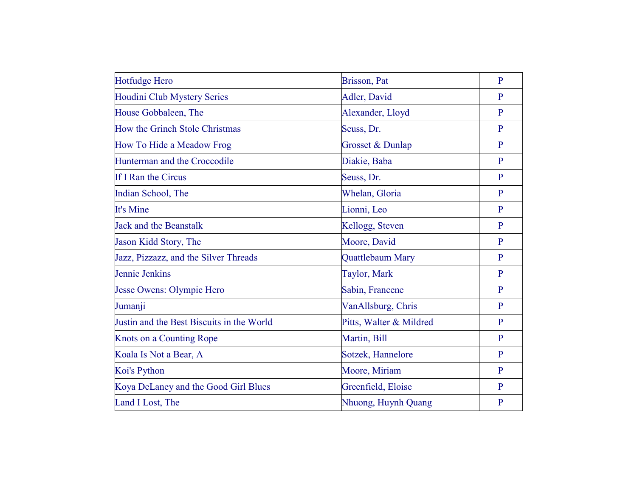| <b>Hotfudge Hero</b>                      | Brisson, Pat            | $\overline{P}$ |
|-------------------------------------------|-------------------------|----------------|
| Houdini Club Mystery Series               | Adler, David            | P              |
| House Gobbaleen, The                      | Alexander, Lloyd        | $\mathbf{P}$   |
| How the Grinch Stole Christmas            | Seuss, Dr.              | $\mathbf{P}$   |
| How To Hide a Meadow Frog                 | Grosset & Dunlap        | $\mathbf{P}$   |
| Hunterman and the Croccodile              | Diakie, Baba            | $\mathbf{P}$   |
| If I Ran the Circus                       | Seuss, Dr.              | $\mathbf{P}$   |
| Indian School, The                        | Whelan, Gloria          | $\mathbf{P}$   |
| It's Mine                                 | Lionni, Leo             | P              |
| <b>Jack and the Beanstalk</b>             | Kellogg, Steven         | $\mathbf{P}$   |
| Jason Kidd Story, The                     | Moore, David            | P              |
| Jazz, Pizzazz, and the Silver Threads     | Quattlebaum Mary        | $\mathbf{P}$   |
| Jennie Jenkins                            | Taylor, Mark            | P              |
| Jesse Owens: Olympic Hero                 | Sabin, Francene         | $\mathbf{P}$   |
| Jumanji                                   | VanAllsburg, Chris      | $\mathbf{P}$   |
| Justin and the Best Biscuits in the World | Pitts, Walter & Mildred | $\mathbf{P}$   |
| Knots on a Counting Rope                  | Martin, Bill            | $\mathbf{P}$   |
| Koala Is Not a Bear, A                    | Sotzek, Hannelore       | P              |
| Koi's Python                              | Moore, Miriam           | $\overline{P}$ |
| Koya DeLaney and the Good Girl Blues      | Greenfield, Eloise      | P              |
| Land I Lost, The                          | Nhuong, Huynh Quang     | P              |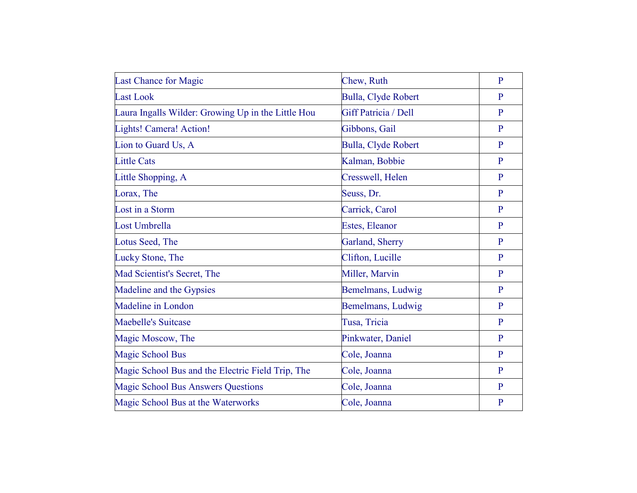| <b>Last Chance for Magic</b>                       | Chew, Ruth           | $\overline{P}$ |
|----------------------------------------------------|----------------------|----------------|
| <b>Last Look</b>                                   |                      | $\mathbf{P}$   |
|                                                    | Bulla, Clyde Robert  |                |
| Laura Ingalls Wilder: Growing Up in the Little Hou | Giff Patricia / Dell | $\mathbf{P}$   |
| Lights! Camera! Action!                            | Gibbons, Gail        | $\mathbf{P}$   |
| Lion to Guard Us, A                                | Bulla, Clyde Robert  | $\mathbf{P}$   |
| <b>Little Cats</b>                                 | Kalman, Bobbie       | $\mathbf{P}$   |
| Little Shopping, A                                 | Cresswell, Helen     | $\mathbf{P}$   |
| Lorax, The                                         | Seuss, Dr.           | $\mathbf{P}$   |
| Lost in a Storm                                    | Carrick, Carol       | $\mathbf{P}$   |
| Lost Umbrella                                      | Estes, Eleanor       | $\mathbf{P}$   |
| Lotus Seed, The                                    | Garland, Sherry      | P              |
| Lucky Stone, The                                   | Clifton, Lucille     | $\mathbf{P}$   |
| Mad Scientist's Secret, The                        | Miller, Marvin       | $\mathbf{P}$   |
| Madeline and the Gypsies                           | Bemelmans, Ludwig    | $\mathbf{P}$   |
| Madeline in London                                 | Bemelmans, Ludwig    | $\mathbf{P}$   |
| <b>Maebelle's Suitcase</b>                         | Tusa, Tricia         | $\mathbf{P}$   |
| Magic Moscow, The                                  | Pinkwater, Daniel    | $\mathbf{P}$   |
| <b>Magic School Bus</b>                            | Cole, Joanna         | $\mathbf{P}$   |
| Magic School Bus and the Electric Field Trip, The  | Cole, Joanna         | $\mathbf{P}$   |
| <b>Magic School Bus Answers Questions</b>          | Cole, Joanna         | P              |
| Magic School Bus at the Waterworks                 | Cole, Joanna         | $\overline{P}$ |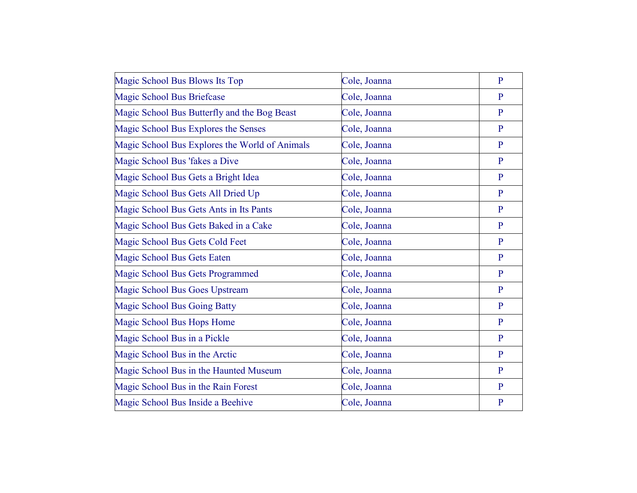| Magic School Bus Blows Its Top                 | Cole, Joanna | $\overline{P}$ |
|------------------------------------------------|--------------|----------------|
| <b>Magic School Bus Briefcase</b>              | Cole, Joanna | $\mathbf{P}$   |
| Magic School Bus Butterfly and the Bog Beast   | Cole, Joanna | $\mathbf{P}$   |
| Magic School Bus Explores the Senses           | Cole, Joanna | P              |
| Magic School Bus Explores the World of Animals | Cole, Joanna | $\mathbf{P}$   |
| Magic School Bus 'fakes a Dive                 | Cole, Joanna | $\mathbf{P}$   |
| Magic School Bus Gets a Bright Idea            | Cole, Joanna | $\overline{P}$ |
| Magic School Bus Gets All Dried Up             | Cole, Joanna | $\mathbf{P}$   |
| Magic School Bus Gets Ants in Its Pants        | Cole, Joanna | $\mathbf{P}$   |
| Magic School Bus Gets Baked in a Cake          | Cole, Joanna | $\mathbf{P}$   |
| Magic School Bus Gets Cold Feet                | Cole, Joanna | $\mathbf{P}$   |
| Magic School Bus Gets Eaten                    | Cole, Joanna | $\mathbf{P}$   |
| Magic School Bus Gets Programmed               | Cole, Joanna | $\mathbf{P}$   |
| Magic School Bus Goes Upstream                 | Cole, Joanna | $\mathbf{P}$   |
| <b>Magic School Bus Going Batty</b>            | Cole, Joanna | $\mathbf{P}$   |
| Magic School Bus Hops Home                     | Cole, Joanna | $\mathbf{P}$   |
| Magic School Bus in a Pickle                   | Cole, Joanna | $\mathbf{P}$   |
| Magic School Bus in the Arctic                 | Cole, Joanna | $\mathbf{P}$   |
| Magic School Bus in the Haunted Museum         | Cole, Joanna | $\mathbf{P}$   |
| Magic School Bus in the Rain Forest            | Cole, Joanna | P              |
| Magic School Bus Inside a Beehive              | Cole, Joanna | $\mathbf{P}$   |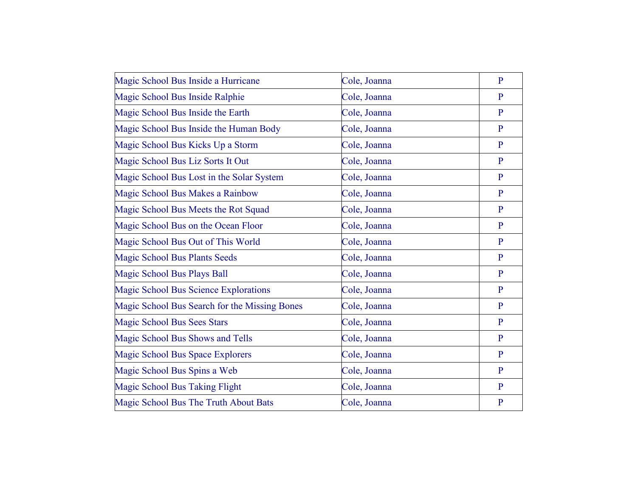| Magic School Bus Inside a Hurricane           | Cole, Joanna | $\mathbf{P}$ |
|-----------------------------------------------|--------------|--------------|
| Magic School Bus Inside Ralphie               | Cole, Joanna | P            |
| Magic School Bus Inside the Earth             | Cole, Joanna | $\mathbf{P}$ |
| Magic School Bus Inside the Human Body        | Cole, Joanna | $\mathbf{P}$ |
| Magic School Bus Kicks Up a Storm             | Cole, Joanna | $\mathbf{P}$ |
| Magic School Bus Liz Sorts It Out             | Cole, Joanna | $\mathbf{P}$ |
| Magic School Bus Lost in the Solar System     | Cole, Joanna | $\mathbf{P}$ |
| Magic School Bus Makes a Rainbow              | Cole, Joanna | $\mathbf{P}$ |
| Magic School Bus Meets the Rot Squad          | Cole, Joanna | P            |
| Magic School Bus on the Ocean Floor           | Cole, Joanna | $\mathbf{P}$ |
| Magic School Bus Out of This World            | Cole, Joanna | P            |
| <b>Magic School Bus Plants Seeds</b>          | Cole, Joanna | $\mathbf{P}$ |
| <b>Magic School Bus Plays Ball</b>            | Cole, Joanna | $\mathbf{P}$ |
| Magic School Bus Science Explorations         | Cole, Joanna | $\mathbf{P}$ |
| Magic School Bus Search for the Missing Bones | Cole, Joanna | $\mathbf{P}$ |
| <b>Magic School Bus Sees Stars</b>            | Cole, Joanna | $\mathbf{P}$ |
| Magic School Bus Shows and Tells              | Cole, Joanna | P            |
| Magic School Bus Space Explorers              | Cole, Joanna | $\mathbf{P}$ |
| Magic School Bus Spins a Web                  | Cole, Joanna | $\mathbf{P}$ |
| <b>Magic School Bus Taking Flight</b>         | Cole, Joanna | P            |
| Magic School Bus The Truth About Bats         | Cole, Joanna | $\mathbf{P}$ |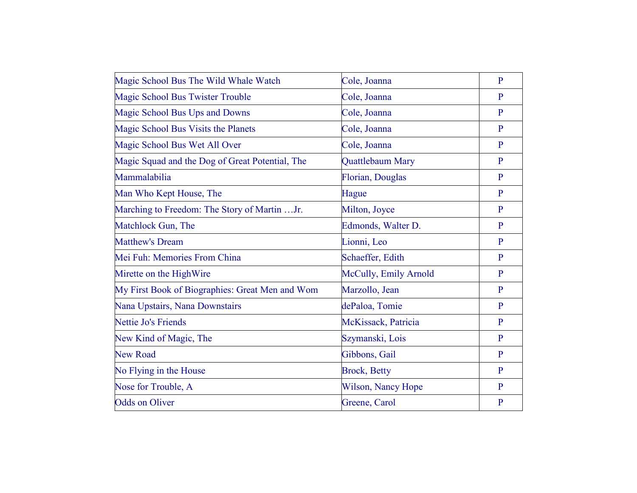| Magic School Bus The Wild Whale Watch           | Cole, Joanna            | $\overline{P}$ |
|-------------------------------------------------|-------------------------|----------------|
| Magic School Bus Twister Trouble                | Cole, Joanna            | $\mathbf{P}$   |
| Magic School Bus Ups and Downs                  | Cole, Joanna            | $\mathbf{P}$   |
| Magic School Bus Visits the Planets             | Cole, Joanna            | P              |
| Magic School Bus Wet All Over                   | Cole, Joanna            | $\mathbf{P}$   |
| Magic Squad and the Dog of Great Potential, The | Quattlebaum Mary        | P              |
| Mammalabilia                                    | <b>Florian, Douglas</b> | $\mathbf{P}$   |
| Man Who Kept House, The                         | Hague                   | $\mathbf{P}$   |
| Marching to Freedom: The Story of Martin Jr.    | Milton, Joyce           | $\mathbf{P}$   |
| Matchlock Gun, The                              | Edmonds, Walter D.      | $\mathbf{P}$   |
| <b>Matthew's Dream</b>                          | Lionni, Leo             | P              |
| Mei Fuh: Memories From China                    | Schaeffer, Edith        | $\mathbf{P}$   |
| Mirette on the HighWire                         | McCully, Emily Arnold   | P              |
| My First Book of Biographies: Great Men and Wom | Marzollo, Jean          | $\mathbf{P}$   |
| Nana Upstairs, Nana Downstairs                  | dePaloa, Tomie          | P              |
| Nettie Jo's Friends                             | McKissack, Patricia     | $\mathbf{P}$   |
| New Kind of Magic, The                          | Szymanski, Lois         | $\mathbf{P}$   |
| <b>New Road</b>                                 | Gibbons, Gail           | P              |
| No Flying in the House                          | <b>Brock, Betty</b>     | $\mathbf{P}$   |
| Nose for Trouble, A                             | Wilson, Nancy Hope      | P              |
| <b>Odds on Oliver</b>                           | Greene, Carol           | $\overline{P}$ |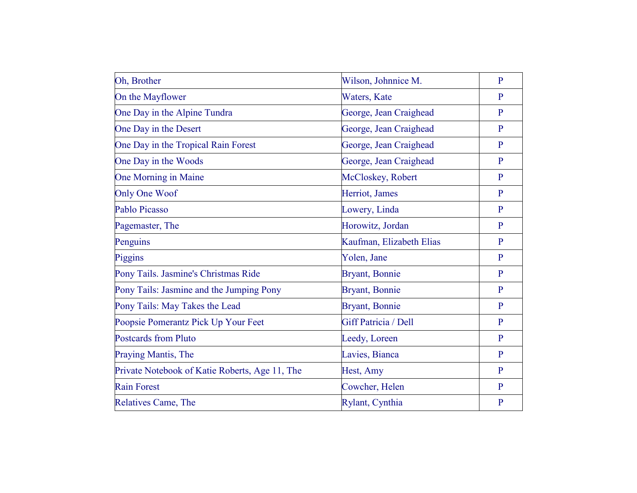| Oh, Brother                                    | Wilson, Johnnice M.      | $\overline{P}$ |
|------------------------------------------------|--------------------------|----------------|
| On the Mayflower                               | Waters, Kate             | P              |
| One Day in the Alpine Tundra                   | George, Jean Craighead   | $\mathbf{P}$   |
| One Day in the Desert                          | George, Jean Craighead   | $\mathbf{P}$   |
| One Day in the Tropical Rain Forest            | George, Jean Craighead   | $\mathbf{P}$   |
| One Day in the Woods                           | George, Jean Craighead   | $\mathbf{P}$   |
| One Morning in Maine                           | McCloskey, Robert        | $\mathbf{P}$   |
| <b>Only One Woof</b>                           | Herriot, James           | $\overline{P}$ |
| Pablo Picasso                                  | Lowery, Linda            | $\mathbf{P}$   |
| Pagemaster, The                                | Horowitz, Jordan         | $\mathbf{P}$   |
| Penguins                                       | Kaufman, Elizabeth Elias | $\overline{P}$ |
| Piggins                                        | Yolen, Jane              | $\mathbf{P}$   |
| Pony Tails. Jasmine's Christmas Ride           | Bryant, Bonnie           | $\mathbf{P}$   |
| Pony Tails: Jasmine and the Jumping Pony       | <b>Bryant</b> , Bonnie   | $\mathbf{P}$   |
| Pony Tails: May Takes the Lead                 | <b>Bryant</b> , Bonnie   | $\mathbf{P}$   |
| Poopsie Pomerantz Pick Up Your Feet            | Giff Patricia / Dell     | $\overline{P}$ |
| <b>Postcards from Pluto</b>                    | Leedy, Loreen            | P              |
| Praying Mantis, The                            | Lavies, Bianca           | $\mathbf{P}$   |
| Private Notebook of Katie Roberts, Age 11, The | Hest, Amy                | $\mathbf{P}$   |
| <b>Rain Forest</b>                             | Cowcher, Helen           | P              |
| <b>Relatives Came, The</b>                     | Rylant, Cynthia          | $\overline{P}$ |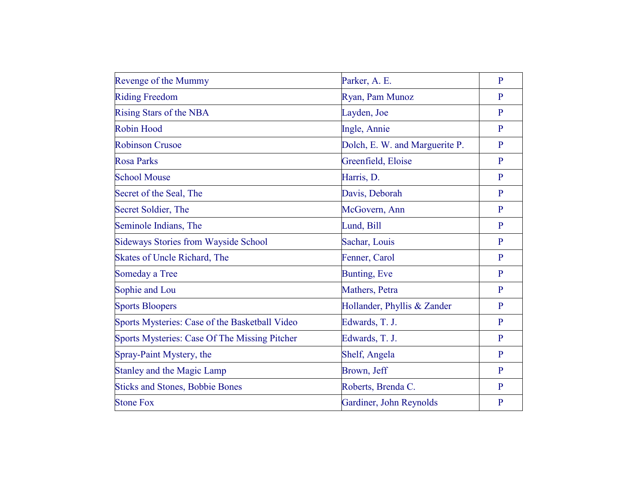| Revenge of the Mummy                           | Parker, A. E.                  | $\overline{P}$ |
|------------------------------------------------|--------------------------------|----------------|
| <b>Riding Freedom</b>                          | Ryan, Pam Munoz                | $\mathbf{P}$   |
| Rising Stars of the NBA                        | Layden, Joe                    | $\mathbf{P}$   |
| <b>Robin Hood</b>                              | Ingle, Annie                   | $\mathbf{P}$   |
| <b>Robinson Crusoe</b>                         | Dolch, E. W. and Marguerite P. | $\mathbf{P}$   |
| <b>Rosa Parks</b>                              | Greenfield, Eloise             | $\mathbf{P}$   |
| <b>School Mouse</b>                            | Harris, D.                     | P              |
| Secret of the Seal, The                        | Davis, Deborah                 | $\mathbf{P}$   |
| Secret Soldier, The                            | McGovern, Ann                  | $\mathbf{P}$   |
| Seminole Indians, The                          | Lund, Bill                     | $\mathbf{P}$   |
| <b>Sideways Stories from Wayside School</b>    | Sachar, Louis                  | $\mathbf{P}$   |
| Skates of Uncle Richard, The                   | Fenner, Carol                  | $\mathbf{P}$   |
| Someday a Tree                                 | Bunting, Eve                   | $\mathbf{P}$   |
| Sophie and Lou                                 | Mathers, Petra                 | $\mathbf{P}$   |
| <b>Sports Bloopers</b>                         | Hollander, Phyllis & Zander    | $\mathbf{P}$   |
| Sports Mysteries: Case of the Basketball Video | Edwards, T. J.                 | $\mathbf{P}$   |
| Sports Mysteries: Case Of The Missing Pitcher  | Edwards, T. J.                 | $\mathbf{P}$   |
| Spray-Paint Mystery, the                       | Shelf, Angela                  | P              |
| <b>Stanley and the Magic Lamp</b>              | Brown, Jeff                    | $\mathbf{P}$   |
| <b>Sticks and Stones, Bobbie Bones</b>         | Roberts, Brenda C.             | $\mathbf{P}$   |
| <b>Stone Fox</b>                               | Gardiner, John Reynolds        | $\mathbf{P}$   |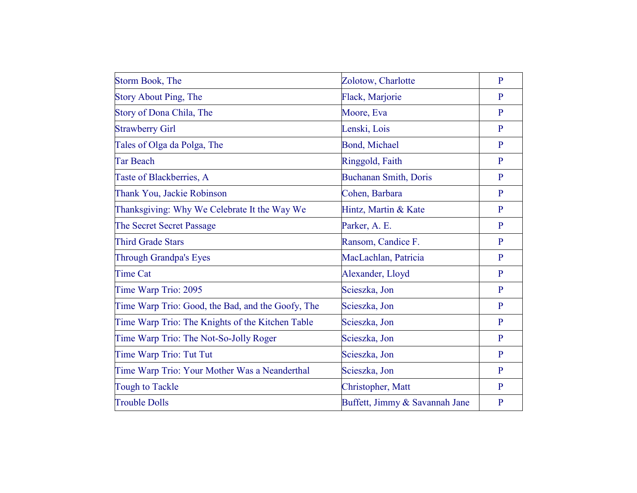| Storm Book, The                                   | Zolotow, Charlotte             | $\overline{P}$ |
|---------------------------------------------------|--------------------------------|----------------|
| <b>Story About Ping, The</b>                      | Flack, Marjorie                | P              |
| Story of Dona Chila, The                          | Moore, Eva                     | $\mathbf{P}$   |
| <b>Strawberry Girl</b>                            | Lenski, Lois                   | $\mathbf{P}$   |
| Tales of Olga da Polga, The                       | <b>Bond, Michael</b>           | P              |
| <b>Tar Beach</b>                                  | Ringgold, Faith                | $\mathbf{P}$   |
| Taste of Blackberries, A                          | <b>Buchanan Smith, Doris</b>   | $\mathbf{P}$   |
| Thank You, Jackie Robinson                        | Cohen, Barbara                 | P              |
| Thanksgiving: Why We Celebrate It the Way We      | Hintz, Martin & Kate           | P              |
| The Secret Secret Passage                         | Parker, A. E.                  | $\mathbf{P}$   |
| <b>Third Grade Stars</b>                          | Ransom, Candice F.             | $\mathbf{P}$   |
| <b>Through Grandpa's Eyes</b>                     | MacLachlan, Patricia           | $\mathbf{P}$   |
| <b>Time Cat</b>                                   | Alexander, Lloyd               | $\mathbf{P}$   |
| Time Warp Trio: 2095                              | Scieszka, Jon                  | P              |
| Time Warp Trio: Good, the Bad, and the Goofy, The | Scieszka, Jon                  | $\mathbf{P}$   |
| Time Warp Trio: The Knights of the Kitchen Table  | Scieszka, Jon                  | P              |
| Time Warp Trio: The Not-So-Jolly Roger            | Scieszka, Jon                  | $\mathbf{P}$   |
| Time Warp Trio: Tut Tut                           | Scieszka, Jon                  | $\mathbf{P}$   |
| Time Warp Trio: Your Mother Was a Neanderthal     | Scieszka, Jon                  | $\mathbf{P}$   |
| Tough to Tackle                                   | Christopher, Matt              | P              |
| <b>Trouble Dolls</b>                              | Buffett, Jimmy & Savannah Jane | $\mathbf{P}$   |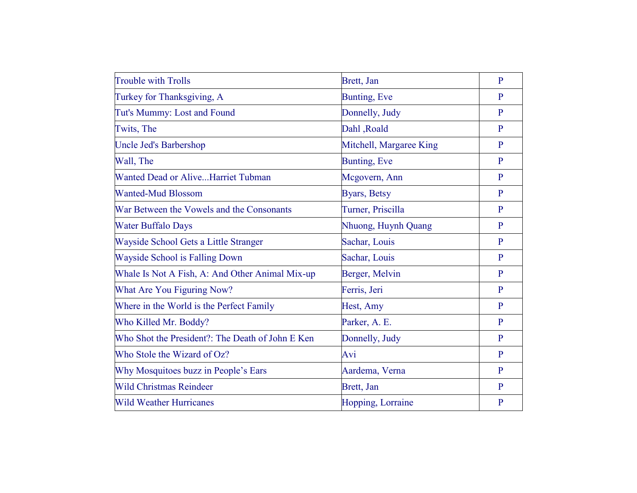| <b>Trouble with Trolls</b>                       | Brett, Jan              | $\mathbf{P}$ |
|--------------------------------------------------|-------------------------|--------------|
| Turkey for Thanksgiving, A                       | Bunting, Eve            | P            |
| Tut's Mummy: Lost and Found                      | Donnelly, Judy          | P            |
| Twits, The                                       | Dahl, Roald             | P            |
| Uncle Jed's Barbershop                           | Mitchell, Margaree King | $\mathbf{P}$ |
| Wall, The                                        | <b>Bunting, Eve</b>     | P            |
| Wanted Dead or AliveHarriet Tubman               | Mcgovern, Ann           | $\mathbf{P}$ |
| <b>Wanted-Mud Blossom</b>                        | Byars, Betsy            | $\mathbf{P}$ |
| War Between the Vowels and the Consonants        | Turner, Priscilla       | P            |
| <b>Water Buffalo Days</b>                        | Nhuong, Huynh Quang     | $\mathbf{P}$ |
| Wayside School Gets a Little Stranger            | Sachar, Louis           | P            |
| Wayside School is Falling Down                   | Sachar, Louis           | $\mathbf{P}$ |
| Whale Is Not A Fish, A: And Other Animal Mix-up  | Berger, Melvin          | P            |
| What Are You Figuring Now?                       | Ferris, Jeri            | $\mathbf{P}$ |
| Where in the World is the Perfect Family         | Hest, Amy               | P            |
| Who Killed Mr. Boddy?                            | Parker, A. E.           | $\mathbf{P}$ |
| Who Shot the President?: The Death of John E Ken | Donnelly, Judy          | $\mathbf{P}$ |
| Who Stole the Wizard of Oz?                      | Avi                     | $\mathbf{P}$ |
| Why Mosquitoes buzz in People's Ears             | Aardema, Verna          | P            |
| <b>Wild Christmas Reindeer</b>                   | Brett, Jan              | $\mathbf{P}$ |
| <b>Wild Weather Hurricanes</b>                   | Hopping, Lorraine       | $\mathbf{P}$ |